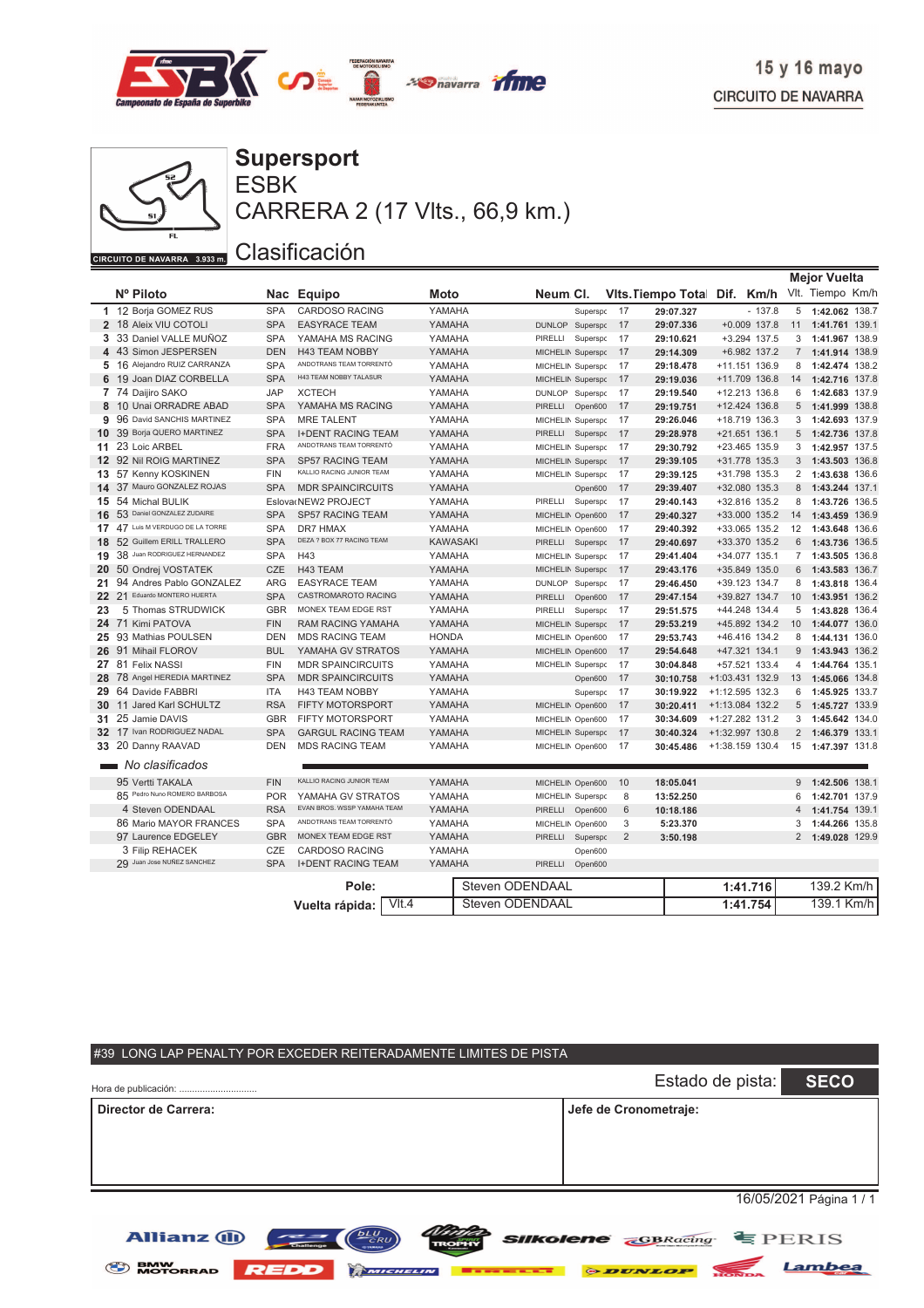



ESBK **Supersport** CARRERA 2 (17 Vlts., 66,9 km.)

#### Clasificación

|    |                                  |            |                             |                 |                 |                   |          |                              |           |                   |                | <b>Mejor Vuelta</b> |  |
|----|----------------------------------|------------|-----------------------------|-----------------|-----------------|-------------------|----------|------------------------------|-----------|-------------------|----------------|---------------------|--|
|    | Nº Piloto                        | Nac        | <b>Equipo</b>               | Moto            |                 | Neum CI.          |          | Vits. Tiempo Total Dif. Km/h |           |                   |                | Vlt. Tiempo Km/h    |  |
|    | 1 12 Borja GOMEZ RUS             | <b>SPA</b> | <b>CARDOSO RACING</b>       | YAMAHA          |                 |                   | Superspc | 17                           | 29:07.327 | $-137.8$          | 5              | 1:42.062 138.7      |  |
|    | 2 18 Aleix VIU COTOLI            | <b>SPA</b> | <b>EASYRACE TEAM</b>        | YAMAHA          |                 | <b>DUNLOP</b>     | Superspc | 17                           | 29:07.336 | $+0.009$ 137.8    | 11             | 1:41.761 139.1      |  |
|    | 3 33 Daniel VALLE MUÑOZ          | <b>SPA</b> | YAMAHA MS RACING            | YAMAHA          |                 | PIRELLI           | Superspc | 17                           | 29:10.621 | +3.294 137.5      | 3              | 1:41.967 138.9      |  |
|    | 4 43 Simon JESPERSEN             | <b>DEN</b> | <b>H43 TEAM NOBBY</b>       | YAMAHA          |                 | MICHELIN Superspo |          | 17                           | 29:14.309 | +6.982 137.2      | $\overline{7}$ | 1:41.914 138.9      |  |
|    | 5 16 Alejandro RUIZ CARRANZA     | <b>SPA</b> | ANDOTRANS TEAM TORRENTÓ     | YAMAHA          |                 | MICHELIN Superspo |          | 17                           | 29:18.478 | +11.151 136.9     | 8              | 1:42.474 138.2      |  |
|    | 6 19 Joan DIAZ CORBELLA          | <b>SPA</b> | H43 TEAM NOBBY TALASUR      | YAMAHA          |                 | MICHELIN Superspo |          | 17                           | 29:19.036 | +11.709 136.8     | 14             | 1:42.716 137.8      |  |
|    | 7 74 Daijiro SAKO                | <b>JAP</b> | <b>XCTECH</b>               | YAMAHA          |                 | DUNLOP Superspo   |          | 17                           | 29:19.540 | +12.213 136.8     | 6              | 1:42.683 137.9      |  |
|    | 8 10 Unai ORRADRE ABAD           | <b>SPA</b> | YAMAHA MS RACING            | YAMAHA          |                 | PIRELLI           | Open600  | 17                           | 29:19.751 | +12.424 136.8     | 5              | 1:41.999 138.8      |  |
| 9  | 96 David SANCHIS MARTINEZ        | <b>SPA</b> | <b>MRE TALENT</b>           | YAMAHA          |                 | MICHELIN Superspc |          | 17                           | 29:26.046 | +18.719 136.3     | 3              | 1:42.693 137.9      |  |
|    | 10 39 Borja QUERO MARTINEZ       | <b>SPA</b> | <b>I+DENT RACING TEAM</b>   | YAMAHA          |                 | PIRELLI           | Superspc | 17                           | 29:28.978 | +21.651 136.1     | 5              | 1:42.736 137.8      |  |
|    | 11 23 Loic ARBEL                 | <b>FRA</b> | ANDOTRANS TEAM TORRENTÓ     | YAMAHA          |                 | MICHELIN Superspo |          | 17                           | 29:30.792 | $+23.465$ 135.9   | 3              | 1:42.957 137.5      |  |
|    | 12 92 Nil ROIG MARTINEZ          | <b>SPA</b> | <b>SP57 RACING TEAM</b>     | YAMAHA          |                 | MICHELIN Superspc |          | 17                           | 29:39.105 | +31.778 135.3     | 3 <sup>1</sup> | 1:43.503 136.8      |  |
|    | 13 57 Kenny KOSKINEN             | <b>FIN</b> | KALLIO RACING JUNIOR TEAM   | YAMAHA          |                 | MICHELIN Superspo |          | 17                           | 29:39.125 | +31.798 135.3     | $\overline{2}$ | 1:43.638 136.6      |  |
|    | 14 37 Mauro GONZALEZ ROJAS       | <b>SPA</b> | <b>MDR SPAINCIRCUITS</b>    | YAMAHA          |                 |                   | Open600  | 17                           | 29:39.407 | +32.080 135.3     | 8              | 1:43.244 137.1      |  |
|    | 15 54 Michal BULIK               |            | Eslova NEW2 PROJECT         | YAMAHA          |                 | PIRELLI Superspo  |          | 17                           | 29:40.143 | +32.816 135.2     | 8              | 1:43.726 136.5      |  |
|    | 16 53 Daniel GONZALEZ ZUDAIRE    | <b>SPA</b> | <b>SP57 RACING TEAM</b>     | YAMAHA          |                 | MICHELIN Open600  |          | 17                           | 29:40.327 | +33.000 135.2     | 14             | 1:43.459 136.9      |  |
|    | 17 47 Luis M VERDUGO DE LA TORRE | <b>SPA</b> | <b>DR7 HMAX</b>             | YAMAHA          |                 | MICHELIN Open600  |          | 17                           | 29:40.392 | +33.065 135.2     | 12             | 1:43.648 136.6      |  |
|    | 18 52 Guillem ERILL TRALLERO     | <b>SPA</b> | DEZA ? BOX 77 RACING TEAM   | <b>KAWASAKI</b> |                 | PIRELLI Superspo  |          | 17                           | 29:40.697 | +33.370 135.2     | 6              | 1:43.736 136.5      |  |
|    | 19 38 Juan RODRIGUEZ HERNANDEZ   | <b>SPA</b> | H43                         | YAMAHA          |                 | MICHELIN Superspc |          | 17                           | 29:41.404 | +34.077 135.1     | $7^{\circ}$    | 1:43.505 136.8      |  |
|    | 20 50 Ondrej VOSTATEK            | <b>CZE</b> | H43 TEAM                    | YAMAHA          |                 | MICHELIN Superspo |          | 17                           | 29:43.176 | +35.849 135.0     | 6              | 1:43.583 136.7      |  |
| 21 | 94 Andres Pablo GONZALEZ         | <b>ARG</b> | <b>EASYRACE TEAM</b>        | YAMAHA          |                 | DUNLOP Superspo   |          | 17                           | 29:46.450 | +39.123 134.7     | 8              | 1:43.818 136.4      |  |
|    | Eduardo MONTERO HUERTA<br>22 21  | <b>SPA</b> | CASTROMAROTO RACING         | YAMAHA          |                 | PIRELLI           | Open600  | 17                           | 29:47.154 | +39.827 134.7     | 10             | 1:43.951 136.2      |  |
| 23 | 5 Thomas STRUDWICK               | <b>GBR</b> | MONEX TEAM EDGE RST         | YAMAHA          |                 | PIRELLI           | Superspc | 17                           | 29:51.575 | +44.248 134.4     | 5              | 1:43.828 136.4      |  |
|    | 24 71 Kimi PATOVA                | <b>FIN</b> | <b>RAM RACING YAMAHA</b>    | YAMAHA          |                 | MICHELIN Superspo |          | 17                           | 29:53.219 | +45.892 134.2     | 10             | 1:44.077 136.0      |  |
|    | 25 93 Mathias POULSEN            | <b>DEN</b> | <b>MDS RACING TEAM</b>      | <b>HONDA</b>    |                 | MICHELIN Open600  |          | 17                           | 29:53.743 | +46.416 134.2     | 8              | 1:44.131 136.0      |  |
|    | 26 91 Mihail FLOROV              | <b>BUL</b> | YAMAHA GV STRATOS           | YAMAHA          |                 | MICHELIN Open600  |          | 17                           | 29:54.648 | +47.321 134.1     | 9              | 1:43.943 136.2      |  |
|    | 27 81 Felix NASSI                | <b>FIN</b> | <b>MDR SPAINCIRCUITS</b>    | YAMAHA          |                 | MICHELIN Superspo |          | 17                           | 30:04.848 | +57.521 133.4     | $\overline{4}$ | 1:44.764 135.1      |  |
|    | 28 78 Angel HEREDIA MARTINEZ     | <b>SPA</b> | <b>MDR SPAINCIRCUITS</b>    | YAMAHA          |                 |                   | Open600  | 17                           | 30:10.758 | +1:03.431 132.9   | 13             | 1:45.066 134.8      |  |
|    | 29 64 Davide FABBRI              | <b>ITA</b> | <b>H43 TEAM NOBBY</b>       | YAMAHA          |                 |                   | Superspc | 17                           | 30:19.922 | $+1:12.595$ 132.3 | 6              | 1:45.925 133.7      |  |
|    | Jared Karl SCHULTZ<br>30 11      | <b>RSA</b> | <b>FIFTY MOTORSPORT</b>     | YAMAHA          |                 | MICHELIN Open600  |          | 17                           | 30:20.411 | $+1:13.084$ 132.2 | 5              | 1:45.727 133.9      |  |
|    | 31 25 Jamie DAVIS                | <b>GBR</b> | <b>FIFTY MOTORSPORT</b>     | YAMAHA          |                 | MICHELIN Open600  |          | 17                           | 30:34.609 | +1:27.282 131.2   | 3              | 1:45.642 134.0      |  |
|    | 32 17 Ivan RODRIGUEZ NADAL       | <b>SPA</b> | <b>GARGUL RACING TEAM</b>   | YAMAHA          |                 | MICHELIN Superspo |          | 17                           | 30:40.324 | +1:32.997 130.8   | $\overline{2}$ | 1:46.379 133.1      |  |
|    | 33 20 Danny RAAVAD               | <b>DEN</b> | <b>MDS RACING TEAM</b>      | YAMAHA          |                 | MICHELIN Open600  |          | 17                           | 30:45.486 | +1:38.159 130.4   | 15             | 1:47.397 131.8      |  |
|    | No clasificados                  |            |                             |                 |                 |                   |          |                              |           |                   |                |                     |  |
|    | 95 Vertti TAKALA                 | <b>FIN</b> | KALLIO RACING JUNIOR TEAM   | YAMAHA          |                 | MICHELIN Open600  |          | 10                           | 18:05.041 |                   | 9              | 1:42.506 138.1      |  |
|    | 85 Pedro Nuno ROMERO BARBOSA     | <b>POR</b> | YAMAHA GV STRATOS           | YAMAHA          |                 | MICHELIN Superspo |          | 8                            | 13:52.250 |                   | 6              | 1:42.701 137.9      |  |
|    | 4 Steven ODENDAAL                | <b>RSA</b> | EVAN BROS. WSSP YAMAHA TEAM | YAMAHA          |                 | PIRELLI Open600   |          | 6                            | 10:18.186 |                   | $\overline{4}$ | 1:41.754 139.1      |  |
|    | 86 Mario MAYOR FRANCES           | <b>SPA</b> | ANDOTRANS TEAM TORRENTÓ     | YAMAHA          |                 | MICHELIN Open600  |          | 3                            | 5:23.370  |                   | 3              | 1:44.266 135.8      |  |
|    | 97 Laurence EDGELEY              | <b>GBR</b> | MONEX TEAM EDGE RST         | YAMAHA          |                 | PIRELLI           | Superspc | $\overline{2}$               | 3:50.198  |                   | $\overline{2}$ | 1:49.028 129.9      |  |
|    | 3 Filip REHACEK                  | CZE        | <b>CARDOSO RACING</b>       | YAMAHA          |                 |                   | Open600  |                              |           |                   |                |                     |  |
|    | 29 Juan Jose NUÑEZ SANCHEZ       | <b>SPA</b> | <b>I+DENT RACING TEAM</b>   | YAMAHA          |                 | PIRELLI           | Open600  |                              |           |                   |                |                     |  |
|    |                                  |            | Pole:                       |                 | Steven ODENDAAL |                   |          |                              |           | 1:41.716          |                | 139.2 Km/h          |  |
|    |                                  |            | V <sub>1</sub> 4            |                 | Steven ODENDAAL |                   |          |                              |           | 1:41.754          |                | 139.1 Km/h          |  |
|    |                                  |            | Vuelta rápida:              |                 |                 |                   |          |                              |           |                   |                |                     |  |

# #39 LONG LAP PENALTY POR EXCEDER REITERADAMENTE LIMITES DE PISTA Hora de publicaciÛn: .............................. Estado de pista: **SECO Director de Carrera: Jefe de Cronometraje:** 16/05/2021 Página 1 / 1 **Allianz (II)**

MICHELIN

**Silkolene** 

S BMW MOTORRAD **REDD** 



**雪PERIS** 

Lambea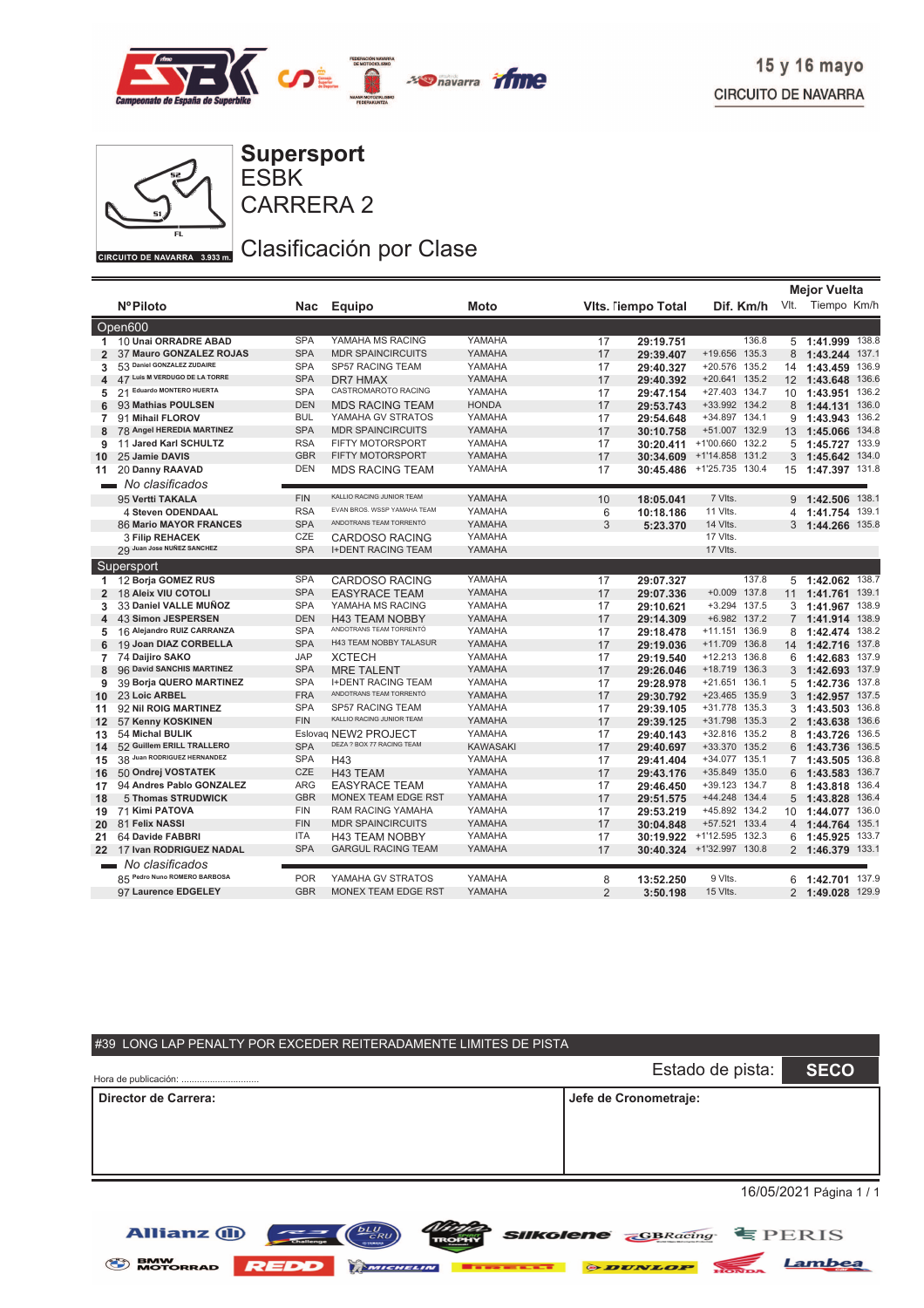



ESBK **Supersport**

CARRERA 2

Clasificación por Clase

|                |                               |            |                             |                 |                |                           |                           |    | <b>Mejor Vuelta</b> |       |
|----------------|-------------------------------|------------|-----------------------------|-----------------|----------------|---------------------------|---------------------------|----|---------------------|-------|
|                | <b>NºPiloto</b>               | Nac        | <b>Equipo</b>               | Moto            |                | <b>Vits. Tiempo Total</b> | Dif. Km/h                 |    | Vlt. Tiempo Km/h    |       |
|                | Open600                       |            |                             |                 |                |                           |                           |    |                     |       |
| 1              | 10 Unai ORRADRE ABAD          | <b>SPA</b> | YAMAHA MS RACING            | YAMAHA          | 17             | 29:19.751                 | 136.8                     |    | 5 1:41.999          | 138.8 |
| $\overline{2}$ | 37 Mauro GONZALEZ ROJAS       | <b>SPA</b> | <b>MDR SPAINCIRCUITS</b>    | YAMAHA          | 17             | 29:39.407                 | +19.656 135.3             | 8  | 1:43.244 137.1      |       |
| 3              | 53 Daniel GONZALEZ ZUDAIRE    | <b>SPA</b> | SP57 RACING TEAM            | YAMAHA          | 17             | 29:40.327                 | +20.576 135.2             | 14 | 1:43.459            | 136.9 |
| 4              | 47 Luis M VERDUGO DE LA TORRE | <b>SPA</b> | <b>DR7 HMAX</b>             | YAMAHA          | 17             | 29:40.392                 | +20.641 135.2             |    | 12 1:43.648         | 136.6 |
| 5              | 21 Eduardo MONTERO HUERTA     | <b>SPA</b> | CASTROMAROTO RACING         | YAMAHA          | 17             | 29:47.154                 | +27.403 134.7             | 10 | 1:43.951            | 136.2 |
| 6              | 93 Mathias POULSEN            | <b>DEN</b> | <b>MDS RACING TEAM</b>      | <b>HONDA</b>    | 17             | 29:53.743                 | +33.992 134.2             |    | 8 1:44.131 136.0    |       |
| 7              | 91 Mihail FLOROV              | <b>BUL</b> | YAMAHA GV STRATOS           | YAMAHA          | 17             | 29:54.648                 | +34.897 134.1             | 9  | 1:43.943            | 136.2 |
| 8              | 78 Angel HEREDIA MARTINEZ     | <b>SPA</b> | <b>MDR SPAINCIRCUITS</b>    | YAMAHA          | 17             | 30:10.758                 | +51.007 132.9             | 13 | 1:45.066            | 134.8 |
| 9              | 11 Jared Karl SCHULTZ         | <b>RSA</b> | FIFTY MOTORSPORT            | YAMAHA          | 17             | 30:20.411                 | +1'00.660 132.2           | 5  | 1:45.727 133.9      |       |
| 10             | 25 Jamie DAVIS                | <b>GBR</b> | <b>FIFTY MOTORSPORT</b>     | YAMAHA          | 17             | 30:34.609                 | +1'14.858 131.2           | 3  | 1:45.642 134.0      |       |
| 11             | 20 Danny RAAVAD               | <b>DEN</b> | <b>MDS RACING TEAM</b>      | YAMAHA          | 17             |                           | 30:45.486 +1'25.735 130.4 |    | 15 1:47.397 131.8   |       |
|                | No clasificados               |            |                             |                 |                |                           |                           |    |                     |       |
|                | 95 Vertti TAKALA              | <b>FIN</b> | KALLIO RACING JUNIOR TEAM   | YAMAHA          | 10             | 18:05.041                 | 7 Vlts.                   | 9  | 1:42.506            | 138.1 |
|                | 4 Steven ODENDAAL             | <b>RSA</b> | EVAN BROS. WSSP YAMAHA TEAM | YAMAHA          | 6              | 10:18.186                 | 11 VIts.                  |    | 4 1:41.754          | 139.1 |
|                | 86 Mario MAYOR FRANCES        | <b>SPA</b> | ANDOTRANS TEAM TORRENTÓ     | YAMAHA          | 3              | 5:23.370                  | 14 Vlts.                  |    | 3 1:44.266 135.8    |       |
|                | <b>3 Filip REHACEK</b>        | CZE        | <b>CARDOSO RACING</b>       | YAMAHA          |                |                           | 17 Vlts.                  |    |                     |       |
|                | 29 Juan Jose NUÑEZ SANCHEZ    | <b>SPA</b> | <b>I+DENT RACING TEAM</b>   | YAMAHA          |                |                           | 17 VIts.                  |    |                     |       |
|                | Supersport                    |            |                             |                 |                |                           |                           |    |                     |       |
| 1              | 12 Borja GOMEZ RUS            | <b>SPA</b> | <b>CARDOSO RACING</b>       | YAMAHA          | 17             | 29:07.327                 | 137.8                     |    | 5 1:42.062 138.7    |       |
| $\overline{2}$ | 18 Aleix VIU COTOLI           | <b>SPA</b> | <b>EASYRACE TEAM</b>        | YAMAHA          | 17             | 29:07.336                 | $+0.009$ 137.8            | 11 | 1:41.761 139.1      |       |
| 3              | 33 Daniel VALLE MUÑOZ         | <b>SPA</b> | YAMAHA MS RACING            | YAMAHA          | 17             | 29:10.621                 | +3.294 137.5              | 3  | 1:41.967            | 138.9 |
| 4              | 43 Simon JESPERSEN            | <b>DEN</b> | <b>H43 TEAM NOBBY</b>       | YAMAHA          | 17             | 29:14.309                 | +6.982 137.2              |    | 7 1:41.914 138.9    |       |
| 5              | 16 Alejandro RUIZ CARRANZA    | <b>SPA</b> | ANDOTRANS TEAM TORRENTÓ     | YAMAHA          | 17             | 29:18.478                 | +11.151 136.9             | 8  | 1:42.474            | 138.2 |
| 6              | 19 Joan DIAZ CORBELLA         | <b>SPA</b> | H43 TEAM NOBBY TALASUR      | YAMAHA          | 17             | 29:19.036                 | +11.709 136.8             |    | 14 1:42.716         | 137.8 |
| 7              | 74 Daijiro SAKO               | <b>JAP</b> | <b>XCTECH</b>               | YAMAHA          | 17             | 29:19.540                 | +12.213 136.8             | 6  | 1:42.683            | 137.9 |
| 8              | 96 David SANCHIS MARTINEZ     | <b>SPA</b> | <b>MRE TALENT</b>           | YAMAHA          | 17             | 29:26.046                 | +18.719 136.3             | 3  | 1:42.693 137.9      |       |
| 9              | 39 Borja QUERO MARTINEZ       | <b>SPA</b> | <b>I+DENT RACING TEAM</b>   | YAMAHA          | 17             | 29:28.978                 | +21.651 136.1             | 5  | 1:42.736            | 137.8 |
| 10             | 23 Loic ARBEL                 | <b>FRA</b> | ANDOTRANS TEAM TORRENTÓ     | YAMAHA          | 17             | 29:30.792                 | +23.465 135.9             | 3  | 1:42.957            | 137.5 |
| 11             | 92 Nil ROIG MARTINEZ          | <b>SPA</b> | SP57 RACING TEAM            | YAMAHA          | 17             | 29:39.105                 | +31.778 135.3             |    | 3, 1:43.503         | 136.8 |
| 12             | 57 Kenny KOSKINEN             | <b>FIN</b> | KALLIO RACING JUNIOR TEAM   | YAMAHA          | 17             | 29:39.125                 | +31.798 135.3             |    | 2 1:43.638          | 136.6 |
| 13             | 54 Michal BULIK               |            | Eslovaq NEW2 PROJECT        | YAMAHA          | 17             | 29:40.143                 | +32.816 135.2             | 8  | 1:43.726            | 136.5 |
| 14             | 52 Guillem ERILL TRALLERO     | <b>SPA</b> | DEZA ? BOX 77 RACING TEAM   | <b>KAWASAKI</b> | 17             | 29:40.697                 | +33.370 135.2             | 6  | 1:43.736            | 136.5 |
| 15             | 38 Juan RODRIGUEZ HERNANDEZ   | <b>SPA</b> | H43                         | YAMAHA          | 17             | 29:41.404                 | +34.077 135.1             |    | 7 1:43.505          | 136.8 |
| 16             | 50 Ondrej VOSTATEK            | CZE        | H43 TEAM                    | YAMAHA          | 17             | 29:43.176                 | +35.849 135.0             | 6  | 1:43.583            | 136.7 |
| 17             | 94 Andres Pablo GONZALEZ      | <b>ARG</b> | <b>EASYRACE TEAM</b>        | YAMAHA          | 17             | 29:46.450                 | +39.123 134.7             | 8  | 1:43.818            | 136.4 |
| 18             | 5 Thomas STRUDWICK            | <b>GBR</b> | MONEX TEAM EDGE RST         | YAMAHA          | 17             | 29:51.575                 | +44.248 134.4             | 5  | 1:43.828            | 136.4 |
| 19             | 71 Kimi PATOVA                | <b>FIN</b> | <b>RAM RACING YAMAHA</b>    | YAMAHA          | 17             | 29:53.219                 | +45.892 134.2             | 10 | 1:44.077            | 136.0 |
| 20             | 81 Felix NASSI                | <b>FIN</b> | <b>MDR SPAINCIRCUITS</b>    | YAMAHA          | 17             | 30:04.848                 | +57.521 133.4             |    | 4 1:44.764 135.1    |       |
| 21             | 64 Davide FABBRI              | <b>ITA</b> | <b>H43 TEAM NOBBY</b>       | YAMAHA          | 17             | 30:19.922                 | +1'12.595 132.3           | 6  | 1:45.925            | 133.7 |
| 22             | 17 Ivan RODRIGUEZ NADAL       | <b>SPA</b> | <b>GARGUL RACING TEAM</b>   | YAMAHA          | 17             | 30:40.324                 | +1'32.997 130.8           |    | 2 1:46.379 133.1    |       |
|                | No clasificados               |            |                             |                 |                |                           |                           |    |                     |       |
|                | 85 Pedro Nuno ROMERO BARBOSA  | <b>POR</b> | YAMAHA GV STRATOS           | YAMAHA          | 8              | 13:52.250                 | 9 Vlts.                   |    | 6 1:42.701          | 137.9 |
|                | 97 Laurence EDGELEY           | <b>GBR</b> | <b>MONEX TEAM EDGE RST</b>  | YAMAHA          | $\overline{2}$ | 3:50.198                  | 15 Vlts.                  |    | 2 1:49.028 129.9    |       |

| #39 LONG LAP PENALTY POR EXCEDER REITERADAMENTE LIMITES DE PISTA |                       |             |  |  |  |  |  |  |  |  |  |  |
|------------------------------------------------------------------|-----------------------|-------------|--|--|--|--|--|--|--|--|--|--|
| Hora de publicación:                                             | Estado de pista:      | <b>SECO</b> |  |  |  |  |  |  |  |  |  |  |
| Director de Carrera:                                             | Jefe de Cronometraje: |             |  |  |  |  |  |  |  |  |  |  |
| 16/05/2021 Página 1 / 1                                          |                       |             |  |  |  |  |  |  |  |  |  |  |

*SIIKolene GBRacing* **EPERIS** 

Lambea



**Allianz (II)** 

 $\equiv$   $\equiv$   $\sim$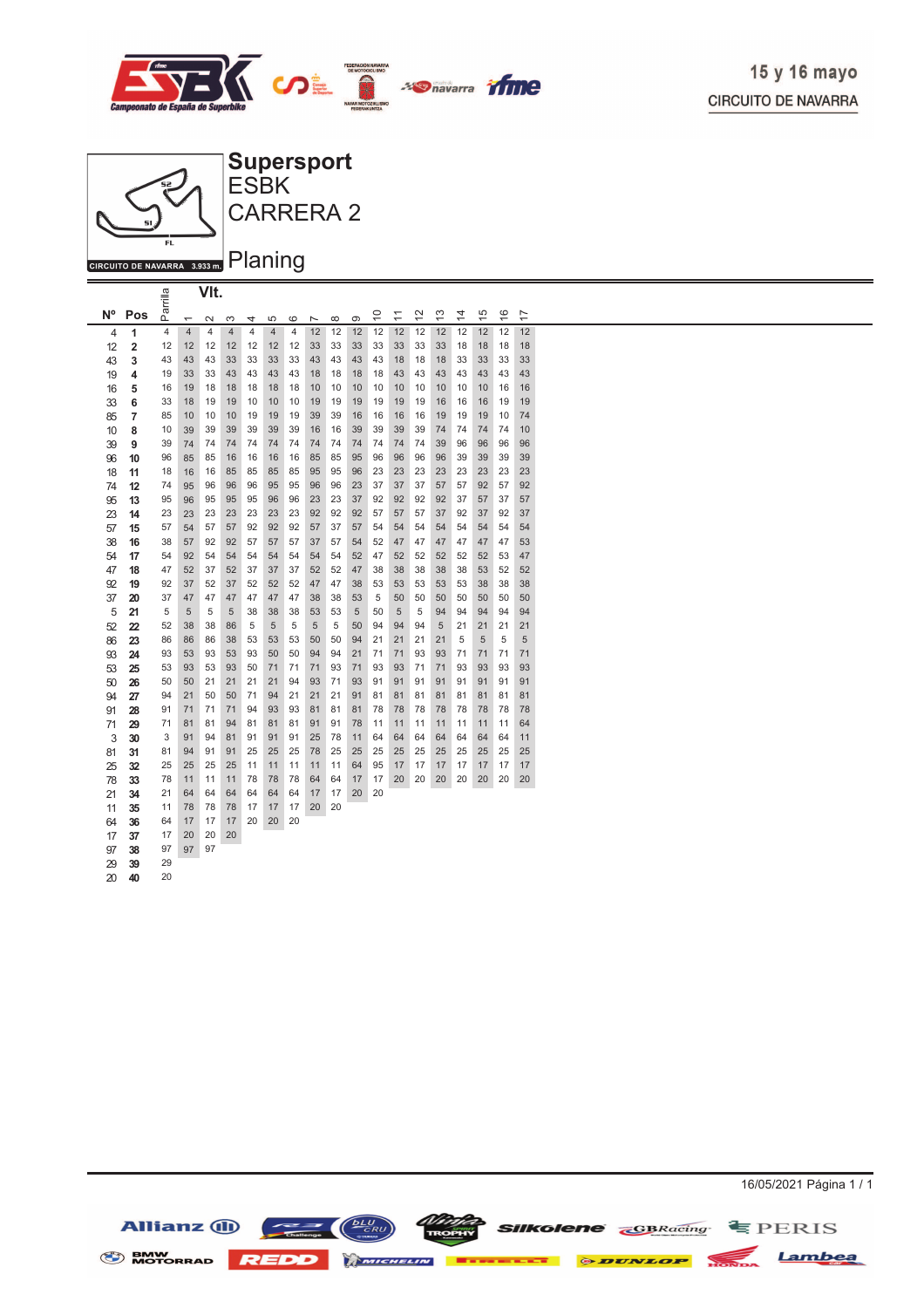



|                |                         | arrilla |                          | VIt.   |                |    |                |                |                          |          |    |                                    |             |               |               |                |               |               |                |  |
|----------------|-------------------------|---------|--------------------------|--------|----------------|----|----------------|----------------|--------------------------|----------|----|------------------------------------|-------------|---------------|---------------|----------------|---------------|---------------|----------------|--|
| N <sup>o</sup> | Pos                     | ௳       | $\overline{\phantom{0}}$ | $\sim$ | S              | 4  | 5              | $\circ$        | $\overline{\phantom{a}}$ | $\infty$ | ၜ  | $\overset{\circ}{\phantom{\circ}}$ | $\tilde{+}$ | $\frac{2}{3}$ | $\frac{3}{2}$ | $\overline{4}$ | $\frac{5}{1}$ | $\frac{6}{5}$ | $\overline{1}$ |  |
| 4              | 1                       | 4       | $\overline{4}$           | 4      | $\overline{4}$ | 4  | $\overline{4}$ | $\overline{4}$ | 12                       | 12       | 12 | 12                                 | 12          | 12            | 12            | 12             | 12            | 12            | 12             |  |
| 12             | $\overline{\mathbf{2}}$ | 12      | 12                       | 12     | 12             | 12 | 12             | 12             | 33                       | 33       | 33 | 33                                 | 33          | 33            | 33            | 18             | 18            | 18            | 18             |  |
| 43             | 3                       | 43      | 43                       | 43     | 33             | 33 | 33             | 33             | 43                       | 43       | 43 | 43                                 | 18          | 18            | 18            | 33             | 33            | 33            | 33             |  |
| 19             | 4                       | 19      | 33                       | 33     | 43             | 43 | 43             | 43             | 18                       | 18       | 18 | 18                                 | 43          | 43            | 43            | 43             | 43            | 43            | 43             |  |
| 16             | 5                       | 16      | 19                       | 18     | 18             | 18 | 18             | 18             | 10                       | 10       | 10 | 10                                 | 10          | 10            | 10            | 10             | 10            | 16            | 16             |  |
| 33             | 6                       | 33      | 18                       | 19     | 19             | 10 | 10             | 10             | 19                       | 19       | 19 | 19                                 | 19          | 19            | 16            | 16             | 16            | 19            | 19             |  |
| 85             | 7                       | 85      | 10                       | 10     | 10             | 19 | 19             | 19             | 39                       | 39       | 16 | 16                                 | 16          | 16            | 19            | 19             | 19            | 10            | 74             |  |
| 10             | 8                       | 10      | 39                       | 39     | 39             | 39 | 39             | 39             | 16                       | 16       | 39 | 39                                 | 39          | 39            | 74            | 74             | 74            | 74            | 10             |  |
| 39             | 9                       | 39      | 74                       | 74     | 74             | 74 | 74             | 74             | 74                       | 74       | 74 | 74                                 | 74          | 74            | 39            | 96             | 96            | 96            | 96             |  |
| 96             | 10                      | 96      | 85                       | 85     | 16             | 16 | 16             | 16             | 85                       | 85       | 95 | 96                                 | 96          | 96            | 96            | 39             | 39            | 39            | 39             |  |
| 18             | 11                      | 18      | 16                       | 16     | 85             | 85 | 85             | 85             | 95                       | 95       | 96 | 23                                 | 23          | 23            | 23            | 23             | 23            | 23            | 23             |  |
| 74             | 12                      | 74      | 95                       | 96     | 96             | 96 | 95             | 95             | 96                       | 96       | 23 | 37                                 | 37          | 37            | 57            | 57             | 92            | 57            | 92             |  |
| 95             | 13                      | 95      | 96                       | 95     | 95             | 95 | 96             | 96             | 23                       | 23       | 37 | 92                                 | 92          | 92            | 92            | 37             | 57            | 37            | 57             |  |
| 23             | 14                      | 23      | 23                       | 23     | 23             | 23 | 23             | 23             | 92                       | 92       | 92 | 57                                 | 57          | 57            | 37            | 92             | 37            | 92            | 37             |  |
| 57             | 15                      | 57      | 54                       | 57     | 57             | 92 | 92             | 92             | 57                       | 37       | 57 | 54                                 | 54          | 54            | 54            | 54             | 54            | 54            | 54             |  |
| 38             | 16                      | 38      | 57                       | 92     | 92             | 57 | 57             | 57             | 37                       | 57       | 54 | 52                                 | 47          | 47            | 47            | 47             | 47            | 47            | 53             |  |
| 54             | 17                      | 54      | 92                       | 54     | 54             | 54 | 54             | 54             | 54                       | 54       | 52 | 47                                 | 52          | 52            | 52            | 52             | 52            | 53            | 47             |  |
| 47             | 18                      | 47      | 52                       | 37     | 52             | 37 | 37             | 37             | 52                       | 52       | 47 | 38                                 | 38          | 38            | 38            | 38             | 53            | 52            | 52             |  |
| 92             | 19                      | 92      | 37                       | 52     | 37             | 52 | 52             | 52             | 47                       | 47       | 38 | 53                                 | 53          | 53            | 53            | 53             | 38            | 38            | 38             |  |
| 37             | 20                      | 37      | 47                       | 47     | 47             | 47 | 47             | 47             | 38                       | 38       | 53 | 5                                  | 50          | 50            | 50            | 50             | 50            | 50            | 50             |  |
| 5              | 21                      | 5       | 5                        | 5      | 5              | 38 | 38             | 38             | 53                       | 53       | 5  | 50                                 | 5           | 5             | 94            | 94             | 94            | 94            | 94             |  |
| 52             | 22                      | 52      | 38                       | 38     | 86             | 5  | 5              | 5              | 5                        | 5        | 50 | 94                                 | 94          | 94            | 5             | 21             | 21            | 21            | 21             |  |
| 86             | 23                      | 86      | 86                       | 86     | 38             | 53 | 53             | 53             | 50                       | 50       | 94 | 21                                 | 21          | 21            | 21            | 5              | 5             | 5             | 5              |  |
| 93             | 24                      | 93      | 53                       | 93     | 53             | 93 | 50             | 50             | 94                       | 94       | 21 | 71                                 | 71          | 93            | 93            | 71             | 71            | 71            | 71             |  |
| 53             | 25                      | 53      | 93                       | 53     | 93             | 50 | 71             | 71             | 71                       | 93       | 71 | 93                                 | 93          | 71            | 71            | 93             | 93            | 93            | 93             |  |
| 50             | 26                      | 50      | 50                       | 21     | 21             | 21 | 21             | 94             | 93                       | 71       | 93 | 91                                 | 91          | 91            | 91            | 91             | 91            | 91            | 91             |  |
| 94             | 27                      | 94      | 21                       | 50     | 50             | 71 | 94             | 21             | 21                       | 21       | 91 | 81                                 | 81          | 81            | 81            | 81             | 81            | 81            | 81             |  |
| 91             | 28                      | 91      | 71                       | 71     | 71             | 94 | 93             | 93             | 81                       | 81       | 81 | 78                                 | 78          | 78            | 78            | 78             | 78            | 78            | 78             |  |
| 71             | 29                      | 71      | 81                       | 81     | 94             | 81 | 81             | 81             | 91                       | 91       | 78 | 11                                 | 11          | 11            | 11            | 11             | 11            | 11            | 64             |  |
| 3              | 30                      | 3       | 91                       | 94     | 81             | 91 | 91             | 91             | 25                       | 78       | 11 | 64                                 | 64          | 64            | 64            | 64             | 64            | 64            | 11             |  |
| 81             | 31                      | 81      | 94                       | 91     | 91             | 25 | 25             | 25             | 78                       | 25       | 25 | 25                                 | 25          | 25            | 25            | 25             | 25            | 25            | 25             |  |
| 25             | 32                      | 25      | 25                       | 25     | 25             | 11 | 11             | 11             | 11                       | 11       | 64 | 95                                 | 17          | 17            | 17            | 17             | 17            | 17            | 17             |  |
| 78             | 33                      | 78      | 11                       | 11     | 11             | 78 | 78             | 78             | 64                       | 64       | 17 | 17                                 | 20          | 20            | 20            | 20             | 20            | 20            | 20             |  |
| 21             | 34                      | 21      | 64                       | 64     | 64             | 64 | 64             | 64             | 17                       | 17       | 20 | 20                                 |             |               |               |                |               |               |                |  |
| 11             | 35                      | 11      | 78                       | 78     | 78             | 17 | 17             | 17             | 20                       | 20       |    |                                    |             |               |               |                |               |               |                |  |
| 64             | 36                      | 64      | 17                       | 17     | 17             | 20 | 20             | 20             |                          |          |    |                                    |             |               |               |                |               |               |                |  |
| 17             | 37                      | 17      | 20                       | 20     | 20             |    |                |                |                          |          |    |                                    |             |               |               |                |               |               |                |  |
| 97             | 38                      | 97      | 97                       | 97     |                |    |                |                |                          |          |    |                                    |             |               |               |                |               |               |                |  |
| 29             | 39                      | 29      |                          |        |                |    |                |                |                          |          |    |                                    |             |               |               |                |               |               |                |  |
| 20             | 40                      | 20      |                          |        |                |    |                |                |                          |          |    |                                    |             |               |               |                |               |               |                |  |

Allianz  $\bigoplus$ 

S BMW MOTORRAD REDD **MICHELIN Externe CONDUCT STATE** 

16/05/2021 Página 1 / 1

Lambea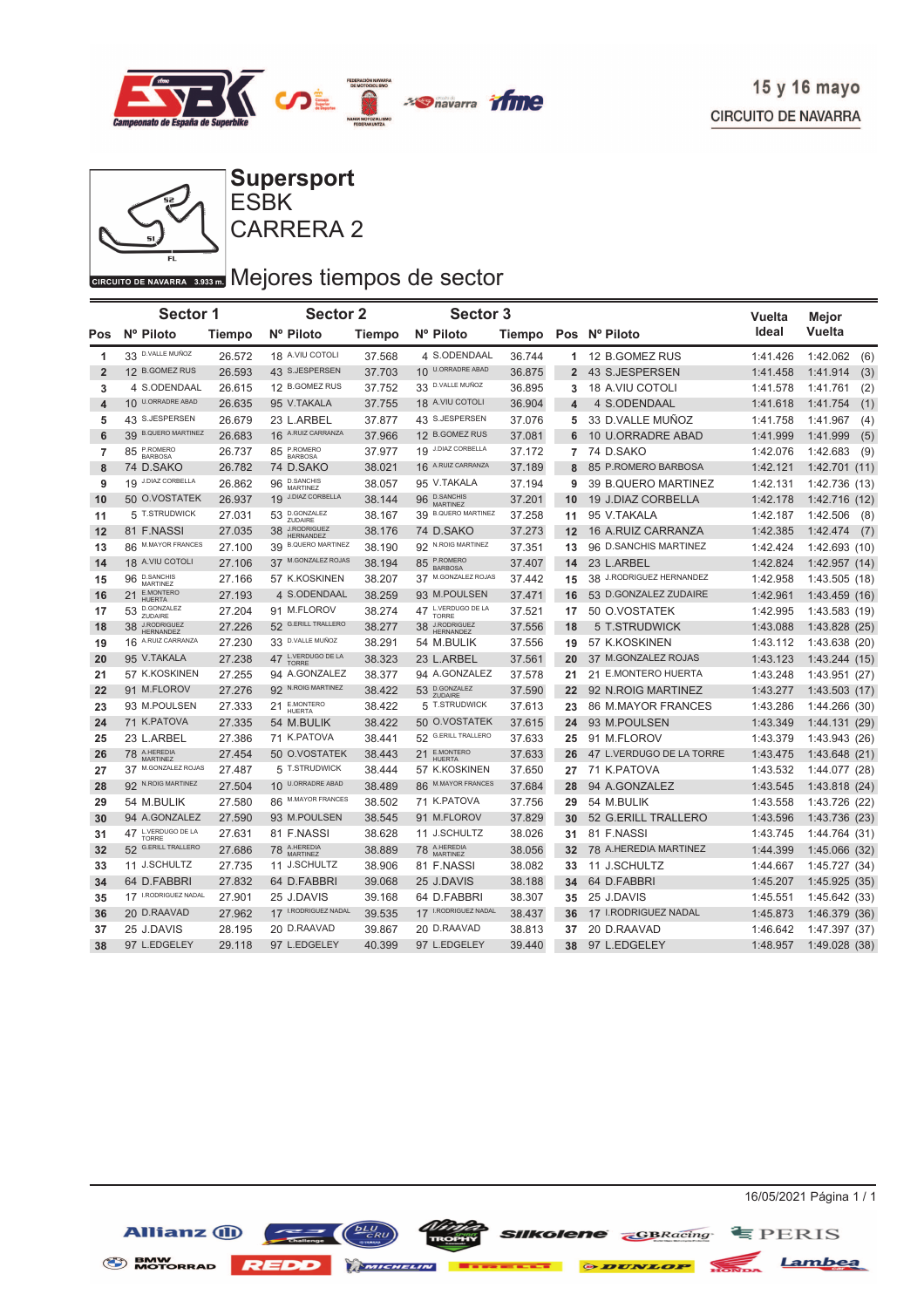



CARRERA 2 ESBK **Supersport**

## GIRCUITO DE NAVARRA 3.933 DI Mejores tiempos de sector

|                | <b>Sector 1</b><br>Nº Piloto       |        | Sector 2                                  |               | Sector 3                                     |        |                |                          | Vuelta   | Mejor           |
|----------------|------------------------------------|--------|-------------------------------------------|---------------|----------------------------------------------|--------|----------------|--------------------------|----------|-----------------|
| Pos            |                                    | Tiempo | Nº Piloto                                 | <b>Tiempo</b> | Nº Piloto                                    |        |                | Tiempo Pos Nº Piloto     | Ideal    | Vuelta          |
| 1              | 33 D.VALLE MUÑOZ                   | 26.572 | 18 A.VIU COTOLI                           | 37.568        | 4 S.ODENDAAL                                 | 36.744 |                | 1 12 B.GOMEZ RUS         | 1:41.426 | 1:42.062<br>(6) |
| $\overline{2}$ | 12 B.GOMEZ RUS                     | 26.593 | 43 S.JESPERSEN                            | 37.703        | 10 U.ORRADRE ABAD                            | 36.875 | $\overline{2}$ | 43 S.JESPERSEN           | 1:41.458 | (3)<br>1:41.914 |
| 3              | 4 S.ODENDAAL                       | 26.615 | 12 B.GOMEZ RUS                            | 37.752        | 33 D.VALLE MUÑOZ                             | 36.895 | 3              | <b>18 A.VIU COTOLI</b>   | 1:41.578 | 1:41.761<br>(2) |
| 4              | 10 U.ORRADRE ABAD                  | 26.635 | 95 V.TAKALA                               | 37.755        | 18 A.VIU COTOLI                              | 36.904 | 4              | 4 S.ODENDAAL             | 1:41.618 | 1:41.754<br>(1) |
| 5              | 43 S.JESPERSEN                     | 26.679 | 23 L.ARBEL                                | 37.877        | 43 S.JESPERSEN                               | 37.076 | 5              | 33 D.VALLE MUÑOZ         | 1:41.758 | 1:41.967<br>(4) |
| 6              | 39 B.QUERO MARTINEZ                | 26.683 | 16 A.RUIZ CARRANZA                        | 37.966        | 12 B.GOMEZ RUS                               | 37.081 | 6              | 10 U.ORRADRE ABAD        | 1:41.999 | 1:41.999<br>(5) |
| 7              | 85 P.ROMERO                        | 26.737 | 85 P.ROMERO                               | 37.977        | 19 J.DIAZ CORBELLA                           | 37.172 | $\overline{7}$ | 74 D.SAKO                | 1:42.076 | 1:42.683<br>(9) |
| 8              | 74 D.SAKO                          | 26.782 | 74 D.SAKO                                 | 38.021        | 16 A.RUIZ CARRANZA                           | 37.189 | 8              | 85 P.ROMERO BARBOSA      | 1:42.121 | 1:42.701 (11)   |
| 9              | 19 J.DIAZ CORBELLA                 | 26.862 | <b>D.SANCHIS</b><br>96<br><b>MARTINEZ</b> | 38.057        | 95 V.TAKALA                                  | 37.194 | 9              | 39 B.QUERO MARTINEZ      | 1:42.131 | 1:42.736 (13)   |
| 10             | 50 O.VOSTATEK                      | 26.937 | 19 J.DIAZ CORBELLA                        | 38.144        | <b>D.SANCHIS</b><br>96<br><b>MARTINEZ</b>    | 37.201 | 10             | 19 J.DIAZ CORBELLA       | 1:42.178 | 1:42.716 (12)   |
| 11             | 5 T.STRUDWICK                      | 27.031 | D.GONZALEZ<br>53<br>ZUDAIRE               | 38.167        | <b>B.QUERO MARTINEZ</b><br>39                | 37.258 | 11             | 95 V.TAKALA              | 1:42.187 | 1:42.506<br>(8) |
| 12             | 81 F.NASSI                         | 27.035 | J.RODRIGUEZ<br>38<br><b>HERNANDEZ</b>     | 38.176        | 74 D.SAKO                                    | 37.273 | 12             | 16 A.RUIZ CARRANZA       | 1:42.385 | 1:42.474<br>(7) |
| 13             | 86 M.MAYOR FRANCES                 | 27.100 | <b>B.QUERO MARTINEZ</b><br>39             | 38.190        | 92 N.ROIG MARTINEZ                           | 37.351 | 13             | 96 D.SANCHIS MARTINEZ    | 1:42.424 | 1:42.693 (10)   |
| 14             | 18 A.VIU COTOLI                    | 27.106 | 37 M.GONZALEZ ROJAS                       | 38.194        | P.ROMERO<br>85<br><b>BARBOSA</b>             | 37.407 | 14             | 23 L.ARBEL               | 1:42.824 | 1:42.957 (14)   |
| 15             | 96 D.SANCHIS<br>MARTINEZ           | 27.166 | 57 K.KOSKINEN                             | 38.207        | 37 M.GONZALEZ ROJAS                          | 37.442 | 15             | 38 J.RODRIGUEZ HERNANDEZ | 1:42.958 | 1:43.505 (18)   |
| 16             | E.MONTERO<br>21<br><b>HUERTA</b>   | 27.193 | 4 S.ODENDAAL                              | 38.259        | 93 M.POULSEN                                 | 37.471 | 16             | 53 D.GONZALEZ ZUDAIRE    | 1:42.961 | 1:43.459(16)    |
| 17             | D.GONZALEZ<br>53<br>ZUDAIRE        | 27.204 | 91 M.FLOROV                               | 38.274        | L.VERDUGO DE LA<br>47<br>TORRE               | 37.521 | 17             | 50 O.VOSTATEK            | 1:42.995 | 1:43.583(19)    |
| 18             | 38 J.RODRIGUEZ<br>HERNANDEZ        | 27.226 | 52 G.ERILL TRALLERO                       | 38.277        | <b>J.RODRIGUEZ</b><br>38<br><b>HERNANDEZ</b> | 37.556 | 18             | 5 T.STRUDWICK            | 1:43.088 | 1:43.828(25)    |
| 19             | 16 A.RUIZ CARRANZA                 | 27.230 | 33 D.VALLE MUÑOZ                          | 38.291        | 54 M.BULIK                                   | 37.556 | 19             | 57 K.KOSKINEN            | 1:43.112 | 1:43.638 (20)   |
| 20             | 95 V.TAKALA                        | 27.238 | 47 LVERDUGO DE LA<br><b>TORRE</b>         | 38.323        | 23 L.ARBEL                                   | 37.561 | 20             | 37 M.GONZALEZ ROJAS      | 1:43.123 | 1:43.244(15)    |
| 21             | 57 K.KOSKINEN                      | 27.255 | 94 A.GONZALEZ                             | 38.377        | 94 A.GONZALEZ                                | 37.578 | 21             | 21 E.MONTERO HUERTA      | 1:43.248 | 1:43.951 (27)   |
| 22             | 91 M.FLOROV                        | 27.276 | 92 N.ROIG MARTINEZ                        | 38.422        | 53 D.GONZALEZ<br>ZUDAIRE                     | 37.590 | 22             | 92 N.ROIG MARTINEZ       | 1:43.277 | 1:43.503(17)    |
| 23             | 93 M.POULSEN                       | 27.333 | E.MONTERO<br>21<br><b>HUERTA</b>          | 38.422        | 5 T.STRUDWICK                                | 37.613 | 23             | 86 M.MAYOR FRANCES       | 1:43.286 | 1:44.266(30)    |
| 24             | 71 K.PATOVA                        | 27.335 | 54 M.BULIK                                | 38.422        | 50 O.VOSTATEK                                | 37.615 | 24             | 93 M.POULSEN             | 1:43.349 | 1:44.131 (29)   |
| 25             | 23 L.ARBEL                         | 27.386 | 71 K.PATOVA                               | 38.441        | 52 G.ERILL TRALLERO                          | 37.633 | 25             | 91 M.FLOROV              | 1:43.379 | 1:43.943 (26)   |
| 26             | 78 A.HEREDIA<br>MARTINEZ           | 27.454 | 50 O.VOSTATEK                             | 38.443        | E.MONTERO<br>21<br><b>HUERTA</b>             | 37.633 | 26             | 47 L.VERDUGO DE LA TORRE | 1:43.475 | 1:43.648 (21)   |
| 27             | 37 M.GONZALEZ ROJAS                | 27.487 | 5 T.STRUDWICK                             | 38.444        | 57 K.KOSKINEN                                | 37.650 | 27             | 71 K.PATOVA              | 1:43.532 | 1:44.077 (28)   |
| 28             | 92 N.ROIG MARTINEZ                 | 27.504 | 10 U.ORRADRE ABAD                         | 38.489        | 86 M.MAYOR FRANCES                           | 37.684 | 28             | 94 A.GONZALEZ            | 1:43.545 | 1:43.818 (24)   |
| 29             | 54 M.BULIK                         | 27.580 | 86 M.MAYOR FRANCES                        | 38.502        | 71 K.PATOVA                                  | 37.756 | 29             | 54 M.BULIK               | 1:43.558 | 1:43.726 (22)   |
| 30             | 94 A.GONZALEZ                      | 27.590 | 93 M.POULSEN                              | 38.545        | 91 M.FLOROV                                  | 37.829 | 30             | 52 G.ERILL TRALLERO      | 1:43.596 | 1:43.736 (23)   |
| 31             | 47 L.VERDUGO DE LA<br><b>TORRE</b> | 27.631 | 81 F.NASSI                                | 38.628        | 11 J.SCHULTZ                                 | 38.026 | 31             | 81 F.NASSI               | 1:43.745 | 1:44.764 (31)   |
| 32             | 52 G.ERILL TRALLERO                | 27.686 | 78 A.HEREDIA                              | 38.889        | A.HEREDIA<br>MARTINEZ<br>78                  | 38.056 | 32             | 78 A.HEREDIA MARTINEZ    | 1:44.399 | 1:45.066 (32)   |
| 33             | 11 J.SCHULTZ                       | 27.735 | 11 J.SCHULTZ                              | 38.906        | 81 F.NASSI                                   | 38.082 | 33             | 11 J.SCHULTZ             | 1:44.667 | 1:45.727(34)    |
| 34             | 64 D.FABBRI                        | 27.832 | 64 D.FABBRI                               | 39.068        | 25 J.DAVIS                                   | 38.188 | 34             | 64 D.FABBRI              | 1:45.207 | 1:45.925(35)    |
| 35             | 17 I.RODRIGUEZ NADAL               | 27.901 | 25 J.DAVIS                                | 39.168        | 64 D.FABBRI                                  | 38.307 | 35             | 25 J.DAVIS               | 1:45.551 | 1:45.642(33)    |
| 36             | 20 D.RAAVAD                        | 27.962 | 17 I.RODRIGUEZ NADAL                      | 39.535        | 17 I.RODRIGUEZ NADAL                         | 38.437 | 36             | 17 I.RODRIGUEZ NADAL     | 1:45.873 | 1:46.379 (36)   |
| 37             | 25 J.DAVIS                         | 28.195 | 20 D.RAAVAD                               | 39.867        | 20 D.RAAVAD                                  | 38.813 | 37             | 20 D.RAAVAD              | 1:46.642 | 1:47.397 (37)   |
| 38             | 97 L.EDGELEY                       | 29.118 | 97 L.EDGELEY                              | 40.399        | 97 L.EDGELEY                                 | 39.440 | 38             | 97 L.EDGELEY             | 1:48.957 | 1:49.028 (38)   |

**SENW MOTORRAD REDD Extent OF DUNLOP** 

Allianz (1)

Lambea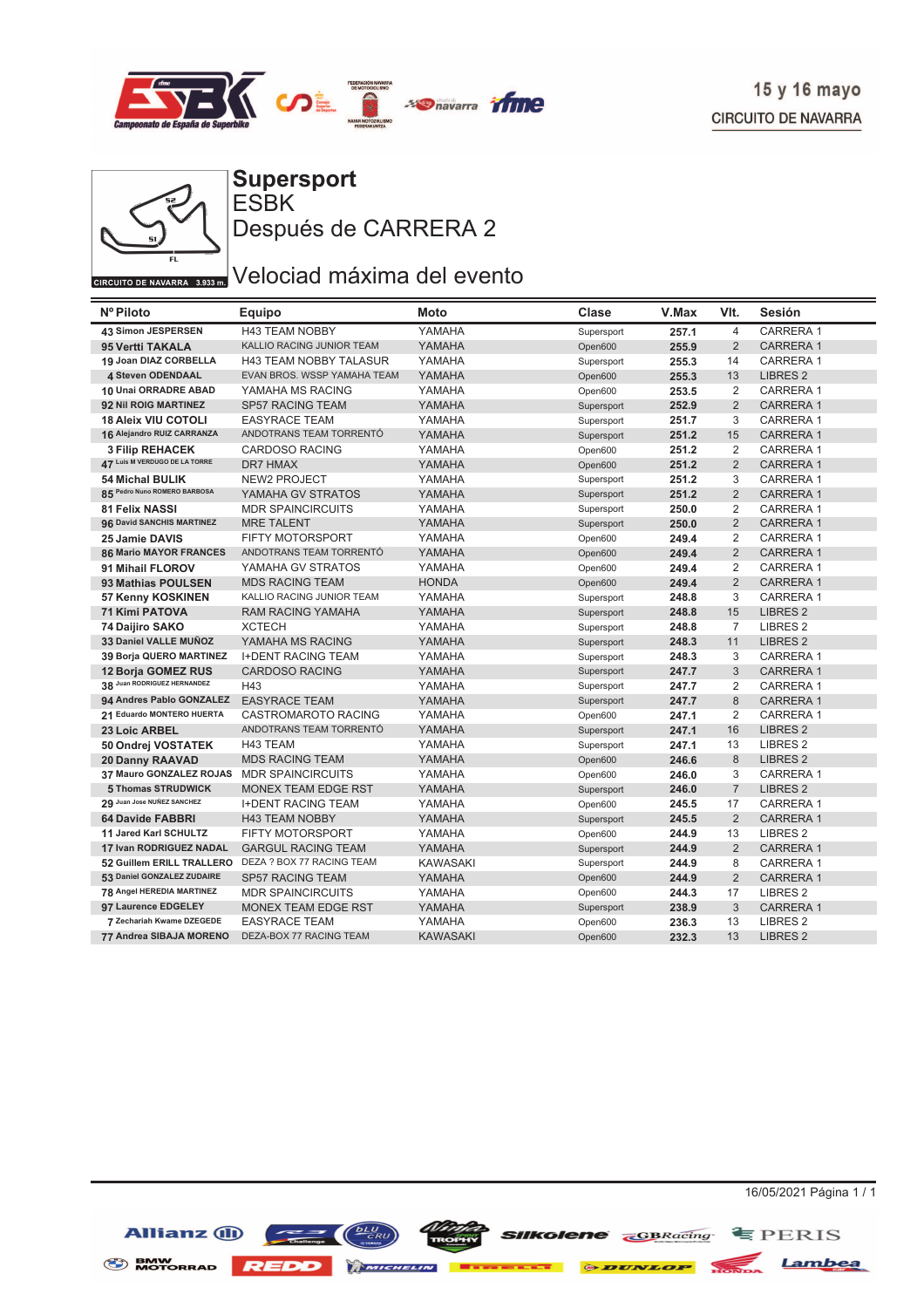



ESBK **Supersport** Después de CARRERA 2

# GIRCUITO DE NAVARRA 3.933 DI Velociad máxima del evento

| Nº Piloto                     | Equipo                        | Moto            | Clase      | V.Max | VIt.           | Sesión              |
|-------------------------------|-------------------------------|-----------------|------------|-------|----------------|---------------------|
| 43 Simon JESPERSEN            | <b>H43 TEAM NOBBY</b>         | YAMAHA          | Supersport | 257.1 | $\overline{4}$ | CARRERA 1           |
| 95 Vertti TAKALA              | KALLIO RACING JUNIOR TEAM     | YAMAHA          | Open600    | 255.9 | $\overline{2}$ | <b>CARRERA1</b>     |
| 19 Joan DIAZ CORBELLA         | <b>H43 TEAM NOBBY TALASUR</b> | YAMAHA          | Supersport | 255.3 | 14             | <b>CARRERA1</b>     |
| 4 Steven ODENDAAL             | EVAN BROS. WSSP YAMAHA TEAM   | YAMAHA          | Open600    | 255.3 | 13             | <b>LIBRES 2</b>     |
| 10 Unai ORRADRE ABAD          | YAMAHA MS RACING              | YAMAHA          | Open600    | 253.5 | 2              | <b>CARRERA1</b>     |
| 92 Nil ROIG MARTINEZ          | <b>SP57 RACING TEAM</b>       | YAMAHA          | Supersport | 252.9 | $\overline{2}$ | <b>CARRERA1</b>     |
| <b>18 Aleix VIU COTOLI</b>    | <b>EASYRACE TEAM</b>          | YAMAHA          | Supersport | 251.7 | 3              | <b>CARRERA1</b>     |
| 16 Alejandro RUIZ CARRANZA    | ANDOTRANS TEAM TORRENTÓ       | YAMAHA          | Supersport | 251.2 | 15             | <b>CARRERA1</b>     |
| <b>3 Filip REHACEK</b>        | <b>CARDOSO RACING</b>         | YAMAHA          | Open600    | 251.2 | 2              | <b>CARRERA1</b>     |
| 47 Luis M VERDUGO DE LA TORRE | <b>DR7 HMAX</b>               | YAMAHA          | Open600    | 251.2 | 2              | <b>CARRERA1</b>     |
| <b>54 Michal BULIK</b>        | NEW2 PROJECT                  | YAMAHA          | Supersport | 251.2 | 3              | <b>CARRERA1</b>     |
| 85 Pedro Nuno ROMERO BARBOSA  | YAMAHA GV STRATOS             | YAMAHA          | Supersport | 251.2 | $\overline{2}$ | <b>CARRERA1</b>     |
| <b>81 Felix NASSI</b>         | <b>MDR SPAINCIRCUITS</b>      | YAMAHA          | Supersport | 250.0 | 2              | <b>CARRERA1</b>     |
| 96 David SANCHIS MARTINEZ     | <b>MRE TALENT</b>             | YAMAHA          | Supersport | 250.0 | $\overline{2}$ | <b>CARRERA1</b>     |
| 25 Jamie DAVIS                | <b>FIFTY MOTORSPORT</b>       | YAMAHA          | Open600    | 249.4 | 2              | CARRERA 1           |
| <b>86 Mario MAYOR FRANCES</b> | ANDOTRANS TEAM TORRENTÓ       | YAMAHA          | Open600    | 249.4 | $\overline{2}$ | <b>CARRERA1</b>     |
| 91 Mihail FLOROV              | YAMAHA GV STRATOS             | YAMAHA          | Open600    | 249.4 | 2              | CARRERA 1           |
| 93 Mathias POULSEN            | <b>MDS RACING TEAM</b>        | <b>HONDA</b>    | Open600    | 249.4 | $\overline{2}$ | <b>CARRERA1</b>     |
| 57 Kenny KOSKINEN             | KALLIO RACING JUNIOR TEAM     | YAMAHA          | Supersport | 248.8 | 3              | CARRERA 1           |
| <b>71 Kimi PATOVA</b>         | <b>RAM RACING YAMAHA</b>      | YAMAHA          | Supersport | 248.8 | 15             | <b>LIBRES 2</b>     |
| 74 Daijiro SAKO               | <b>XCTECH</b>                 | YAMAHA          | Supersport | 248.8 | $\overline{7}$ | LIBRES <sub>2</sub> |
| 33 Daniel VALLE MUÑOZ         | YAMAHA MS RACING              | YAMAHA          | Supersport | 248.3 | 11             | <b>LIBRES 2</b>     |
| 39 Borja QUERO MARTINEZ       | <b>I+DENT RACING TEAM</b>     | YAMAHA          | Supersport | 248.3 | 3              | <b>CARRERA1</b>     |
| <b>12 Borja GOMEZ RUS</b>     | <b>CARDOSO RACING</b>         | YAMAHA          | Supersport | 247.7 | 3              | <b>CARRERA1</b>     |
| 38 Juan RODRIGUEZ HERNANDEZ   | H43                           | YAMAHA          | Supersport | 247.7 | 2              | <b>CARRERA1</b>     |
| 94 Andres Pablo GONZALEZ      | <b>EASYRACE TEAM</b>          | YAMAHA          | Supersport | 247.7 | 8              | <b>CARRERA1</b>     |
| 21 Eduardo MONTERO HUERTA     | <b>CASTROMAROTO RACING</b>    | YAMAHA          | Open600    | 247.1 | $\overline{2}$ | <b>CARRERA1</b>     |
| 23 Loic ARBEL                 | ANDOTRANS TEAM TORRENTÓ       | YAMAHA          | Supersport | 247.1 | 16             | <b>LIBRES 2</b>     |
| 50 Ondrej VOSTATEK            | H43 TEAM                      | YAMAHA          | Supersport | 247.1 | 13             | LIBRES <sub>2</sub> |
| <b>20 Danny RAAVAD</b>        | <b>MDS RACING TEAM</b>        | YAMAHA          | Open600    | 246.6 | 8              | <b>LIBRES 2</b>     |
| 37 Mauro GONZALEZ ROJAS       | <b>MDR SPAINCIRCUITS</b>      | YAMAHA          | Open600    | 246.0 | 3              | CARRERA 1           |
| 5 Thomas STRUDWICK            | <b>MONEX TEAM EDGE RST</b>    | YAMAHA          | Supersport | 246.0 | $\overline{7}$ | <b>LIBRES 2</b>     |
| 29 Juan Jose NUÑEZ SANCHEZ    | <b>I+DENT RACING TEAM</b>     | YAMAHA          | Open600    | 245.5 | 17             | <b>CARRERA1</b>     |
| <b>64 Davide FABBRI</b>       | <b>H43 TEAM NOBBY</b>         | YAMAHA          | Supersport | 245.5 | 2              | <b>CARRERA1</b>     |
| 11 Jared Karl SCHULTZ         | <b>FIFTY MOTORSPORT</b>       | YAMAHA          | Open600    | 244.9 | 13             | LIBRES <sub>2</sub> |
| 17 Ivan RODRIGUEZ NADAL       | <b>GARGUL RACING TEAM</b>     | YAMAHA          | Supersport | 244.9 | $\overline{2}$ | <b>CARRERA1</b>     |
| 52 Guillem ERILL TRALLERO     | DEZA ? BOX 77 RACING TEAM     | <b>KAWASAKI</b> | Supersport | 244.9 | 8              | <b>CARRERA1</b>     |
| 53 Daniel GONZALEZ ZUDAIRE    | <b>SP57 RACING TEAM</b>       | YAMAHA          | Open600    | 244.9 | $\overline{2}$ | <b>CARRERA1</b>     |
| 78 Angel HEREDIA MARTINEZ     | <b>MDR SPAINCIRCUITS</b>      | YAMAHA          | Open600    | 244.3 | 17             | <b>LIBRES 2</b>     |
| 97 Laurence EDGELEY           | <b>MONEX TEAM EDGE RST</b>    | YAMAHA          | Supersport | 238.9 | 3              | <b>CARRERA1</b>     |
| 7 Zechariah Kwame DZEGEDE     | <b>EASYRACE TEAM</b>          | YAMAHA          | Open600    | 236.3 | 13             | <b>LIBRES 2</b>     |
| 77 Andrea SIBAJA MORENO       | DEZA-BOX 77 RACING TEAM       | <b>KAWASAKI</b> | Open600    | 232.3 | 13             | <b>LIBRES 2</b>     |



BMW MOTORRAD **REDD** MATCHELIN **T** 

16/05/2021 Página 1 / 1

**Silkolene** *<u>*GBRacing **E** PERIS</u> *ODUNLOP* 

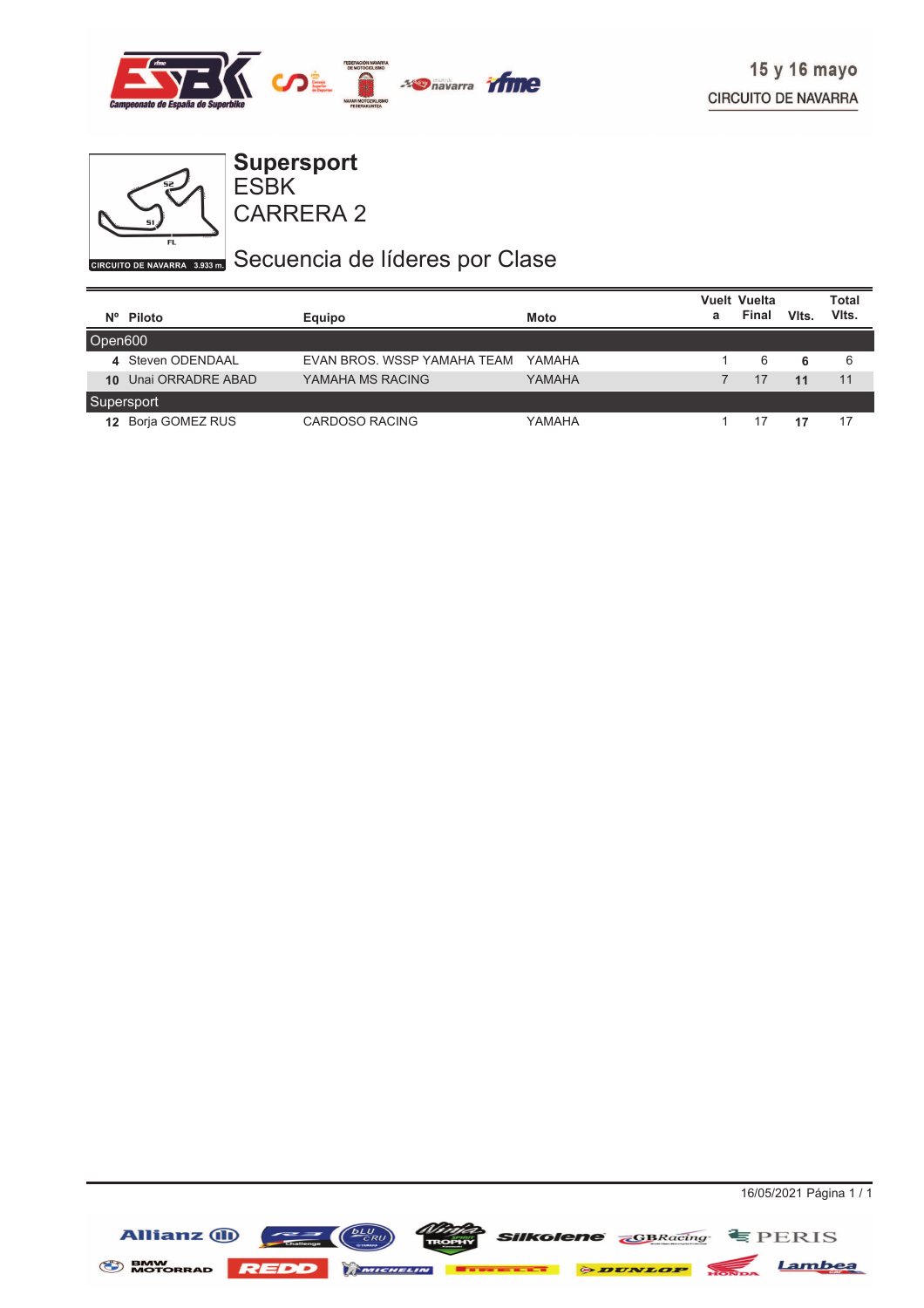



ESBK **Supersport**

CARRERA 2

## GIRCUITO DE NAVARRA 3.935 DI Secuencia de líderes por Clase

|         |                    |                             |             |   | <b>Vuelt Vuelta</b> |       | Total |
|---------|--------------------|-----------------------------|-------------|---|---------------------|-------|-------|
|         | Nº Piloto          | Equipo                      | <b>Moto</b> | a | Final               | Vits. | Vits. |
| Open600 |                    |                             |             |   |                     |       |       |
|         | 4 Steven ODENDAAL  | EVAN BROS, WSSP YAMAHA TEAM | YAMAHA      |   | 6                   | 6     | 6     |
| 10      | Unai ORRADRE ABAD  | YAMAHA MS RACING            | YAMAHA      |   | 17                  | 11    | 11    |
|         | Supersport         |                             |             |   |                     |       |       |
|         | 12 Borja GOMEZ RUS | <b>CARDOSO RACING</b>       | YAMAHA      |   | 17                  | 17    | 17    |

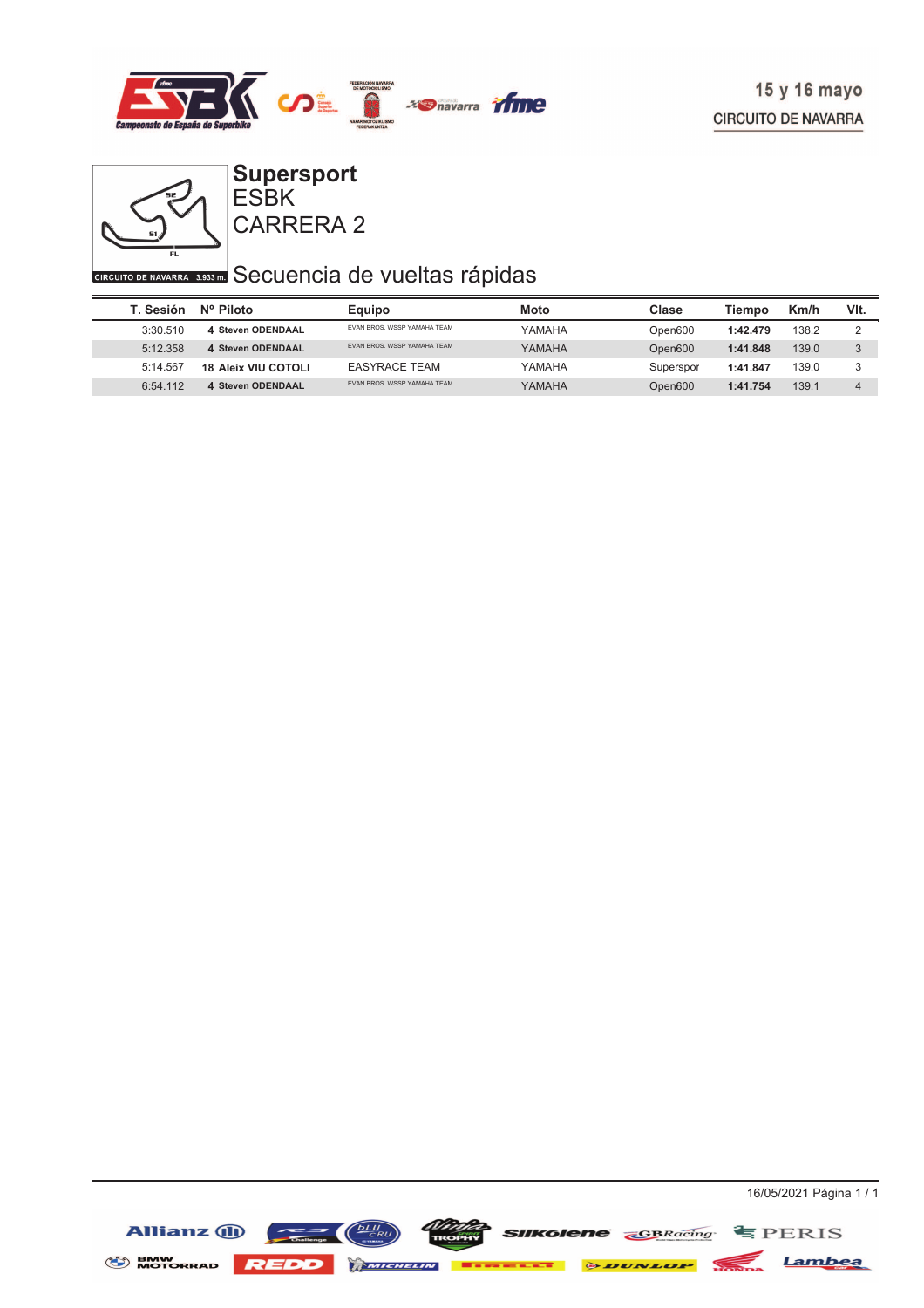



#### CARRERA 2 ESBK **Supersport**

## **CIRCUITO DE NAVARRA 3533 ED** Secuencia de vueltas rápidas

| T. Sesión | Nº Piloto                  | Equipo                            | Moto   | Clase     | Tiempo   | Km/h  | VIt.         |
|-----------|----------------------------|-----------------------------------|--------|-----------|----------|-------|--------------|
| 3:30.510  | 4 Steven ODENDAAL          | EVAN BROS, WSSP YAMAHA TEAM       | YAMAHA | Open600   | 1:42.479 | 138.2 |              |
| 5:12.358  | 4 Steven ODENDAAL          | <b>FVAN BROS WSSP YAMAHA TFAM</b> | YAMAHA | Open600   | 1:41.848 | 139.0 | $\mathbf{c}$ |
| 5:14.567  | <b>18 Aleix VIU COTOLI</b> | <b>EASYRACE TEAM</b>              | YAMAHA | Superspor | 1:41.847 | 139.0 | ົ            |
| 6:54.112  | 4 Steven ODENDAAL          | <b>FVAN BROS WSSP YAMAHA TFAM</b> | YAMAHA | Open600   | 1:41.754 | 139.1 | $\Delta$     |

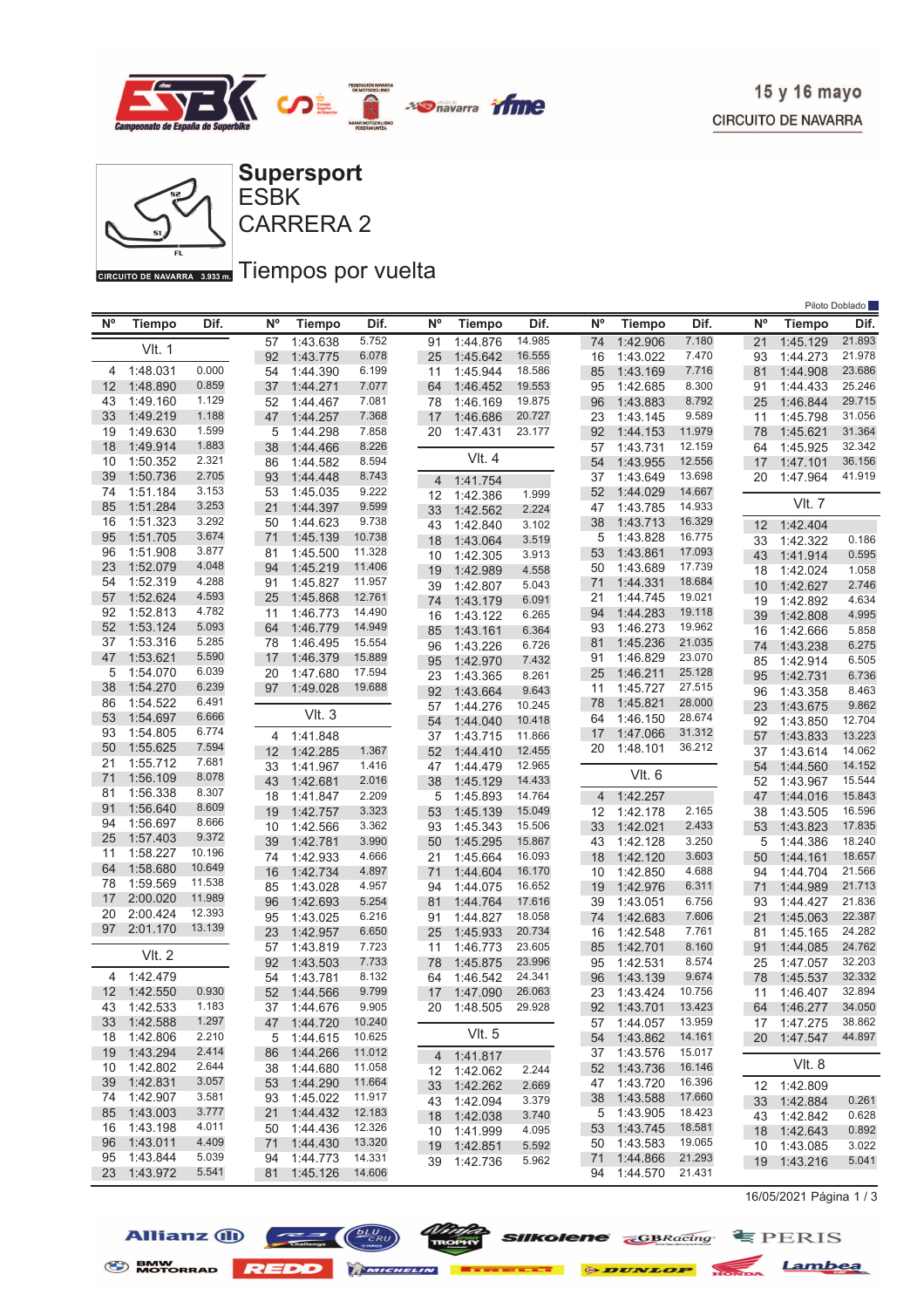



GIRCUITO DE NAVARRA 3.933mm Tiempos por vuelta

| Piloto Doblado |               |        |             |               |        |                |                            |                |    |                |               |        |             |                            |                |
|----------------|---------------|--------|-------------|---------------|--------|----------------|----------------------------|----------------|----|----------------|---------------|--------|-------------|----------------------------|----------------|
| $N^{\circ}$    | <b>Tiempo</b> | Dif.   | $N^{\circ}$ | <b>Tiempo</b> | Dif.   | N <sup>o</sup> | <b>Tiempo</b>              | Dif.           |    | N°             | <b>Tiempo</b> | Dif.   | $N^{\circ}$ | Tiempo                     | Dif.           |
|                |               |        | 57          | 1:43.638      | 5.752  | 91             | 1:44.876                   | 14.985         | 74 |                | 1:42.906      | 7.180  | 21          | 1:45.129                   | 21.893         |
|                | <b>VIt. 1</b> |        | 92          | 1:43.775      | 6.078  | 25             | 1:45.642                   | 16.555         |    | 16             | 1:43.022      | 7.470  | 93          | 1:44.273                   | 21.978         |
| 4              | 1:48.031      | 0.000  | 54          | 1:44.390      | 6.199  | 11             | 1:45.944                   | 18.586         | 85 |                | 1:43.169      | 7.716  | 81          | 1:44.908                   | 23.686         |
| 12             | 1:48.890      | 0.859  | 37          | 1:44.271      | 7.077  | 64             | 1:46.452                   | 19.553         | 95 |                | 1:42.685      | 8.300  | 91          | 1:44.433                   | 25.246         |
| 43             | 1:49.160      | 1.129  | 52          | 1:44.467      | 7.081  | 78             | 1:46.169                   | 19.875         | 96 |                | 1:43.883      | 8.792  | 25          | 1:46.844                   | 29.715         |
| 33             | 1:49.219      | 1.188  | 47          | 1:44.257      | 7.368  | 17             | 1:46.686                   | 20.727         | 23 |                | 1:43.145      | 9.589  | 11          | 1:45.798                   | 31.056         |
| 19             | 1:49.630      | 1.599  | 5           | 1:44.298      | 7.858  | 20             | 1:47.431                   | 23.177         | 92 |                | 1:44.153      | 11.979 | 78          | 1:45.621                   | 31.364         |
| 18             | 1:49.914      | 1.883  | 38          | 1:44.466      | 8.226  |                |                            |                | 57 |                | 1:43.731      | 12.159 | 64          | 1:45.925                   | 32.342         |
| 10             | 1:50.352      | 2.321  | 86          | 1:44.582      | 8.594  |                | VIt. 4                     |                | 54 |                | 1:43.955      | 12.556 | 17          | 1:47.101                   | 36.156         |
| 39             | 1:50.736      | 2.705  | 93          | 1:44.448      | 8.743  | $\overline{4}$ | 1:41.754                   |                | 37 |                | 1:43.649      | 13.698 | 20          | 1:47.964                   | 41.919         |
| 74             | 1:51.184      | 3.153  | 53          | 1:45.035      | 9.222  | 12             | 1:42.386                   | 1.999          | 52 |                | 1:44.029      | 14.667 |             |                            |                |
| 85             | 1:51.284      | 3.253  | 21          | 1:44.397      | 9.599  | 33             | 1:42.562                   | 2.224          | 47 |                | 1:43.785      | 14.933 |             | VIt. 7                     |                |
| 16             | 1:51.323      | 3.292  | 50          | 1:44.623      | 9.738  | 43             | 1:42.840                   | 3.102          | 38 |                | 1:43.713      | 16.329 | 12          | 1:42.404                   |                |
| 95             | 1:51.705      | 3.674  | 71          | 1:45.139      | 10.738 | 18             | 1:43.064                   | 3.519          |    | 5              | 1:43.828      | 16.775 | 33          | 1:42.322                   | 0.186          |
| 96             | 1:51.908      | 3.877  | 81          | 1:45.500      | 11.328 | 10             | 1:42.305                   | 3.913          | 53 |                | 1:43.861      | 17.093 | 43          | 1:41.914                   | 0.595          |
| 23             | 1:52.079      | 4.048  | 94          | 1:45.219      | 11.406 | 19             | 1:42.989                   | 4.558          |    | 50             | 1:43.689      | 17.739 | 18          | 1:42.024                   | 1.058          |
| 54             | 1:52.319      | 4.288  | 91          | 1:45.827      | 11.957 | 39             | 1:42.807                   | 5.043          | 71 |                | 1:44.331      | 18.684 | 10          | 1:42.627                   | 2.746          |
| 57             | 1:52.624      | 4.593  | 25          | 1:45.868      | 12.761 | 74             | 1:43.179                   | 6.091          | 21 |                | 1:44.745      | 19.021 | 19          | 1:42.892                   | 4.634          |
| 92             | 1:52.813      | 4.782  | 11          | 1:46.773      | 14.490 | 16             | 1:43.122                   | 6.265          | 94 |                | 1:44.283      | 19.118 | 39          | 1:42.808                   | 4.995          |
| 52             | 1:53.124      | 5.093  | 64          | 1:46.779      | 14.949 | 85             | 1:43.161                   | 6.364          | 93 |                | 1:46.273      | 19.962 | 16          | 1:42.666                   | 5.858          |
| 37             | 1:53.316      | 5.285  | 78          | 1:46.495      | 15.554 | 96             | 1:43.226                   | 6.726          | 81 |                | 1:45.236      | 21.035 | 74          | 1:43.238                   | 6.275          |
| 47             | 1:53.621      | 5.590  | 17          | 1:46.379      | 15.889 | 95             | 1:42.970                   | 7.432          | 91 |                | 1:46.829      | 23.070 | 85          | 1:42.914                   | 6.505          |
| 5              | 1:54.070      | 6.039  | 20          | 1:47.680      | 17.594 | 23             | 1:43.365                   | 8.261          | 25 |                | 1:46.211      | 25.128 | 95          | 1:42.731                   | 6.736          |
| 38             | 1:54.270      | 6.239  | 97          | 1:49.028      | 19.688 | 92             | 1:43.664                   | 9.643          | 11 |                | 1:45.727      | 27.515 | 96          | 1:43.358                   | 8.463          |
| 86             | 1:54.522      | 6.491  |             |               |        | 57             | 1:44.276                   | 10.245         | 78 |                | 1:45.821      | 28.000 | 23          | 1:43.675                   | 9.862          |
| 53             | 1:54.697      | 6.666  |             | Vlt.3         |        | 54             | 1:44.040                   | 10.418         | 64 |                | 1:46.150      | 28.674 | 92          | 1:43.850                   | 12.704         |
| 93             | 1:54.805      | 6.774  | 4           | 1:41.848      |        | 37             | 1:43.715                   | 11.866         | 17 |                | 1:47.066      | 31.312 | 57          | 1:43.833                   | 13.223         |
| 50             | 1:55.625      | 7.594  | 12          | 1:42.285      | 1.367  | 52             | 1:44.410                   | 12.455         |    | 20             | 1:48.101      | 36.212 | 37          | 1:43.614                   | 14.062         |
| 21             | 1:55.712      | 7.681  | 33          | 1:41.967      | 1.416  | 47             | 1:44.479                   | 12.965         |    |                |               |        | 54          | 1:44.560                   | 14.152         |
| 71             | 1:56.109      | 8.078  | 43          | 1:42.681      | 2.016  | 38             | 1:45.129                   | 14.433         |    |                | VIt. 6        |        | 52          | 1:43.967                   | 15.544         |
| 81             | 1:56.338      | 8.307  | 18          | 1:41.847      | 2.209  | 5              | 1:45.893                   | 14.764         |    | $\overline{4}$ | 1:42.257      |        | 47          | 1:44.016                   | 15.843         |
| 91             | 1:56.640      | 8.609  | 19          | 1:42.757      | 3.323  | 53             | 1:45.139                   | 15.049         |    | 12             | 1:42.178      | 2.165  | 38          | 1:43.505                   | 16.596         |
| 94             | 1:56.697      | 8.666  | 10          | 1:42.566      | 3.362  | 93             | 1:45.343                   | 15.506         | 33 |                | 1:42.021      | 2.433  | 53          | 1:43.823                   | 17.835         |
| 25             | 1:57.403      | 9.372  | 39          | 1:42.781      | 3.990  | 50             | 1:45.295                   | 15.867         | 43 |                | 1:42.128      | 3.250  | 5           | 1:44.386                   | 18.240         |
| 11             | 1:58.227      | 10.196 | 74          | 1:42.933      | 4.666  | 21             | 1:45.664                   | 16.093         | 18 |                | 1:42.120      | 3.603  | 50          | 1:44.161                   | 18.657         |
| 64             | 1:58.680      | 10.649 | 16          | 1:42.734      | 4.897  | 71             | 1:44.604                   | 16.170         |    | 10             | 1:42.850      | 4.688  | 94          | 1:44.704                   | 21.566         |
| 78             | 1:59.569      | 11.538 | 85          | 1:43.028      | 4.957  | 94             | 1:44.075                   | 16.652         | 19 |                | 1:42.976      | 6.311  | 71          | 1:44.989                   | 21.713         |
| 17             | 2:00.020      | 11.989 | 96          | 1:42.693      | 5.254  | 81             | 1:44.764                   | 17.616         |    | 39             | 1:43.051      | 6.756  | 93          | 1:44.427                   | 21.836         |
| 20             | 2:00.424      | 12.393 | 95          | 1:43.025      | 6.216  | 91             | 1:44.827                   | 18.058         | 74 |                | 1:42.683      | 7.606  | 21          | 1:45.063                   | 22.387         |
| 97             | 2:01.170      | 13.139 | 23          | 1:42.957      | 6.650  | 25             | 1:45.933                   | 20.734         |    | 16             | 1:42.548      | 7.761  | 81          | 1:45.165                   | 24.282         |
|                |               |        | 57          | 1:43.819      | 7.723  | 11             | 1:46.773                   | 23.605         | 85 |                | 1:42.701      | 8.160  | 91          | 1:44.085                   | 24.762         |
|                | <b>VIt. 2</b> |        | 92          | 1:43.503      | 7.733  | 78             | 1:45.875                   | 23.996         | 95 |                | 1:42.531      | 8.574  | 25          | 1:47.057                   | 32.203         |
| 4              | 1:42.479      |        | 54          | 1:43.781      | 8.132  | 64             | 1:46.542                   | 24.341         | 96 |                | 1:43.139      | 9.674  | 78          | 1:45.537                   | 32.332         |
|                | 12 1:42.550   | 0.930  | 52          | 1:44.566      | 9.799  | 17             | 1:47.090                   | 26.063         |    | 23             | 1:43.424      | 10.756 | 11          | 1:46.407                   | 32.894         |
|                | 43 1:42.533   | 1.183  |             | 37 1:44.676   | 9.905  |                | 20 1:48.505                | 29.928         |    |                | 92 1:43.701   | 13.423 |             | 64 1:46.277                | 34.050         |
| 33             | 1:42.588      | 1.297  |             | 47 1:44.720   | 10.240 |                |                            |                |    | 57             | 1:44.057      | 13.959 |             | 17 1:47.275                | 38.862         |
| 18             | 1:42.806      | 2.210  |             | 5 1:44.615    | 10.625 |                | VIt. 5                     |                |    | 54             | 1:43.862      | 14.161 |             | 20 1:47.547                | 44.897         |
|                | 19 1:43.294   | 2.414  |             | 86 1:44.266   | 11.012 |                |                            |                |    | 37             | 1:43.576      | 15.017 |             |                            |                |
| 10             | 1:42.802      | 2.644  | 38          | 1:44.680      | 11.058 |                | 4 1:41.817<br>12 1:42.062  | 2.244          | 52 |                | 1:43.736      | 16.146 |             | VIt. 8                     |                |
| 39             | 1:42.831      | 3.057  | 53          | 1:44.290      | 11.664 |                |                            | 2.669          |    | 47             | 1:43.720      | 16.396 |             |                            |                |
| 74             | 1:42.907      | 3.581  | 93          | 1:45.022      | 11.917 |                | 33 1:42.262                | 3.379          | 38 |                | 1:43.588      | 17.660 |             | 12 1:42.809                | 0.261          |
| 85             | 1:43.003      | 3.777  | 21          | 1:44.432      | 12.183 |                | 43 1:42.094                | 3.740          |    | 5              | 1:43.905      | 18.423 |             | 33 1:42.884                | 0.628          |
| 16             | 1:43.198      | 4.011  | 50          | 1:44.436      | 12.326 |                | 18 1:42.038<br>10 1:41.999 | 4.095          | 53 |                | 1:43.745      | 18.581 |             | 43 1:42.842<br>18 1:42.643 | 0.892          |
| 96             | 1:43.011      | 4.409  | 71          | 1:44.430      | 13.320 |                |                            |                |    | 50             | 1:43.583      | 19.065 |             | 10 1:43.085                |                |
| 95             | 1:43.844      | 5.039  | 94          | 1:44.773      | 14.331 |                | 19 1:42.851                | 5.592<br>5.962 | 71 |                | 1:44.866      | 21.293 |             | 19 1:43.216                | 3.022<br>5.041 |
| 23             | 1:43.972      | 5.541  |             | 81 1:45.126   | 14.606 |                | 39 1:42.736                |                |    |                | 94 1:44.570   | 21.431 |             |                            |                |
|                |               |        |             |               |        |                |                            |                |    |                |               |        |             |                            |                |

16/05/2021 Página 1 / 3









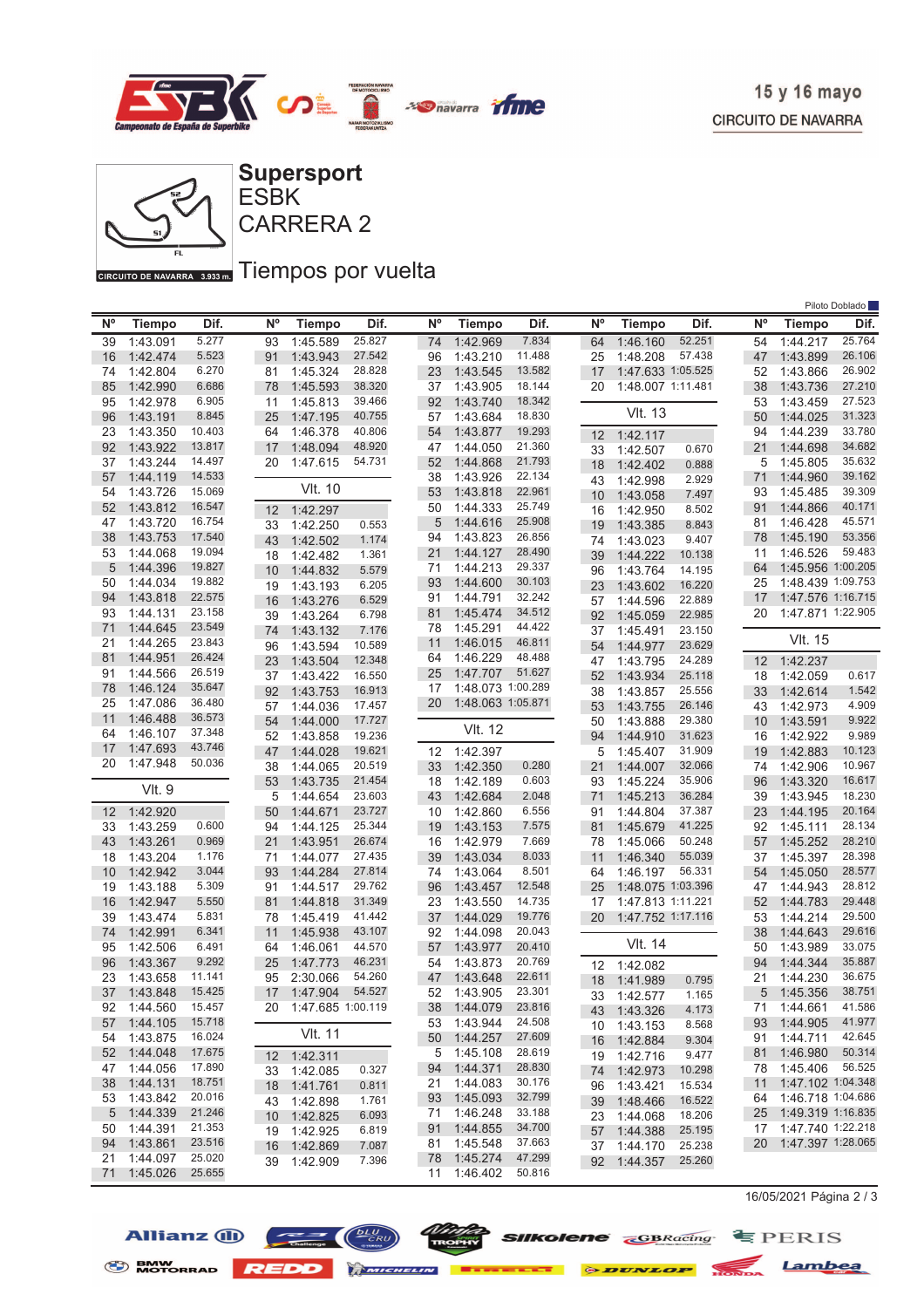



GIRCUITO DE NAVARRA 3.933mm Tiempos por vuelta

|    |               |        |    |                      |        |                |                   |        |    |                   |        |                 |                   | Piloto Doblado |
|----|---------------|--------|----|----------------------|--------|----------------|-------------------|--------|----|-------------------|--------|-----------------|-------------------|----------------|
| N° | <b>Tiempo</b> | Dif.   | N° | <b>Tiempo</b>        | Dif.   | N <sup>o</sup> | <b>Tiempo</b>     | Dif.   | N° | <b>Tiempo</b>     | Dif.   | $N^{\circ}$     | <b>Tiempo</b>     | Dif.           |
| 39 | 1:43.091      | 5.277  | 93 | 1:45.589             | 25.827 | 74             | 1:42.969          | 7.834  | 64 | 1:46.160          | 52.251 | 54              | 1:44.217          | 25.764         |
| 16 | 1:42.474      | 5.523  | 91 | 1:43.943             | 27.542 | 96             | 1:43.210          | 11.488 | 25 | 1:48.208          | 57.438 | 47              | 1:43.899          | 26.106         |
| 74 | 1:42.804      | 6.270  | 81 | 1:45.324             | 28.828 | 23             | 1:43.545          | 13.582 | 17 | 1:47.633 1:05.525 |        | 52              | 1:43.866          | 26.902         |
| 85 | 1:42.990      | 6.686  | 78 | 1:45.593             | 38.320 | 37             | 1:43.905          | 18.144 | 20 | 1:48.007 1:11.481 |        | 38              | 1:43.736          | 27.210         |
| 95 | 1:42.978      | 6.905  | 11 | 1:45.813             | 39.466 | 92             | 1:43.740          | 18.342 |    |                   |        | 53              | 1:43.459          | 27.523         |
| 96 | 1:43.191      | 8.845  | 25 | 1:47.195             | 40.755 | 57             | 1:43.684          | 18.830 |    | <b>VIt. 13</b>    |        | 50              | 1:44.025          | 31.323         |
| 23 | 1:43.350      | 10.403 | 64 | 1:46.378             | 40.806 | 54             | 1:43.877          | 19.293 | 12 | 1:42.117          |        | 94              | 1:44.239          | 33.780         |
| 92 | 1:43.922      | 13.817 | 17 | 1:48.094             | 48.920 | 47             | 1:44.050          | 21.360 | 33 | 1:42.507          | 0.670  | 21              | 1:44.698          | 34.682         |
| 37 | 1:43.244      | 14.497 | 20 | 1:47.615             | 54.731 | 52             | 1:44.868          | 21.793 | 18 | 1:42.402          | 0.888  | 5               | 1:45.805          | 35.632         |
| 57 | 1:44.119      | 14.533 |    |                      |        | 38             | 1:43.926          | 22.134 | 43 | 1:42.998          | 2.929  | 71              | 1:44.960          | 39.162         |
| 54 | 1:43.726      | 15.069 |    | <b>VIt. 10</b>       |        | 53             | 1:43.818          | 22.961 | 10 | 1:43.058          | 7.497  | 93              | 1:45.485          | 39.309         |
| 52 | 1:43.812      | 16.547 | 12 | 1:42.297             |        | 50             | 1:44.333          | 25.749 | 16 | 1:42.950          | 8.502  | 91              | 1:44.866          | 40.171         |
| 47 | 1:43.720      | 16.754 | 33 | 1:42.250             | 0.553  | 5              | 1:44.616          | 25.908 | 19 | 1:43.385          | 8.843  | 81              | 1:46.428          | 45.571         |
| 38 | 1:43.753      | 17.540 | 43 | 1:42.502             | 1.174  | 94             | 1:43.823          | 26.856 | 74 | 1:43.023          | 9.407  | 78              | 1:45.190          | 53.356         |
| 53 | 1:44.068      | 19.094 | 18 | 1:42.482             | 1.361  | 21             | 1:44.127          | 28.490 | 39 | 1:44.222          | 10.138 | 11              | 1:46.526          | 59.483         |
| 5  | 1:44.396      | 19.827 | 10 | 1:44.832             | 5.579  | 71             | 1:44.213          | 29.337 | 96 | 1:43.764          | 14.195 | 64              | 1:45.956 1:00.205 |                |
| 50 | 1:44.034      | 19.882 | 19 | 1:43.193             | 6.205  | 93             | 1:44.600          | 30.103 | 23 | 1:43.602          | 16.220 | 25              | 1:48.439 1:09.753 |                |
| 94 | 1:43.818      | 22.575 | 16 | 1:43.276             | 6.529  | 91             | 1:44.791          | 32.242 | 57 | 1:44.596          | 22.889 | 17              | 1:47.576 1:16.715 |                |
| 93 | 1:44.131      | 23.158 | 39 | 1:43.264             | 6.798  | 81             | 1:45.474          | 34.512 | 92 | 1:45.059          | 22.985 | 20              | 1:47.871 1:22.905 |                |
| 71 | 1:44.645      | 23.549 | 74 | 1:43.132             | 7.176  | 78             | 1:45.291          | 44.422 | 37 | 1:45.491          | 23.150 |                 |                   |                |
| 21 | 1:44.265      | 23.843 | 96 | 1:43.594             | 10.589 | 11             | 1:46.015          | 46.811 | 54 | 1:44.977          | 23.629 |                 | <b>VIt. 15</b>    |                |
| 81 | 1:44.951      | 26.424 | 23 | 1:43.504             | 12.348 | 64             | 1:46.229          | 48.488 | 47 | 1:43.795          | 24.289 | 12              | 1:42.237          |                |
| 91 | 1:44.566      | 26.519 | 37 | 1:43.422             | 16.550 | 25             | 1:47.707          | 51.627 | 52 | 1:43.934          | 25.118 | 18              | 1:42.059          | 0.617          |
| 78 | 1:46.124      | 35.647 | 92 | 1:43.753             | 16.913 | 17             | 1:48.073 1:00.289 |        | 38 | 1:43.857          | 25.556 | 33              | 1:42.614          | 1.542          |
| 25 | 1:47.086      | 36.480 | 57 | 1:44.036             | 17.457 | 20             | 1:48.063 1:05.871 |        | 53 | 1:43.755          | 26.146 | 43              | 1:42.973          | 4.909          |
| 11 | 1:46.488      | 36.573 | 54 | 1:44.000             | 17.727 |                |                   |        | 50 | 1:43.888          | 29.380 | 10              | 1:43.591          | 9.922          |
| 64 | 1:46.107      | 37.348 | 52 | 1:43.858             | 19.236 |                | VIt. 12           |        | 94 | 1:44.910          | 31.623 | 16              | 1:42.922          | 9.989          |
| 17 | 1:47.693      | 43.746 | 47 | 1:44.028             | 19.621 | 12             | 1:42.397          |        | 5  | 1:45.407          | 31.909 | 19              | 1:42.883          | 10.123         |
| 20 | 1:47.948      | 50.036 | 38 | 1:44.065             | 20.519 | 33             | 1:42.350          | 0.280  | 21 | 1:44.007          | 32.066 | 74              | 1:42.906          | 10.967         |
|    |               |        | 53 | 1:43.735             | 21.454 | 18             | 1:42.189          | 0.603  | 93 | 1:45.224          | 35.906 | 96              | 1:43.320          | 16.617         |
|    | <b>VIt. 9</b> |        | 5  | 1:44.654             | 23.603 | 43             | 1:42.684          | 2.048  | 71 | 1:45.213          | 36.284 | 39              | 1:43.945          | 18.230         |
| 12 | 1:42.920      |        | 50 | 1:44.671             | 23.727 | 10             | 1:42.860          | 6.556  | 91 | 1:44.804          | 37.387 | 23              | 1:44.195          | 20.164         |
| 33 | 1:43.259      | 0.600  | 94 | 1:44.125             | 25.344 | 19             | 1:43.153          | 7.575  | 81 | 1:45.679          | 41.225 | 92              | 1:45.111          | 28.134         |
| 43 | 1:43.261      | 0.969  | 21 | 1:43.951             | 26.674 | 16             | 1:42.979          | 7.669  | 78 | 1:45.066          | 50.248 | 57              | 1:45.252          | 28.210         |
| 18 | 1:43.204      | 1.176  | 71 | 1:44.077             | 27.435 | 39             | 1:43.034          | 8.033  | 11 | 1:46.340          | 55.039 | 37              | 1:45.397          | 28.398         |
| 10 | 1:42.942      | 3.044  | 93 | 1:44.284             | 27.814 | 74             | 1:43.064          | 8.501  | 64 | 1:46.197          | 56.331 | 54              | 1:45.050          | 28.577         |
| 19 | 1:43.188      | 5.309  | 91 | 1:44.517             | 29.762 | 96             | 1:43.457          | 12.548 | 25 | 1:48.075 1:03.396 |        | 47              | 1:44.943          | 28.812         |
| 16 | 1:42.947      | 5.550  | 81 | 1:44.818             | 31.349 | 23             | 1:43.550          | 14.735 | 17 | 1:47.813 1:11.221 |        | 52              | 1:44.783          | 29.448         |
| 39 | 1:43.474      | 5.831  | 78 | 1:45.419             | 41.442 | 37             | 1:44.029          | 19.776 | 20 | 1:47.752 1:17.116 |        | 53              | 1:44.214          | 29.500         |
| 74 | 1:42.991      | 6.341  | 11 | 1:45.938             | 43.107 | 92             | 1:44.098          | 20.043 |    |                   |        | 38              | 1:44.643          | 29.616         |
| 95 | 1:42.506      | 6.491  | 64 | 1:46.061             | 44.570 | 57             | 1:43.977          | 20.410 |    | VIt. 14           |        | 50              | 1:43.989          | 33.075         |
| 96 | 1:43.367      | 9.292  | 25 | 1:47.773             | 46.231 | 54             | 1:43.873          | 20.769 | 12 | 1:42.082          |        | 94              | 1:44.344          | 35.887         |
| 23 | 1:43.658      | 11.141 | 95 | 2:30.066             | 54.260 | 47             | 1:43.648          | 22.611 | 18 | 1:41.989          | 0.795  | 21              | 1:44.230          | 36.675         |
| 37 | 1:43.848      | 15.425 |    | 17 1:47.904          | 54.527 | 52             | 1:43.905          | 23.301 |    | 33 1:42.577       | 1.165  | $5\overline{)}$ | 1:45.356          | 38.751         |
|    | 92 1:44.560   | 15.457 |    | 20 1:47.685 1:00.119 |        |                | 38 1:44.079       | 23.816 |    | 43 1:43.326       | 4.173  |                 | 71 1:44.661       | 41.586         |
| 57 | 1:44.105      | 15.718 |    |                      |        |                | 53 1:43.944       | 24.508 | 10 | 1:43.153          | 8.568  | 93              | 1:44.905          | 41.977         |
| 54 | 1:43.875      | 16.024 |    | VIt. 11              |        | 50             | 1:44.257          | 27.609 | 16 | 1:42.884          | 9.304  | 91              | 1:44.711          | 42.645         |
|    | 52 1:44.048   | 17.675 |    | 12 1:42.311          |        |                | 5 1:45.108        | 28.619 | 19 | 1:42.716          | 9.477  | 81              | 1:46.980          | 50.314         |
| 47 | 1:44.056      | 17.890 |    | 33 1:42.085          | 0.327  | 94             | 1:44.371          | 28.830 | 74 | 1:42.973          | 10.298 | 78              | 1:45.406          | 56.525         |
| 38 | 1:44.131      | 18.751 | 18 | 1:41.761             | 0.811  | 21             | 1:44.083          | 30.176 | 96 | 1:43.421          | 15.534 | 11              | 1:47.102 1:04.348 |                |
| 53 | 1:43.842      | 20.016 |    | 43 1:42.898          | 1.761  | 93             | 1:45.093          | 32.799 | 39 | 1:48.466          | 16.522 | 64              | 1:46.718 1:04.686 |                |
| 5  | 1:44.339      | 21.246 |    | 10 1:42.825          | 6.093  | 71             | 1:46.248          | 33.188 | 23 | 1:44.068          | 18.206 | 25              | 1:49.319 1:16.835 |                |
| 50 | 1:44.391      | 21.353 |    | 19 1:42.925          | 6.819  | 91             | 1:44.855          | 34.700 | 57 | 1:44.388          | 25.195 | 17              | 1:47.740 1:22.218 |                |
| 94 | 1:43.861      | 23.516 |    | 16 1:42.869          | 7.087  |                | 81 1:45.548       | 37.663 | 37 | 1:44.170          | 25.238 | 20              | 1:47.397 1:28.065 |                |
| 21 | 1:44.097      | 25.020 |    | 39 1:42.909          | 7.396  | 78             | 1:45.274          | 47.299 | 92 | 1:44.357          | 25.260 |                 |                   |                |
| 71 | 1:45.026      | 25.655 |    |                      |        |                | 11 1:46.402       | 50.816 |    |                   |        |                 |                   |                |

16/05/2021 Página 2 / 3







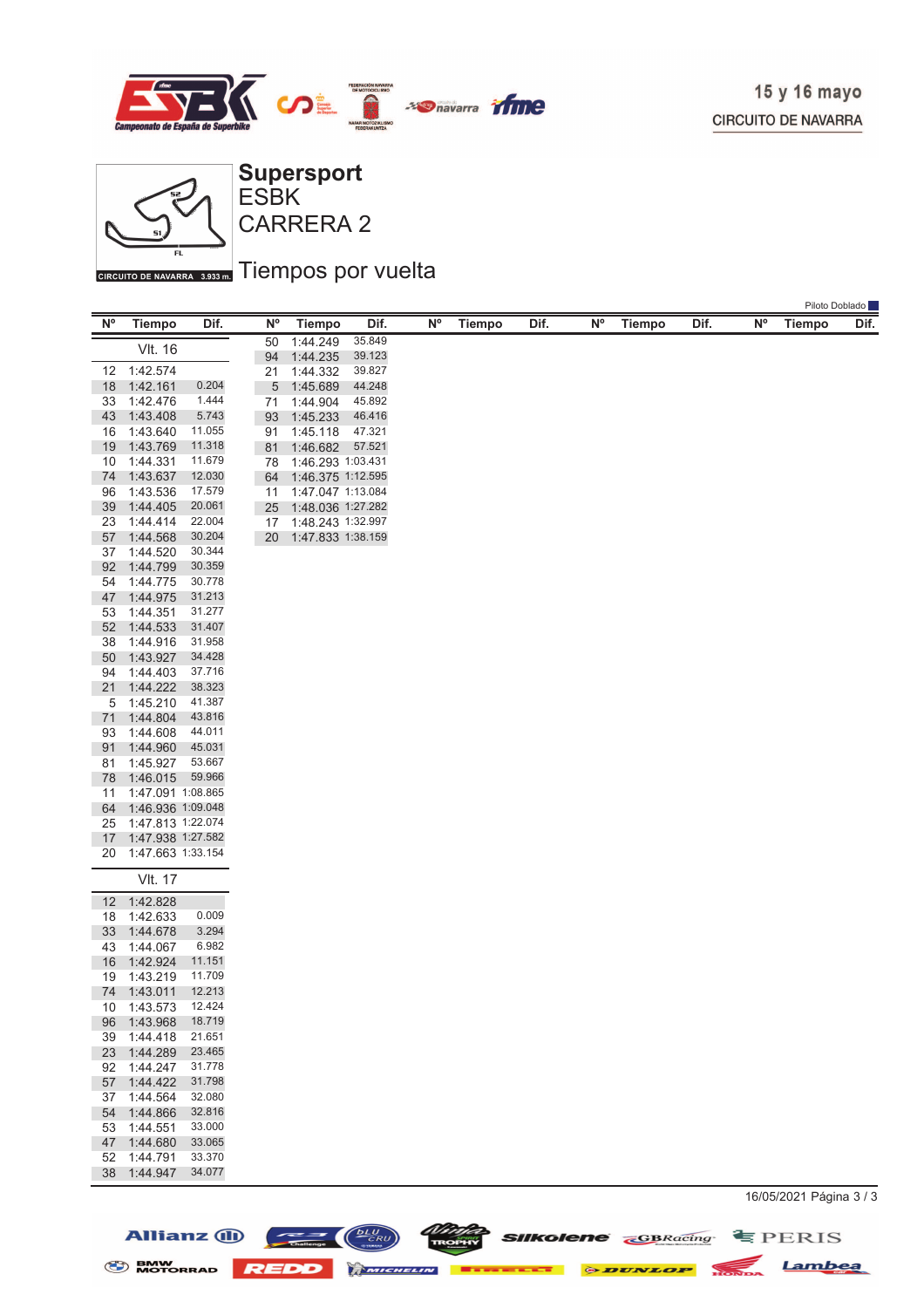

Piloto Doblado



Allianz (ii)

 $\frac{bLU}{CRU}$ 

 $\equiv$   $\equiv$   $\equiv$   $\equiv$ 

CARRERA 2 ESBK

## GIRCUITO DE NAVARRA 3.933mm Tiempos por vuelta

| $N^{\circ}$ | <b>Tiempo</b>              | Dif.             | <b>N°</b> | Tiempo               | Dif.             | $\mathsf{N}^\mathsf{o}$ | <b>Tiempo</b> | Dif. | N° | <b>Tiempo</b> | Dif. | Ν° | Linno Dopigno<br>Tiempo | Dif. |
|-------------|----------------------------|------------------|-----------|----------------------|------------------|-------------------------|---------------|------|----|---------------|------|----|-------------------------|------|
|             | <b>VIt. 16</b>             |                  | 50        | 1:44.249             | 35.849           |                         |               |      |    |               |      |    |                         |      |
|             |                            |                  | 94        | 1:44.235             | 39.123           |                         |               |      |    |               |      |    |                         |      |
| 12<br>18    | 1:42.574<br>1:42.161       | 0.204            | 21<br>5   | 1:44.332             | 39.827<br>44.248 |                         |               |      |    |               |      |    |                         |      |
| 33          | 1:42.476                   | 1.444            | 71        | 1:45.689<br>1:44.904 | 45.892           |                         |               |      |    |               |      |    |                         |      |
| 43          | 1:43.408                   | 5.743            | 93        | 1:45.233             | 46.416           |                         |               |      |    |               |      |    |                         |      |
| 16          | 1:43.640                   | 11.055           | 91        | 1:45.118             | 47.321           |                         |               |      |    |               |      |    |                         |      |
| 19          | 1:43.769                   | 11.318           | 81        | 1:46.682             | 57.521           |                         |               |      |    |               |      |    |                         |      |
| 10          | 1:44.331                   | 11.679           | 78        | 1:46.293 1:03.431    |                  |                         |               |      |    |               |      |    |                         |      |
| 74          | 1:43.637                   | 12.030           | 64        | 1:46.375 1:12.595    |                  |                         |               |      |    |               |      |    |                         |      |
| 96          | 1:43.536                   | 17.579           | 11        | 1:47.047 1:13.084    |                  |                         |               |      |    |               |      |    |                         |      |
| 39          | 1:44.405                   | 20.061           | 25        | 1:48.036 1:27.282    |                  |                         |               |      |    |               |      |    |                         |      |
| 23          | 1:44.414                   | 22.004<br>30.204 | 17        | 1:48.243 1:32.997    |                  |                         |               |      |    |               |      |    |                         |      |
| 57<br>37    | 1:44.568<br>1:44.520       | 30.344           | 20        | 1:47.833 1:38.159    |                  |                         |               |      |    |               |      |    |                         |      |
| 92          | 1:44.799                   | 30.359           |           |                      |                  |                         |               |      |    |               |      |    |                         |      |
| 54          | 1:44.775                   | 30.778           |           |                      |                  |                         |               |      |    |               |      |    |                         |      |
| 47          | 1:44.975                   | 31.213           |           |                      |                  |                         |               |      |    |               |      |    |                         |      |
| 53          | 1:44.351                   | 31.277           |           |                      |                  |                         |               |      |    |               |      |    |                         |      |
| 52          | 1:44.533                   | 31.407           |           |                      |                  |                         |               |      |    |               |      |    |                         |      |
| 38          | 1:44.916                   | 31.958           |           |                      |                  |                         |               |      |    |               |      |    |                         |      |
| 50          | 1:43.927                   | 34.428           |           |                      |                  |                         |               |      |    |               |      |    |                         |      |
| 94          | 1:44.403                   | 37.716           |           |                      |                  |                         |               |      |    |               |      |    |                         |      |
| 21<br>5     | 1:44.222<br>1:45.210       | 38.323<br>41.387 |           |                      |                  |                         |               |      |    |               |      |    |                         |      |
| 71          | 1:44.804                   | 43.816           |           |                      |                  |                         |               |      |    |               |      |    |                         |      |
| 93          | 1:44.608                   | 44.011           |           |                      |                  |                         |               |      |    |               |      |    |                         |      |
| 91          | 1:44.960                   | 45.031           |           |                      |                  |                         |               |      |    |               |      |    |                         |      |
| 81          | 1:45.927                   | 53.667           |           |                      |                  |                         |               |      |    |               |      |    |                         |      |
| 78          | 1:46.015                   | 59.966           |           |                      |                  |                         |               |      |    |               |      |    |                         |      |
| 11          | 1:47.091 1:08.865          |                  |           |                      |                  |                         |               |      |    |               |      |    |                         |      |
| 64          | 1:46.936 1:09.048          |                  |           |                      |                  |                         |               |      |    |               |      |    |                         |      |
| 25          | 1:47.813 1:22.074          |                  |           |                      |                  |                         |               |      |    |               |      |    |                         |      |
| 17          | 1:47.938 1:27.582          |                  |           |                      |                  |                         |               |      |    |               |      |    |                         |      |
| 20          | 1:47.663 1:33.154          |                  |           |                      |                  |                         |               |      |    |               |      |    |                         |      |
|             | <b>VIt. 17</b>             |                  |           |                      |                  |                         |               |      |    |               |      |    |                         |      |
| 12          | 1:42.828                   |                  |           |                      |                  |                         |               |      |    |               |      |    |                         |      |
| 18          | 1:42.633                   | 0.009            |           |                      |                  |                         |               |      |    |               |      |    |                         |      |
| 33          | 1:44.678                   | 3.294            |           |                      |                  |                         |               |      |    |               |      |    |                         |      |
| 43          | 1:44.067                   | 6.982<br>11.151  |           |                      |                  |                         |               |      |    |               |      |    |                         |      |
| 16<br>19    | 1:42.924<br>1:43.219       | 11.709           |           |                      |                  |                         |               |      |    |               |      |    |                         |      |
| 74          | 1:43.011                   | 12.213           |           |                      |                  |                         |               |      |    |               |      |    |                         |      |
| 10          | 1:43.573                   | 12.424           |           |                      |                  |                         |               |      |    |               |      |    |                         |      |
| 96          | 1:43.968                   | 18.719           |           |                      |                  |                         |               |      |    |               |      |    |                         |      |
| 39          | 1:44.418                   | 21.651           |           |                      |                  |                         |               |      |    |               |      |    |                         |      |
|             | 23 1:44.289                | 23.465           |           |                      |                  |                         |               |      |    |               |      |    |                         |      |
|             | 92 1:44.247                | 31.778           |           |                      |                  |                         |               |      |    |               |      |    |                         |      |
| 57          | 1:44.422                   | 31.798           |           |                      |                  |                         |               |      |    |               |      |    |                         |      |
|             | 37 1:44.564                | 32.080           |           |                      |                  |                         |               |      |    |               |      |    |                         |      |
|             | 54 1:44.866<br>53 1:44.551 | 32.816<br>33.000 |           |                      |                  |                         |               |      |    |               |      |    |                         |      |
|             | 47 1:44.680                | 33.065           |           |                      |                  |                         |               |      |    |               |      |    |                         |      |
| 52          | 1:44.791                   | 33.370           |           |                      |                  |                         |               |      |    |               |      |    |                         |      |
|             | 38 1:44.947                | 34.077           |           |                      |                  |                         |               |      |    |               |      |    |                         |      |
|             |                            |                  |           |                      |                  |                         |               |      |    |               |      |    |                         |      |

BMW MOTORRAD REDD MINIMULATE DE DUNLOP HONDA Lambea

*Ninta* **SIIkolene GBRacing SPERIS**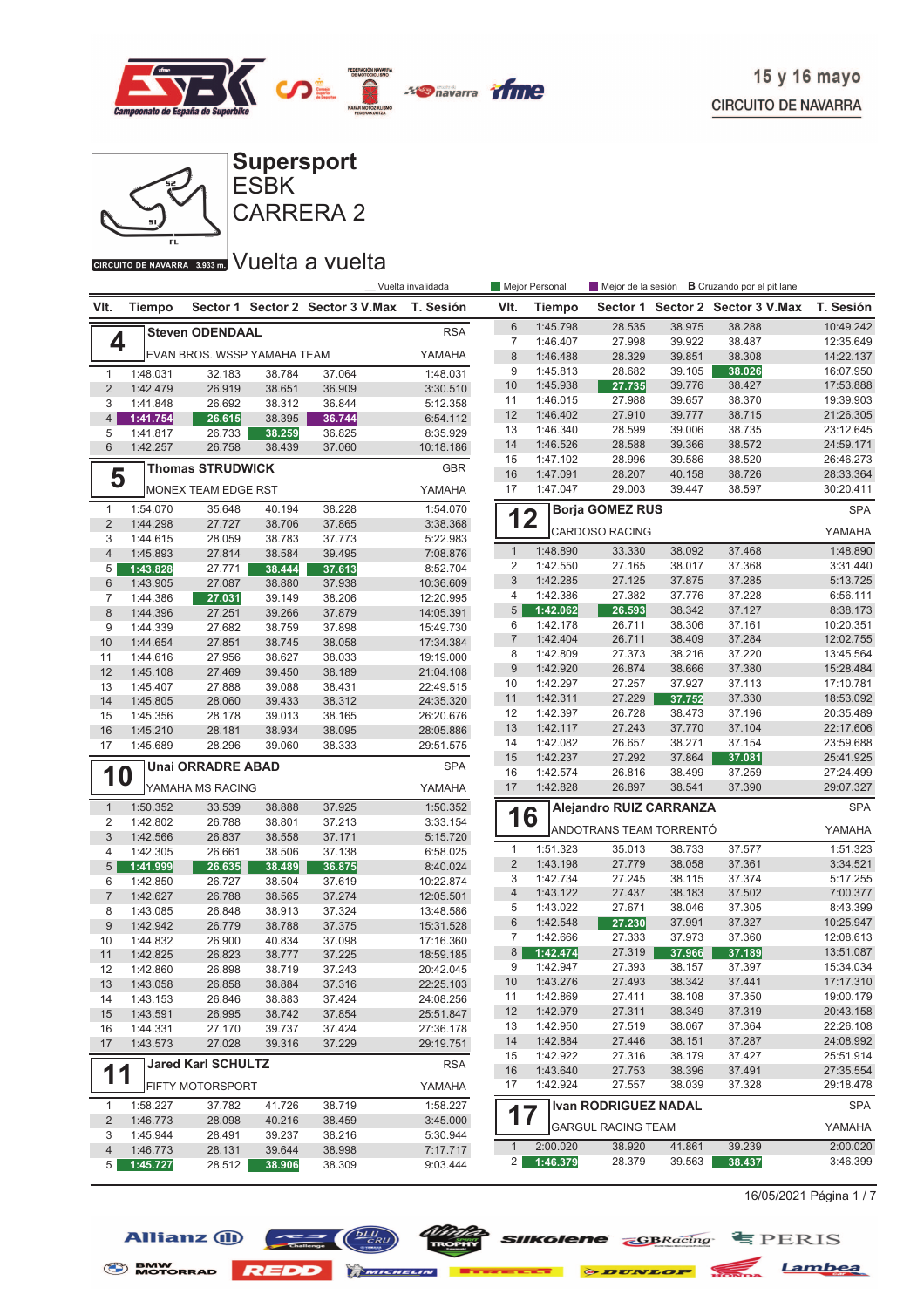



## GIRGUITO DE NAVARRA 3.933mm VUelta a vuelta

Allianz  $\bigoplus$   $\bigoplus$   $\bigoplus$ 

|                     |                      |                             |                  |                                  | _ Vuelta invalidada    |                  | Mejor Personal       |                             |                  | Mejor de la sesión <b>B</b> Cruzando por el pit lane |                        |
|---------------------|----------------------|-----------------------------|------------------|----------------------------------|------------------------|------------------|----------------------|-----------------------------|------------------|------------------------------------------------------|------------------------|
| VIt.                | Tiempo               |                             |                  | Sector 1 Sector 2 Sector 3 V.Max | T. Sesión              | VIt.             | <b>Tiempo</b>        |                             |                  | Sector 1 Sector 2 Sector 3 V.Max                     | T. Sesión              |
|                     |                      | <b>Steven ODENDAAL</b>      |                  |                                  | <b>RSA</b>             | $\,6\,$          | 1:45.798             | 28.535                      | 38.975           | 38.288                                               | 10:49.242              |
| 4                   |                      |                             |                  |                                  |                        | $\overline{7}$   | 1:46.407             | 27.998                      | 39.922           | 38.487                                               | 12:35.649              |
|                     |                      | EVAN BROS. WSSP YAMAHA TEAM |                  |                                  | YAMAHA                 | $\boldsymbol{8}$ | 1:46.488             | 28.329                      | 39.851           | 38.308                                               | 14:22.137              |
| $\mathbf{1}$        | 1:48.031             | 32.183                      | 38.784           | 37.064                           | 1:48.031               | 9                | 1:45.813             | 28.682                      | 39.105           | 38.026                                               | 16:07.950              |
| $\overline{2}$      | 1:42.479             | 26.919                      | 38.651           | 36.909                           | 3:30.510               | 10               | 1:45.938             | 27.735                      | 39.776           | 38.427                                               | 17:53.888              |
| 3                   | 1:41.848             | 26.692                      | 38.312           | 36.844                           | 5:12.358               | 11               | 1:46.015             | 27.988                      | 39.657           | 38.370                                               | 19:39.903              |
| $\overline{4}$      | 1:41.754             | 26.615                      | 38.395           | 36.744                           | 6:54.112               | 12               | 1:46.402             | 27.910                      | 39.777           | 38.715                                               | 21:26.305              |
| 5                   | 1:41.817             | 26.733                      | 38.259           | 36.825                           | 8:35.929               | 13               | 1:46.340             | 28.599                      | 39.006           | 38.735                                               | 23:12.645              |
| 6                   | 1:42.257             | 26.758                      | 38.439           | 37.060                           | 10:18.186              | 14               | 1:46.526             | 28.588                      | 39.366           | 38.572                                               | 24:59.171              |
|                     |                      | <b>Thomas STRUDWICK</b>     |                  |                                  | <b>GBR</b>             | 15               | 1:47.102             | 28.996                      | 39.586           | 38.520                                               | 26:46.273              |
| 5                   |                      |                             |                  |                                  |                        | 16<br>17         | 1:47.091<br>1:47.047 | 28.207<br>29.003            | 40.158<br>39.447 | 38.726<br>38.597                                     | 28:33.364<br>30:20.411 |
|                     |                      | MONEX TEAM EDGE RST         | 40.194           | 38.228                           | YAMAHA<br>1:54.070     |                  |                      | <b>Borja GOMEZ RUS</b>      |                  |                                                      |                        |
| 1<br>$\overline{2}$ | 1:54.070             | 35.648                      |                  |                                  |                        | 12               |                      |                             |                  |                                                      | <b>SPA</b>             |
| 3                   | 1:44.298             | 27.727                      | 38.706           | 37.865<br>37.773                 | 3:38.368               |                  |                      | <b>CARDOSO RACING</b>       |                  |                                                      | YAMAHA                 |
| $\overline{4}$      | 1:44.615             | 28.059                      | 38.783           |                                  | 5:22.983               | $\mathbf{1}$     | 1:48.890             | 33.330                      | 38.092           | 37.468                                               | 1:48.890               |
|                     | 1:45.893             | 27.814                      | 38.584           | 39.495                           | 7:08.876               | $\overline{2}$   | 1:42.550             | 27.165                      | 38.017           | 37.368                                               | 3:31.440               |
| 5                   | 1:43.828             | 27.771                      | 38.444           | 37.613                           | 8:52.704               | 3                | 1:42.285             | 27.125                      | 37.875           | 37.285                                               | 5:13.725               |
| 6<br>$\overline{7}$ | 1:43.905             | 27.087                      | 38.880           | 37.938                           | 10:36.609              | $\overline{4}$   | 1:42.386             | 27.382                      | 37.776           | 37.228                                               | 6:56.111               |
| 8                   | 1:44.386             | 27.031<br>27.251            | 39.149<br>39.266 | 38.206<br>37.879                 | 12:20.995              | 5                | 1:42.062             | 26.593                      | 38.342           | 37.127                                               | 8:38.173               |
| 9                   | 1:44.396<br>1:44.339 | 27.682                      | 38.759           | 37.898                           | 14:05.391<br>15:49.730 | 6                | 1:42.178             | 26.711                      | 38.306           | 37.161                                               | 10:20.351              |
| 10                  | 1:44.654             | 27.851                      | 38.745           | 38.058                           | 17:34.384              | $\boldsymbol{7}$ | 1:42.404             | 26.711                      | 38.409           | 37.284                                               | 12:02.755              |
| 11                  | 1:44.616             | 27.956                      | 38.627           | 38.033                           | 19:19.000              | 8                | 1:42.809             | 27.373                      | 38.216           | 37.220                                               | 13:45.564              |
| 12                  |                      |                             |                  |                                  |                        | $9$              | 1:42.920             | 26.874                      | 38.666           | 37.380                                               | 15:28.484              |
| 13                  | 1:45.108<br>1:45.407 | 27.469<br>27.888            | 39.450<br>39.088 | 38.189                           | 21:04.108<br>22:49.515 | 10               | 1:42.297             | 27.257                      | 37.927           | 37.113                                               | 17:10.781              |
| 14                  | 1:45.805             | 28.060                      | 39.433           | 38.431<br>38.312                 |                        | 11               | 1:42.311             | 27.229                      | 37.752           | 37.330                                               | 18:53.092              |
| 15                  | 1:45.356             | 28.178                      | 39.013           | 38.165                           | 24:35.320<br>26:20.676 | 12               | 1:42.397             | 26.728                      | 38.473           | 37.196                                               | 20:35.489              |
| 16                  | 1:45.210             | 28.181                      | 38.934           | 38.095                           | 28:05.886              | 13               | 1:42.117             | 27.243                      | 37.770           | 37.104                                               | 22:17.606              |
| 17                  | 1:45.689             | 28.296                      | 39.060           | 38.333                           | 29:51.575              | 14               | 1:42.082             | 26.657                      | 38.271           | 37.154                                               | 23:59.688              |
|                     |                      |                             |                  |                                  |                        | 15               | 1:42.237             | 27.292                      | 37.864           | 37.081                                               | 25:41.925              |
| 1                   | 0                    | <b>Unai ORRADRE ABAD</b>    |                  |                                  | <b>SPA</b>             | 16               | 1:42.574             | 26.816                      | 38.499           | 37.259                                               | 27:24.499              |
|                     |                      | YAMAHA MS RACING            |                  |                                  | YAMAHA                 | 17               | 1:42.828             | 26.897                      | 38.541           | 37.390                                               | 29:07.327              |
| $\mathbf{1}$        | 1:50.352             | 33.539                      | 38.888           | 37.925                           | 1:50.352               |                  |                      | Alejandro RUIZ CARRANZA     |                  |                                                      | <b>SPA</b>             |
| 2                   | 1:42.802             | 26.788                      | 38.801           | 37.213                           | 3:33.154               | <b>16</b>        |                      |                             |                  |                                                      |                        |
| 3                   | 1:42.566             | 26.837                      | 38.558           | 37.171                           | 5:15.720               |                  |                      | ANDOTRANS TEAM TORRENTÓ     |                  |                                                      | YAMAHA                 |
| 4                   | 1:42.305             | 26.661                      | 38.506           | 37.138                           | 6:58.025               | $\mathbf{1}$     | 1:51.323             | 35.013                      | 38.733           | 37.577                                               | 1:51.323               |
| $5\phantom{.0}$     | 1:41.999             | 26.635                      | 38.489           | 36.875                           | 8:40.024               | $\overline{2}$   | 1:43.198             | 27.779                      | 38.058           | 37.361                                               | 3:34.521               |
| 6                   | 1:42.850             | 26.727                      | 38.504           | 37.619                           | 10:22.874              | 3                | 1:42.734             | 27.245                      | 38.115           | 37.374                                               | 5:17.255               |
| $\overline{7}$      | 1:42.627             | 26.788                      | 38.565           | 37.274                           | 12:05.501              | $\overline{4}$   | 1:43.122             | 27.437                      | 38.183           | 37.502                                               | 7:00.377               |
| 8                   | 1:43.085             | 26.848                      | 38.913           | 37.324                           | 13:48.586              | 5                | 1:43.022             | 27.671                      | 38.046           | 37.305                                               | 8:43.399               |
| 9                   | 1:42.942             | 26.779                      | 38.788           | 37.375                           | 15:31.528              | 6                | 1:42.548             | 27.230                      | 37.991           | 37.327                                               | 10:25.947              |
| 10                  | 1:44.832             | 26.900                      | 40.834           | 37.098                           | 17:16.360              | $\overline{7}$   | 1:42.666             | 27.333                      | 37.973           | 37.360                                               | 12:08.613              |
| 11                  | 1:42.825             | 26.823                      | 38.777           | 37.225                           | 18:59.185              | 8                | 1:42.474             | 27.319                      | 37.966           | 37.189                                               | 13:51.087              |
| 12                  | 1:42.860             | 26.898                      | 38.719           | 37.243                           | 20:42.045              | 9                | 1:42.947             | 27.393                      | 38.157           | 37.397                                               | 15:34.034              |
| 13                  | 1:43.058             | 26.858                      | 38.884           | 37.316                           | 22:25.103              | 10               | 1:43.276             | 27.493                      | 38.342           | 37.441                                               | 17:17.310              |
| 14                  | 1:43.153             | 26.846                      | 38.883           | 37.424                           | 24:08.256              | 11               | 1:42.869             | 27.411                      | 38.108           | 37.350                                               | 19:00.179              |
| 15                  | 1:43.591             | 26.995                      | 38.742           | 37.854                           | 25:51.847              | 12               | 1:42.979             | 27.311                      | 38.349           | 37.319                                               | 20:43.158              |
| 16                  | 1:44.331             | 27.170                      | 39.737           | 37.424                           | 27:36.178              | 13               | 1:42.950             | 27.519                      | 38.067           | 37.364                                               | 22:26.108              |
| 17                  | 1:43.573             | 27.028                      | 39.316           | 37.229                           | 29:19.751              | 14               | 1:42.884             | 27.446                      | 38.151           | 37.287                                               | 24:08.992              |
|                     |                      | <b>Jared Karl SCHULTZ</b>   |                  |                                  | <b>RSA</b>             | 15               | 1:42.922             | 27.316                      | 38.179           | 37.427                                               | 25:51.914              |
| 11                  |                      |                             |                  |                                  |                        | 16               | 1:43.640             | 27.753                      | 38.396           | 37.491                                               | 27:35.554              |
|                     |                      | <b>FIFTY MOTORSPORT</b>     |                  |                                  | YAMAHA                 | 17               | 1:42.924             | 27.557                      | 38.039           | 37.328                                               | 29:18.478              |
| 1                   | 1:58.227             | 37.782                      | 41.726           | 38.719                           | 1:58.227               |                  |                      | <b>Ivan RODRIGUEZ NADAL</b> |                  |                                                      | <b>SPA</b>             |
| 2                   | 1:46.773             | 28.098                      | 40.216           | 38.459                           | 3:45.000               | 17               |                      | <b>GARGUL RACING TEAM</b>   |                  |                                                      | YAMAHA                 |
| 3                   | 1:45.944             | 28.491                      | 39.237           | 38.216                           | 5:30.944               |                  |                      |                             |                  |                                                      |                        |
| 4                   | 1:46.773             | 28.131                      | 39.644           | 38.998                           | 7:17.717               | $\mathbf{1}$     | 2:00.020             | 38.920                      | 41.861           | 39.239                                               | 2:00.020               |
| 5                   | 1:45.727             | 28.512                      | 38.906           | 38.309                           | 9:03.444               | 2 <sub>1</sub>   | 1:46.379             | 28.379                      | 39.563           | 38.437                                               | 3:46.399               |

S BMW REDD MICHELIN **BERKELLE & DUNLOP** MONDA Lambea

16/05/2021 Página 1 / 7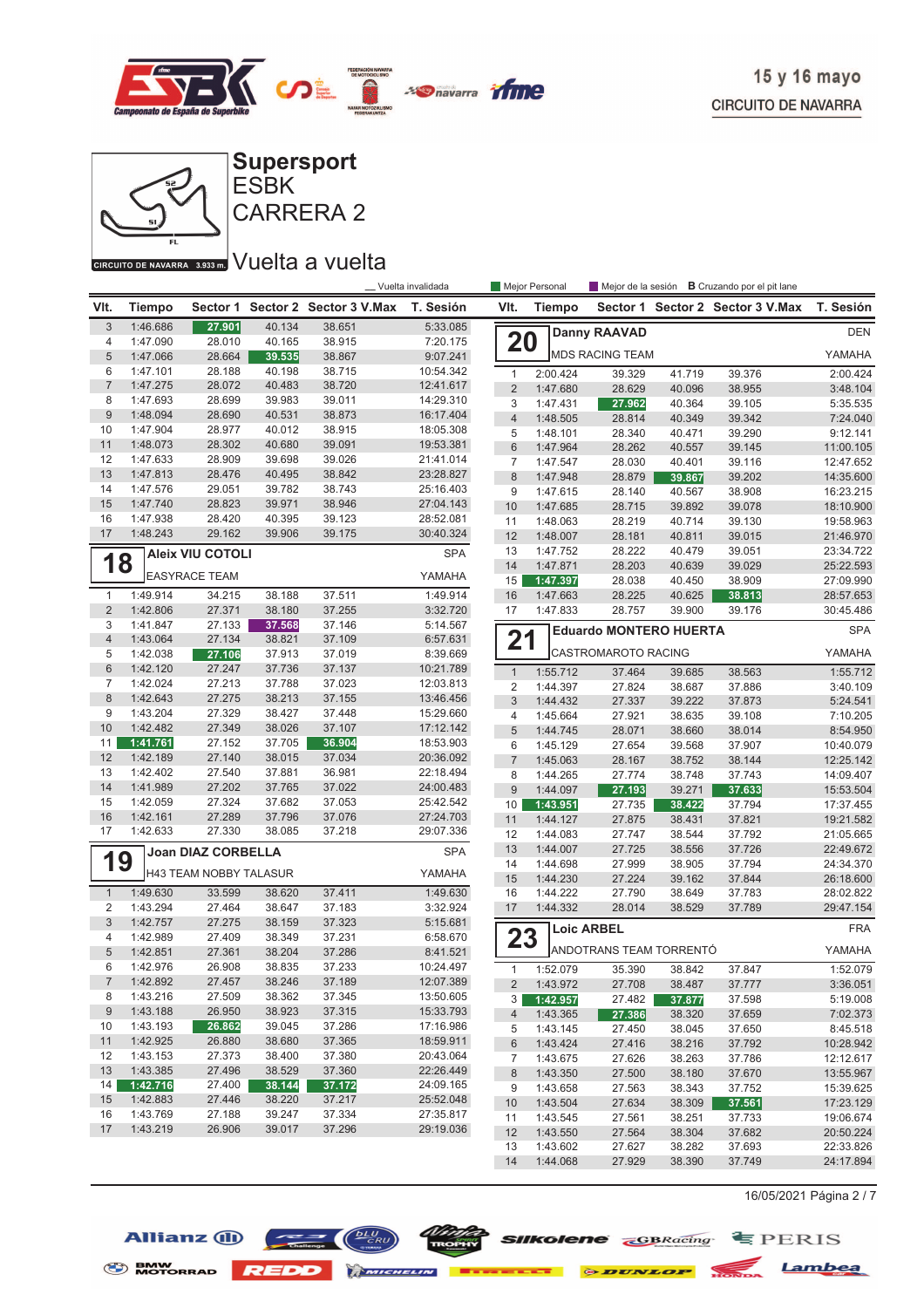



#### CIRCUITO DE NAVARRA 3.933 m. VUelta a vuelta

Allianz (1)

|                     |                      | _ Vuelta invalidada       |                  |                         | Mejor Personal         | <b>B</b> Cruzando por el pit lane<br>Mejor de la sesión |                      |                               |                  |                         |                        |
|---------------------|----------------------|---------------------------|------------------|-------------------------|------------------------|---------------------------------------------------------|----------------------|-------------------------------|------------------|-------------------------|------------------------|
| VIt.                | <b>Tiempo</b>        | Sector 1                  |                  | Sector 2 Sector 3 V.Max | T. Sesión              | VIt.                                                    | Tiempo               | Sector 1                      |                  | Sector 2 Sector 3 V.Max | T. Sesión              |
| 3                   | 1:46.686             | 27.901                    | 40.134           | 38.651                  | 5:33.085               |                                                         |                      | <b>Danny RAAVAD</b>           |                  |                         | <b>DEN</b>             |
| 4                   | 1:47.090             | 28.010                    | 40.165           | 38.915                  | 7:20.175               | 20                                                      |                      |                               |                  |                         |                        |
| 5                   | 1:47.066             | 28.664                    | 39.535           | 38.867                  | 9:07.241               |                                                         |                      | <b>MDS RACING TEAM</b>        |                  |                         | YAMAHA                 |
| 6                   | 1:47.101             | 28.188                    | 40.198           | 38.715                  | 10:54.342              | $\mathbf{1}$                                            | 2:00.424             | 39.329                        | 41.719           | 39.376                  | 2:00.424               |
| $\overline{7}$      | 1:47.275             | 28.072                    | 40.483           | 38.720                  | 12:41.617<br>14:29.310 | $\overline{2}$                                          | 1:47.680             | 28.629                        | 40.096           | 38.955                  | 3:48.104               |
| 8<br>$9\,$          | 1:47.693<br>1:48.094 | 28.699<br>28.690          | 39.983<br>40.531 | 39.011<br>38.873        | 16:17.404              | 3                                                       | 1:47.431             | 27.962                        | 40.364           | 39.105                  | 5:35.535               |
| 10                  | 1:47.904             | 28.977                    | 40.012           | 38.915                  | 18:05.308              | $\overline{4}$                                          | 1:48.505             | 28.814                        | 40.349           | 39.342                  | 7:24.040               |
| 11                  | 1:48.073             | 28.302                    | 40.680           | 39.091                  | 19:53.381              | 5                                                       | 1:48.101             | 28.340                        | 40.471           | 39.290                  | 9:12.141               |
| 12                  | 1:47.633             | 28.909                    | 39.698           | 39.026                  | 21:41.014              | 6<br>7                                                  | 1:47.964<br>1:47.547 | 28.262<br>28.030              | 40.557<br>40.401 | 39.145<br>39.116        | 11:00.105<br>12:47.652 |
| 13                  | 1:47.813             | 28.476                    | 40.495           | 38.842                  | 23:28.827              | 8                                                       | 1:47.948             | 28.879                        | 39.867           | 39.202                  | 14:35.600              |
| 14                  | 1:47.576             | 29.051                    | 39.782           | 38.743                  | 25:16.403              | 9                                                       | 1:47.615             | 28.140                        | 40.567           | 38.908                  | 16:23.215              |
| 15                  | 1:47.740             | 28.823                    | 39.971           | 38.946                  | 27:04.143              | 10                                                      | 1:47.685             | 28.715                        | 39.892           | 39.078                  | 18:10.900              |
| 16                  | 1:47.938             | 28.420                    | 40.395           | 39.123                  | 28:52.081              | 11                                                      | 1:48.063             | 28.219                        | 40.714           | 39.130                  | 19:58.963              |
| 17                  | 1:48.243             | 29.162                    | 39.906           | 39.175                  | 30:40.324              | 12                                                      | 1:48.007             | 28.181                        | 40.811           | 39.015                  | 21:46.970              |
|                     |                      | <b>Aleix VIU COTOLI</b>   |                  |                         | <b>SPA</b>             | 13                                                      | 1:47.752             | 28.222                        | 40.479           | 39.051                  | 23:34.722              |
| 1                   | 8                    |                           |                  |                         |                        | 14                                                      | 1:47.871             | 28.203                        | 40.639           | 39.029                  | 25:22.593              |
|                     |                      | <b>EASYRACE TEAM</b>      |                  |                         | YAMAHA                 | 15                                                      | 1:47.397             | 28.038                        | 40.450           | 38.909                  | 27:09.990              |
| $\mathbf{1}$        | 1:49.914             | 34.215                    | 38.188           | 37.511                  | 1:49.914               | 16                                                      | 1:47.663             | 28.225                        | 40.625           | 38.813                  | 28:57.653              |
| $\overline{2}$      | 1:42.806             | 27.371                    | 38.180           | 37.255                  | 3:32.720               | 17                                                      | 1:47.833             | 28.757                        | 39.900           | 39.176                  | 30:45.486              |
| 3                   | 1:41.847             | 27.133                    | 37.568           | 37.146                  | 5:14.567               |                                                         |                      | <b>Eduardo MONTERO HUERTA</b> |                  |                         | <b>SPA</b>             |
| $\overline{4}$<br>5 | 1:43.064<br>1:42.038 | 27.134                    | 38.821           | 37.109                  | 6:57.631<br>8:39.669   | 21                                                      |                      | CASTROMAROTO RACING           |                  |                         | YAMAHA                 |
| $6\phantom{1}$      | 1:42.120             | 27.106<br>27.247          | 37.913<br>37.736 | 37.019<br>37.137        | 10:21.789              |                                                         |                      |                               |                  |                         |                        |
| 7                   | 1:42.024             | 27.213                    | 37.788           | 37.023                  | 12:03.813              | $\mathbf{1}$                                            | 1:55.712             | 37.464                        | 39.685           | 38.563                  | 1:55.712               |
| 8                   | 1:42.643             | 27.275                    | 38.213           | 37.155                  | 13:46.456              | 2<br>3                                                  | 1:44.397<br>1:44.432 | 27.824                        | 38.687<br>39.222 | 37.886<br>37.873        | 3:40.109<br>5:24.541   |
| 9                   | 1:43.204             | 27.329                    | 38.427           | 37.448                  | 15:29.660              | 4                                                       | 1:45.664             | 27.337<br>27.921              | 38.635           | 39.108                  | 7:10.205               |
| 10                  | 1:42.482             | 27.349                    | 38.026           | 37.107                  | 17:12.142              | 5                                                       | 1:44.745             | 28.071                        | 38.660           | 38.014                  | 8:54.950               |
| 11                  | 1:41.761             | 27.152                    | 37.705           | 36.904                  | 18:53.903              | 6                                                       | 1:45.129             | 27.654                        | 39.568           | 37.907                  | 10:40.079              |
| 12                  | 1:42.189             | 27.140                    | 38.015           | 37.034                  | 20:36.092              | $\overline{7}$                                          | 1:45.063             | 28.167                        | 38.752           | 38.144                  | 12:25.142              |
| 13                  | 1:42.402             | 27.540                    | 37.881           | 36.981                  | 22:18.494              | 8                                                       | 1:44.265             | 27.774                        | 38.748           | 37.743                  | 14:09.407              |
| 14                  | 1:41.989             | 27.202                    | 37.765           | 37.022                  | 24:00.483              | 9                                                       | 1:44.097             | 27.193                        | 39.271           | 37.633                  | 15:53.504              |
| 15                  | 1:42.059             | 27.324                    | 37.682           | 37.053                  | 25:42.542              | 10                                                      | 1:43.951             | 27.735                        | 38.422           | 37.794                  | 17:37.455              |
| 16                  | 1:42.161             | 27.289                    | 37.796           | 37.076                  | 27:24.703              | 11                                                      | 1:44.127             | 27.875                        | 38.431           | 37.821                  | 19:21.582              |
| 17                  | 1:42.633             | 27.330                    | 38.085           | 37.218                  | 29:07.336              | 12                                                      | 1:44.083             | 27.747                        | 38.544           | 37.792                  | 21:05.665              |
|                     |                      | <b>Joan DIAZ CORBELLA</b> |                  |                         | <b>SPA</b>             | 13                                                      | 1:44.007             | 27.725                        | 38.556           | 37.726                  | 22:49.672              |
| 19                  |                      | H43 TEAM NOBBY TALASUR    |                  |                         | YAMAHA                 | 14                                                      | 1:44.698             | 27.999                        | 38.905           | 37.794                  | 24:34.370              |
|                     |                      |                           |                  |                         |                        | 15                                                      | 1:44.230             | 27.224                        | 39.162           | 37.844                  | 26:18.600              |
| $\mathbf{1}$        | 1:49.630             | 33.599                    | 38.620           | 37.411                  | 1:49.630               | 16                                                      | 1:44.222             | 27.790                        | 38.649           | 37.783                  | 28:02.822              |
| $\overline{2}$<br>3 | 1:43.294<br>1:42.757 | 27.464<br>27.275          | 38.647<br>38.159 | 37.183<br>37.323        | 3:32.924               | 17                                                      | 1:44.332             | 28.014                        | 38.529           | 37.789                  | 29:47.154              |
| 4                   | 1:42.989             | 27.409                    | 38.349           | 37.231                  | 5:15.681<br>6:58.670   | 23                                                      |                      | <b>Loic ARBEL</b>             |                  |                         | <b>FRA</b>             |
| 5                   | 1:42.851             | 27.361                    | 38.204           | 37.286                  | 8:41.521               |                                                         |                      | ANDOTRANS TEAM TORRENTÓ       |                  |                         | YAMAHA                 |
| 6                   | 1:42.976             | 26.908                    | 38.835           | 37.233                  | 10:24.497              | 1                                                       | 1:52.079             | 35.390                        | 38.842           | 37.847                  | 1:52.079               |
| $\prime$            | 1:42.892             | 27.457                    | 38.246           | 37.189                  | 12:07.389              | $\overline{c}$                                          | 1:43.972             | 27.708                        | 38.487           | 37.777                  | 3:36.051               |
| 8                   | 1:43.216             | 27.509                    | 38.362           | 37.345                  | 13:50.605              | 3                                                       | 1:42.957             | 27.482                        | 37.877           | 37.598                  | 5:19.008               |
| 9                   | 1:43.188             | 26.950                    | 38.923           | 37.315                  | 15:33.793              | $\overline{4}$                                          | 1:43.365             | 27.386                        | 38.320           | 37.659                  | 7:02.373               |
| 10                  | 1:43.193             | 26.862                    | 39.045           | 37.286                  | 17:16.986              | 5                                                       | 1:43.145             | 27.450                        | 38.045           | 37.650                  | 8:45.518               |
| 11                  | 1:42.925             | 26.880                    | 38.680           | 37.365                  | 18:59.911              | 6                                                       | 1:43.424             | 27.416                        | 38.216           | 37.792                  | 10:28.942              |
| 12                  | 1:43.153             | 27.373                    | 38.400           | 37.380                  | 20:43.064              | 7                                                       | 1:43.675             | 27.626                        | 38.263           | 37.786                  | 12:12.617              |
| 13                  | 1:43.385             | 27.496                    | 38.529           | 37.360                  | 22:26.449              | $\bf 8$                                                 | 1:43.350             | 27.500                        | 38.180           | 37.670                  | 13:55.967              |
| 14                  | 1:42.716             | 27.400                    | 38.144           | 37.172                  | 24:09.165              | 9                                                       | 1:43.658             | 27.563                        | 38.343           | 37.752                  | 15:39.625              |
| 15                  | 1:42.883             | 27.446                    | 38.220           | 37.217                  | 25:52.048              | 10                                                      | 1:43.504             | 27.634                        | 38.309           | 37.561                  | 17:23.129              |
| 16                  | 1:43.769             | 27.188                    | 39.247           | 37.334                  | 27:35.817              | 11                                                      | 1:43.545             | 27.561                        | 38.251           | 37.733                  | 19:06.674              |
| 17                  | 1:43.219             | 26.906                    | 39.017           | 37.296                  | 29:19.036              | 12                                                      | 1:43.550             | 27.564                        | 38.304           | 37.682                  | 20:50.224              |
|                     |                      |                           |                  |                         |                        | 13                                                      | 1:43.602             | 27.627                        | 38.282           | 37.693                  | 22:33.826              |
|                     |                      |                           |                  |                         |                        | 14                                                      | 1:44.068             | 27.929                        | 38.390           | 37.749                  | 24:17.894              |

S BMW REDD MICHELIN **BERKELLE & DUNLOP** MONDA Lambea

16/05/2021 Página 2 / 7

 $\frac{Wjj/2}{W}$  Silkolene  $\frac{1}{\sqrt{W}}$  EPERIS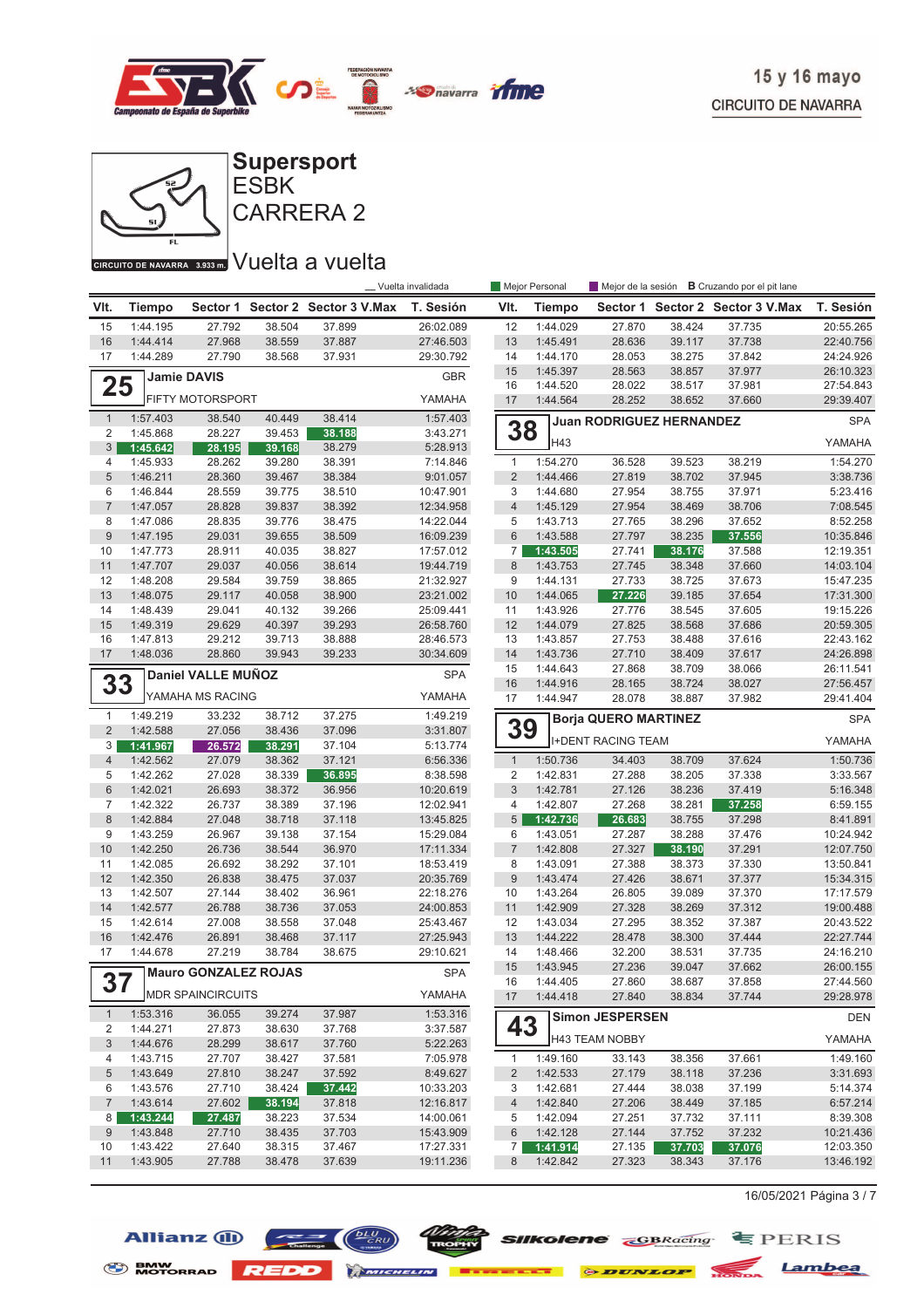



CARRERA 2

## GIRGUITO DE NAVARRA 3.933mm VUelta a vuelta

|                  |                      |                             |                  |                                  | _Vuelta invalidada     |                      | Mejor Personal       |                                 |                  | Mejor de la sesión <b>B</b> Cruzando por el pit lane |                       |
|------------------|----------------------|-----------------------------|------------------|----------------------------------|------------------------|----------------------|----------------------|---------------------------------|------------------|------------------------------------------------------|-----------------------|
| VIt.             | <b>Tiempo</b>        |                             |                  | Sector 1 Sector 2 Sector 3 V.Max | T. Sesión              | VIt.                 | <b>Tiempo</b>        |                                 |                  | Sector 1 Sector 2 Sector 3 V.Max                     | T. Sesión             |
| 15               | 1:44.195             | 27.792                      | 38.504           | 37.899                           | 26:02.089              | 12                   | 1:44.029             | 27.870                          | 38.424           | 37.735                                               | 20:55.265             |
| 16               | 1:44.414             | 27.968                      | 38.559           | 37.887                           | 27:46.503              | 13                   | 1:45.491             | 28.636                          | 39.117           | 37.738                                               | 22:40.756             |
| 17               | 1:44.289             | 27.790                      | 38.568           | 37.931                           | 29:30.792              | 14                   | 1:44.170             | 28.053                          | 38.275           | 37.842                                               | 24:24.926             |
|                  |                      | <b>Jamie DAVIS</b>          |                  |                                  | <b>GBR</b>             | 15                   | 1:45.397             | 28.563                          | 38.857           | 37.977                                               | 26:10.323             |
| 25               |                      |                             |                  |                                  |                        | 16                   | 1:44.520             | 28.022                          | 38.517           | 37.981                                               | 27:54.843             |
|                  |                      | <b>FIFTY MOTORSPORT</b>     |                  |                                  | YAMAHA                 | 17                   | 1:44.564             | 28.252                          | 38.652           | 37.660                                               | 29:39.407             |
| $\mathbf{1}$     | 1:57.403             | 38.540                      | 40.449           | 38.414                           | 1:57.403               |                      |                      | <b>Juan RODRIGUEZ HERNANDEZ</b> |                  |                                                      | <b>SPA</b>            |
| 2                | 1:45.868             | 28.227                      | 39.453           | 38.188                           | 3:43.271               | 38                   |                      |                                 |                  |                                                      |                       |
| 3                | 1:45.642             | 28.195                      | 39.168           | 38.279                           | 5:28.913               |                      | H43                  |                                 |                  |                                                      | YAMAHA                |
| 4                | 1:45.933             | 28.262                      | 39.280           | 38.391                           | 7:14.846               | $\mathbf{1}$         | 1:54.270             | 36.528                          | 39.523           | 38.219                                               | 1:54.270              |
| 5                | 1:46.211             | 28.360                      | 39.467           | 38.384                           | 9:01.057               | $\overline{2}$       | 1:44.466             | 27.819                          | 38.702           | 37.945                                               | 3:38.736              |
| 6                | 1:46.844             | 28.559                      | 39.775           | 38.510                           | 10:47.901              | 3                    | 1:44.680             | 27.954                          | 38.755           | 37.971                                               | 5:23.416              |
| $\overline{7}$   | 1:47.057             | 28.828                      | 39.837           | 38.392                           | 12:34.958              | $\overline{4}$       | 1:45.129             | 27.954                          | 38.469           | 38.706                                               | 7:08.545              |
| 8                | 1:47.086             | 28.835                      | 39.776           | 38.475                           | 14:22.044              | 5                    | 1:43.713             | 27.765                          | 38.296           | 37.652                                               | 8:52.258              |
| $\boldsymbol{9}$ | 1:47.195             | 29.031                      | 39.655           | 38.509                           | 16:09.239              | $6\phantom{1}$       | 1:43.588             | 27.797                          | 38.235           | 37.556                                               | 10:35.846             |
| 10               | 1:47.773             | 28.911                      | 40.035           | 38.827                           | 17:57.012              | $\overline{7}$       | 1:43.505             | 27.741                          | 38.176           | 37.588                                               | 12:19.351             |
| 11               | 1:47.707             | 29.037                      | 40.056           | 38.614                           | 19:44.719              | 8                    | 1:43.753             | 27.745                          | 38.348           | 37.660                                               | 14:03.104             |
| 12               | 1:48.208             | 29.584                      | 39.759           | 38.865                           | 21:32.927              | 9                    | 1:44.131             | 27.733                          | 38.725           | 37.673                                               | 15:47.235             |
| 13               | 1:48.075             | 29.117                      | 40.058           | 38.900                           | 23:21.002              | 10                   | 1:44.065             | 27.226                          | 39.185           | 37.654                                               | 17:31.300             |
| 14               | 1:48.439             | 29.041                      | 40.132           | 39.266                           | 25:09.441              | 11                   | 1:43.926             | 27.776                          | 38.545           | 37.605                                               | 19:15.226             |
| 15               | 1:49.319             | 29.629                      | 40.397           | 39.293                           | 26:58.760              | 12                   | 1:44.079             | 27.825                          | 38.568           | 37.686                                               | 20:59.305             |
| 16               | 1:47.813             | 29.212                      | 39.713           | 38.888                           | 28:46.573              | 13                   | 1:43.857             | 27.753                          | 38.488           | 37.616                                               | 22:43.162             |
| 17               | 1:48.036             | 28.860                      | 39.943           | 39.233                           | 30:34.609              | 14                   | 1:43.736             | 27.710                          | 38.409           | 37.617                                               | 24:26.898             |
|                  |                      | Daniel VALLE MUÑOZ          |                  |                                  | <b>SPA</b>             | 15                   | 1:44.643             | 27.868                          | 38.709           | 38.066                                               | 26:11.541             |
| 33               |                      |                             |                  |                                  |                        | 16                   | 1:44.916             | 28.165                          | 38.724           | 38.027                                               | 27:56.457             |
|                  |                      | YAMAHA MS RACING            |                  |                                  | YAMAHA                 | 17                   | 1:44.947             | 28.078                          | 38.887           | 37.982                                               | 29:41.404             |
| $\mathbf{1}$     | 1:49.219             | 33.232                      | 38.712           | 37.275                           | 1:49.219               |                      |                      | <b>Borja QUERO MARTINEZ</b>     |                  |                                                      | <b>SPA</b>            |
| $\overline{2}$   | 1:42.588             | 27.056                      | 38.436           | 37.096                           | 3:31.807               | 39                   |                      | <b>I+DENT RACING TEAM</b>       |                  |                                                      | YAMAHA                |
| 3                | 1:41.967             | 26.572                      | 38.291           | 37.104                           | 5:13.774               |                      |                      |                                 |                  |                                                      |                       |
| $\overline{4}$   | 1:42.562             | 27.079                      | 38.362           | 37.121                           | 6:56.336               | $\mathbf{1}$         | 1:50.736             | 34.403                          | 38.709           | 37.624                                               | 1:50.736              |
| 5                | 1:42.262             | 27.028                      | 38.339           | 36.895                           | 8:38.598               | $\overline{2}$       | 1:42.831             | 27.288                          | 38.205           | 37.338                                               | 3:33.567              |
| $6\phantom{1}$   | 1:42.021             | 26.693                      | 38.372           | 36.956                           | 10:20.619              | 3                    | 1:42.781             | 27.126                          | 38.236           | 37.419                                               | 5:16.348              |
| 7<br>$\,8\,$     | 1:42.322             | 26.737                      | 38.389           | 37.196                           | 12:02.941              | $\overline{4}$       | 1:42.807             | 27.268                          | 38.281           | 37.258                                               | 6:59.155              |
| 9                | 1:42.884<br>1:43.259 | 27.048<br>26.967            | 38.718<br>39.138 | 37.118<br>37.154                 | 13:45.825<br>15:29.084 | $5\overline{)}$<br>6 | 1:42.736<br>1:43.051 | 26.683<br>27.287                | 38.755<br>38.288 | 37.298<br>37.476                                     | 8:41.891<br>10:24.942 |
| 10               | 1:42.250             | 26.736                      | 38.544           | 36.970                           |                        | $\sqrt{7}$           | 1:42.808             |                                 | 38.190           | 37.291                                               | 12:07.750             |
| 11               | 1:42.085             | 26.692                      | 38.292           | 37.101                           | 17:11.334<br>18:53.419 | 8                    | 1:43.091             | 27.327<br>27.388                | 38.373           | 37.330                                               | 13:50.841             |
| 12               | 1:42.350             | 26.838                      | 38.475           | 37.037                           | 20:35.769              | 9                    | 1:43.474             | 27.426                          | 38.671           | 37.377                                               | 15:34.315             |
| 13               | 1:42.507             | 27.144                      | 38.402           | 36.961                           | 22:18.276              | 10                   | 1:43.264             | 26.805                          | 39.089           | 37.370                                               | 17:17.579             |
| 14               | 1:42.577             | 26.788                      | 38.736           | 37.053                           | 24:00.853              | 11                   | 1:42.909             | 27.328                          | 38.269           | 37.312                                               | 19:00.488             |
| 15               | 1:42.614             | 27.008                      | 38.558           | 37.048                           | 25:43.467              | 12                   | 1:43.034             | 27.295                          | 38.352           | 37.387                                               | 20:43.522             |
| 16               | 1:42.476             | 26.891                      | 38.468           | 37.117                           | 27:25.943              | 13                   | 1:44.222             | 28.478                          | 38.300           | 37.444                                               | 22:27.744             |
| 17               | 1:44.678             | 27.219                      | 38.784           | 38.675                           | 29:10.621              | 14                   | 1:48.466             | 32.200                          | 38.531           | 37.735                                               | 24:16.210             |
|                  |                      |                             |                  |                                  |                        | 15                   | 1:43.945             | 27.236                          | 39.047           | 37.662                                               | 26:00.155             |
| 67               |                      | <b>Mauro GONZALEZ ROJAS</b> |                  |                                  | <b>SPA</b>             | 16                   | 1:44.405             | 27.860                          | 38.687           | 37.858                                               | 27:44.560             |
| 51               |                      | <b>MDR SPAINCIRCUITS</b>    |                  |                                  | YAMAHA                 | 17                   | 1:44.418             | 27.840                          | 38.834           | 37.744                                               | 29:28.978             |
| $\mathbf{1}$     | 1:53.316             | 36.055                      | 39.274           | 37.987                           | 1:53.316               |                      |                      | Simon JESPERSEN                 |                  |                                                      | <b>DEN</b>            |
| 2                | 1:44.271             | 27.873                      | 38.630           | 37.768                           | 3:37.587               | 43                   |                      |                                 |                  |                                                      |                       |
| 3                | 1:44.676             | 28.299                      | 38.617           | 37.760                           | 5:22.263               |                      |                      | H43 TEAM NOBBY                  |                  |                                                      | YAMAHA                |
| 4                | 1:43.715             | 27.707                      | 38.427           | 37.581                           | 7:05.978               | 1                    | 1:49.160             | 33.143                          | 38.356           | 37.661                                               | 1:49.160              |
| 5                | 1:43.649             | 27.810                      | 38.247           | 37.592                           | 8:49.627               | $\overline{2}$       | 1:42.533             | 27.179                          | 38.118           | 37.236                                               | 3:31.693              |
| 6                | 1:43.576             | 27.710                      | 38.424           | 37.442                           | 10:33.203              | 3                    | 1:42.681             | 27.444                          | 38.038           | 37.199                                               | 5:14.374              |
| $\overline{7}$   | 1:43.614             | 27.602                      | 38.194           | 37.818                           | 12:16.817              | $\overline{4}$       | 1:42.840             | 27.206                          | 38.449           | 37.185                                               | 6:57.214              |
| 8                | 1:43.244             | 27.487                      | 38.223           | 37.534                           | 14:00.061              | 5                    | 1:42.094             | 27.251                          | 37.732           | 37.111                                               | 8:39.308              |
| 9                | 1:43.848             | 27.710                      | 38.435           | 37.703                           | 15:43.909              | $6\phantom{1}6$      | 1:42.128             | 27.144                          | 37.752           | 37.232                                               | 10:21.436             |
| 10               | 1:43.422             | 27.640                      | 38.315           | 37.467                           | 17:27.331              | $\overline{7}$       | 1:41.914             | 27.135                          | 37.703           | 37.076                                               | 12:03.350             |
| 11               | 1:43.905             | 27.788                      | 38.478           | 37.639                           | 19:11.236              | 8                    | 1:42.842             | 27.323                          | 38.343           | 37.176                                               | 13:46.192             |

16/05/2021 Página 3 / 7





S BMW REDD MICHELIN **BERKELLE & DUNLOP** MONDA Lambea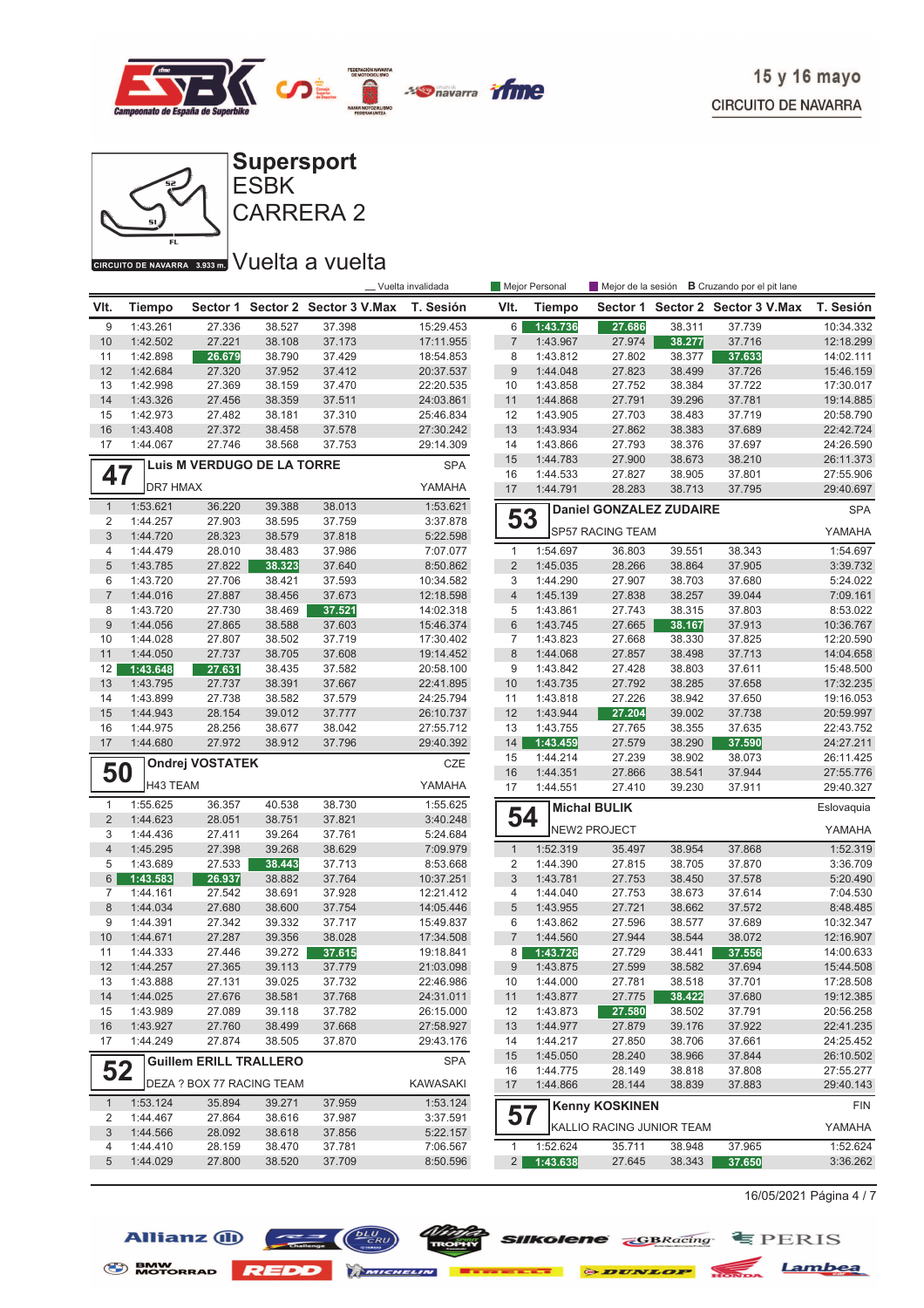



## GIRGUITO DE NAVARRA 3.933mm VUelta a vuelta

|                     |                      |                               |                  |                                  | Vuelta invalidada      |                           | Mejor Personal       |                                |                  | Mejor de la sesión <b>B</b> Cruzando por el pit lane |                        |
|---------------------|----------------------|-------------------------------|------------------|----------------------------------|------------------------|---------------------------|----------------------|--------------------------------|------------------|------------------------------------------------------|------------------------|
| VIt.                | <b>Tiempo</b>        |                               |                  | Sector 1 Sector 2 Sector 3 V.Max | T. Sesión              | VIt.                      | <b>Tiempo</b>        |                                |                  | Sector 1 Sector 2 Sector 3 V.Max                     | T. Sesión              |
| 9                   | 1:43.261             | 27.336                        | 38.527           | 37.398                           | 15:29.453              | 6                         | 1:43.736             | 27.686                         | 38.311           | 37.739                                               | 10:34.332              |
| 10                  | 1:42.502             | 27.221                        | 38.108           | 37.173                           | 17:11.955              | $\overline{7}$            | 1:43.967             | 27.974                         | 38.277           | 37.716                                               | 12:18.299              |
| 11                  | 1:42.898             | 26.679                        | 38.790           | 37.429                           | 18:54.853              | 8                         | 1:43.812             | 27.802                         | 38.377           | 37.633                                               | 14:02.111              |
| 12                  | 1:42.684             | 27.320                        | 37.952           | 37.412                           | 20:37.537              | $9$                       | 1:44.048             | 27.823                         | 38.499           | 37.726                                               | 15:46.159              |
| 13                  | 1:42.998             | 27.369                        | 38.159           | 37.470                           | 22:20.535              | 10                        | 1:43.858             | 27.752                         | 38.384           | 37.722                                               | 17:30.017              |
| 14                  | 1:43.326             | 27.456                        | 38.359           | 37.511                           | 24:03.861              | 11                        | 1:44.868             | 27.791                         | 39.296           | 37.781                                               | 19:14.885              |
| 15                  | 1:42.973             | 27.482                        | 38.181           | 37.310                           | 25:46.834              | 12                        | 1:43.905             | 27.703                         | 38.483           | 37.719                                               | 20:58.790              |
| 16                  | 1:43.408             | 27.372                        | 38.458           | 37.578                           | 27:30.242              | 13                        | 1:43.934             | 27.862                         | 38.383           | 37.689                                               | 22:42.724              |
| 17                  | 1:44.067             | 27.746                        | 38.568           | 37.753                           | 29:14.309              | 14                        | 1:43.866             | 27.793                         | 38.376           | 37.697                                               | 24:26.590              |
|                     |                      | Luis M VERDUGO DE LA TORRE    |                  |                                  | <b>SPA</b>             | 15                        | 1:44.783             | 27.900                         | 38.673           | 38.210                                               | 26:11.373              |
| 47                  |                      |                               |                  |                                  |                        | 16                        | 1:44.533             | 27.827                         | 38.905           | 37.801                                               | 27:55.906              |
|                     | <b>DR7 HMAX</b>      |                               |                  |                                  | YAMAHA                 | 17                        | 1:44.791             | 28.283                         | 38.713           | 37.795                                               | 29:40.697              |
| $\mathbf{1}$        | 1:53.621             | 36.220                        | 39.388           | 38.013                           | 1:53.621               |                           |                      | <b>Daniel GONZALEZ ZUDAIRE</b> |                  |                                                      | <b>SPA</b>             |
| 2                   | 1:44.257             | 27.903                        | 38.595           | 37.759                           | 3:37.878               | 53                        |                      | <b>SP57 RACING TEAM</b>        |                  |                                                      | YAMAHA                 |
| 3                   | 1:44.720             | 28.323                        | 38.579           | 37.818                           | 5:22.598               |                           |                      |                                |                  |                                                      |                        |
| 4                   | 1:44.479             | 28.010                        | 38.483           | 37.986                           | 7:07.077               | $\mathbf{1}$              | 1:54.697             | 36.803                         | 39.551           | 38.343                                               | 1:54.697               |
| 5                   | 1:43.785             | 27.822                        | 38.323           | 37.640                           | 8:50.862               | $\overline{2}$            | 1:45.035             | 28.266                         | 38.864           | 37.905                                               | 3:39.732               |
| 6                   | 1:43.720             | 27.706                        | 38.421           | 37.593                           | 10:34.582              | $\ensuremath{\mathsf{3}}$ | 1:44.290             | 27.907                         | 38.703           | 37.680                                               | 5:24.022               |
| $\overline{7}$<br>8 | 1:44.016             | 27.887                        | 38.456           | 37.673                           | 12:18.598              | $\overline{4}$            | 1:45.139             | 27.838                         | 38.257           | 39.044                                               | 7:09.161               |
| $9\,$               | 1:43.720             | 27.730                        | 38.469           | 37.521                           | 14:02.318              | 5<br>$\,6$                | 1:43.861             | 27.743                         | 38.315<br>38.167 | 37.803                                               | 8:53.022               |
| 10                  | 1:44.056<br>1:44.028 | 27.865<br>27.807              | 38.588<br>38.502 | 37.603<br>37.719                 | 15:46.374<br>17:30.402 | $\overline{7}$            | 1:43.745<br>1:43.823 | 27.665<br>27.668               | 38.330           | 37.913<br>37.825                                     | 10:36.767<br>12:20.590 |
| 11                  | 1:44.050             | 27.737                        | 38.705           | 37.608                           | 19:14.452              | $\,8\,$                   | 1:44.068             | 27.857                         | 38.498           | 37.713                                               | 14:04.658              |
| 12                  | 1:43.648             | 27.631                        | 38.435           | 37.582                           | 20:58.100              | 9                         | 1:43.842             | 27.428                         | 38.803           | 37.611                                               | 15:48.500              |
| 13                  | 1:43.795             | 27.737                        | 38.391           | 37.667                           |                        | 10                        | 1:43.735             | 27.792                         | 38.285           | 37.658                                               | 17:32.235              |
| 14                  | 1:43.899             | 27.738                        | 38.582           | 37.579                           | 22:41.895<br>24:25.794 | 11                        | 1:43.818             | 27.226                         | 38.942           | 37.650                                               | 19:16.053              |
| 15                  | 1:44.943             | 28.154                        | 39.012           | 37.777                           | 26:10.737              | 12                        | 1:43.944             | 27.204                         | 39.002           | 37.738                                               | 20:59.997              |
| 16                  | 1:44.975             | 28.256                        | 38.677           | 38.042                           | 27:55.712              | 13                        | 1:43.755             | 27.765                         | 38.355           | 37.635                                               | 22:43.752              |
| 17                  | 1:44.680             | 27.972                        | 38.912           | 37.796                           | 29:40.392              | 14                        | 1:43.459             | 27.579                         | 38.290           | 37.590                                               | 24:27.211              |
|                     |                      |                               |                  |                                  |                        | 15                        | 1:44.214             | 27.239                         | 38.902           | 38.073                                               | 26:11.425              |
| 50                  |                      | <b>Ondrej VOSTATEK</b>        |                  |                                  | CZE                    | 16                        | 1:44.351             | 27.866                         | 38.541           | 37.944                                               | 27:55.776              |
|                     | H43 TEAM             |                               |                  |                                  | YAMAHA                 | 17                        | 1:44.551             | 27.410                         | 39.230           | 37.911                                               | 29:40.327              |
| 1                   | 1:55.625             | 36.357                        | 40.538           | 38.730                           | 1:55.625               |                           |                      |                                |                  |                                                      |                        |
| $\overline{2}$      | 1:44.623             | 28.051                        | 38.751           | 37.821                           | 3:40.248               | 54                        |                      | <b>Michal BULIK</b>            |                  |                                                      | Eslovaquia             |
| 3                   | 1:44.436             | 27.411                        | 39.264           | 37.761                           | 5:24.684               |                           |                      | <b>NEW2 PROJECT</b>            |                  |                                                      | YAMAHA                 |
| $\overline{4}$      | 1:45.295             | 27.398                        | 39.268           | 38.629                           | 7:09.979               | $\mathbf{1}$              | 1:52.319             | 35.497                         | 38.954           | 37.868                                               | 1:52.319               |
| 5                   | 1:43.689             | 27.533                        | 38.443           | 37.713                           | 8:53.668               | $\overline{2}$            | 1:44.390             | 27.815                         | 38.705           | 37.870                                               | 3:36.709               |
| 6                   | 1:43.583             | 26.937                        | 38.882           | 37.764                           | 10:37.251              | 3                         | 1:43.781             | 27.753                         | 38.450           | 37.578                                               | 5:20.490               |
| 7                   | 1:44.161             | 27.542                        | 38.691           | 37.928                           | 12:21.412              | $\overline{4}$            | 1:44.040             | 27.753                         | 38.673           | 37.614                                               | 7:04.530               |
| 8                   | 1:44.034             | 27.680                        | 38.600           | 37.754                           | 14:05.446              | 5                         | 1:43.955             | 27.721                         | 38.662           | 37.572                                               | 8:48.485               |
| 9                   | 1:44.391             | 27.342                        | 39.332           | 37.717                           | 15:49.837              | 6                         | 1:43.862             | 27.596                         | 38.577           | 37.689                                               | 10:32.347              |
| 10                  | 1:44.671             | 27.287                        | 39.356           | 38.028                           | 17:34.508              | $\overline{7}$            | 1:44.560             | 27.944                         | 38.544           | 38.072                                               | 12:16.907              |
| 11                  | 1:44.333             | 27.446                        | 39.272           | 37.615                           | 19:18.841              | 8                         | 1:43.726             | 27.729                         | 38.441           | 37.556                                               | 14:00.633              |
| 12                  | 1:44.257             | 27.365                        | 39.113           | 37.779                           | 21:03.098              | 9                         | 1:43.875             | 27.599                         | 38.582           | 37.694                                               | 15:44.508              |
| 13                  | 1:43.888             | 27.131                        | 39.025           | 37.732                           | 22:46.986              | 10                        | 1:44.000             | 27.781                         | 38.518           | 31.701                                               | 17:28.508              |
| 14                  | 1:44.025             | 27.676                        | 38.581           | 37.768                           | 24:31.011              | 11                        | 1:43.877             | 27.775                         | 38.422           | 37.680                                               | 19:12.385              |
| 15                  | 1:43.989             | 27.089                        | 39.118           | 37.782                           | 26:15.000              | 12                        | 1:43.873             | 27.580                         | 38.502           | 37.791                                               | 20:56.258              |
| 16                  | 1:43.927             | 27.760                        | 38.499           | 37.668                           | 27:58.927              | 13                        | 1:44.977             | 27.879                         | 39.176           | 37.922                                               | 22:41.235              |
| 17                  | 1:44.249             | 27.874                        | 38.505           | 37.870                           | 29:43.176              | 14                        | 1:44.217             | 27.850                         | 38.706           | 37.661                                               | 24:25.452              |
|                     |                      | <b>Guillem ERILL TRALLERO</b> |                  |                                  | <b>SPA</b>             | 15                        | 1:45.050             | 28.240                         | 38.966           | 37.844                                               | 26:10.502              |
| 52                  |                      |                               |                  |                                  |                        | 16                        | 1:44.775             | 28.149                         | 38.818           | 37.808                                               | 27:55.277              |
|                     |                      | DEZA ? BOX 77 RACING TEAM     |                  |                                  | KAWASAKI               | 17                        | 1:44.866             | 28.144                         | 38.839           | 37.883                                               | 29:40.143              |
| $\mathbf{1}$        | 1:53.124             | 35.894                        | 39.271           | 37.959                           | 1:53.124               |                           |                      | <b>Kenny KOSKINEN</b>          |                  |                                                      | <b>FIN</b>             |
| 2                   | 1:44.467             | 27.864                        | 38.616           | 37.987                           | 3:37.591               | 57                        |                      |                                |                  |                                                      |                        |
| 3                   | 1:44.566             | 28.092                        | 38.618           | 37.856                           | 5:22.157               |                           |                      | KALLIO RACING JUNIOR TEAM      |                  |                                                      | YAMAHA                 |
| 4                   | 1:44.410             | 28.159                        | 38.470           | 37.781                           | 7:06.567               | $\mathbf{1}$              | 1:52.624             | 35.711                         | 38.948           | 37.965                                               | 1:52.624               |
| 5                   | 1:44.029             | 27.800                        | 38.520           | 37.709                           | 8:50.596               | 2 <sub>1</sub>            | 1:43.638             | 27.645                         | 38.343           | 37.650                                               | 3:36.262               |

16/05/2021 Página 4 / 7





S BMW REDD MICHELIN **BERKELLE & DUNLOP** MONDA Lambea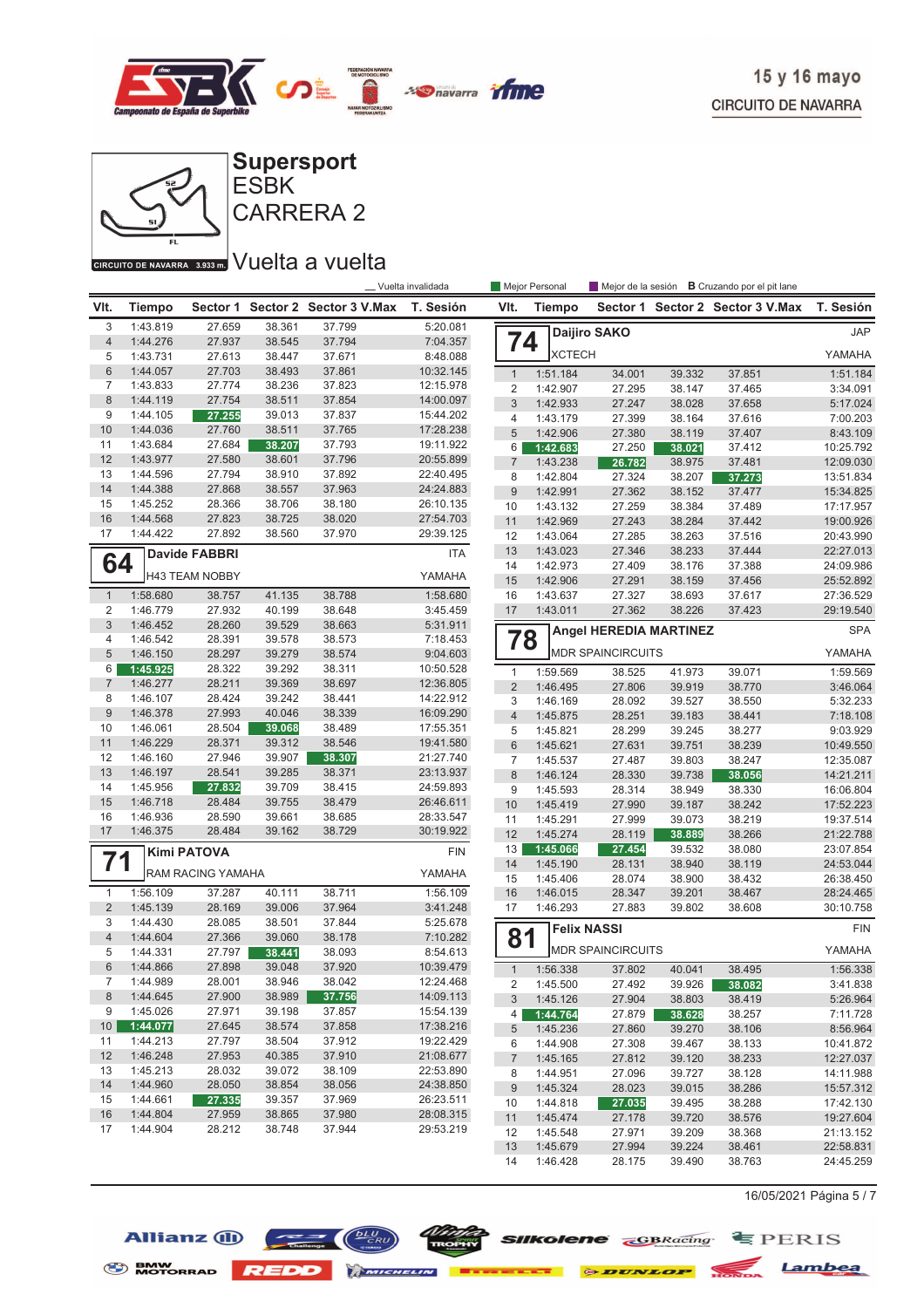



#### CIRCUITO DE NAVARRA 3.933 m. VUelta a vuelta

Allianz (1)

BMW MOTORRAD **REDD Experience Execute** 

|                |                      |                       |                  |                         | Vuelta invalidada    |                                | Mejor Personal |                               | Mejor de la sesión | <b>B</b> Cruzando por el pit lane |            |
|----------------|----------------------|-----------------------|------------------|-------------------------|----------------------|--------------------------------|----------------|-------------------------------|--------------------|-----------------------------------|------------|
| VIt.           | <b>Tiempo</b>        | Sector 1              |                  | Sector 2 Sector 3 V.Max | T. Sesión            | VIt.                           | <b>Tiempo</b>  | Sector 1                      |                    | Sector 2 Sector 3 V.Max           | T. Sesión  |
| 3              | 1:43.819             | 27.659                | 38.361           | 37.799                  | 5:20.081             |                                |                | Daijiro SAKO                  |                    |                                   | <b>JAP</b> |
| $\overline{4}$ | 1:44.276             | 27.937                | 38.545           | 37.794                  | 7:04.357             | 74                             |                |                               |                    |                                   |            |
| 5              | 1:43.731             | 27.613                | 38.447           | 37.671                  | 8:48.088             |                                | <b>XCTECH</b>  |                               |                    |                                   | YAMAHA     |
| 6              | 1:44.057             | 27.703                | 38.493           | 37.861                  | 10:32.145            | $\mathbf{1}$                   | 1:51.184       | 34.001                        | 39.332             | 37.851                            | 1:51.184   |
| 7              | 1:43.833             | 27.774                | 38.236           | 37.823                  | 12:15.978            | 2                              | 1:42.907       | 27.295                        | 38.147             | 37.465                            | 3:34.091   |
| $\,8\,$        | 1:44.119             | 27.754                | 38.511           | 37.854                  | 14:00.097            | 3                              | 1:42.933       | 27.247                        | 38.028             | 37.658                            | 5:17.024   |
| 9              | 1:44.105             | 27.255                | 39.013           | 37.837                  | 15:44.202            | $\overline{4}$                 | 1:43.179       | 27.399                        | 38.164             | 37.616                            | 7:00.203   |
| 10             | 1:44.036             | 27.760                | 38.511           | 37.765                  | 17:28.238            | 5                              | 1:42.906       | 27.380                        | 38.119             | 37.407                            | 8:43.109   |
| 11             | 1:43.684             | 27.684                | 38.207           | 37.793                  | 19:11.922            | 6                              | 1:42.683       | 27.250                        | 38.021             | 37.412                            | 10:25.792  |
| 12             | 1:43.977             | 27.580                | 38.601           | 37.796                  | 20:55.899            | $\overline{7}$                 | 1:43.238       | 26.782                        | 38.975             | 37.481                            | 12:09.030  |
| 13             | 1:44.596             | 27.794                | 38.910           | 37.892                  | 22:40.495            | 8                              | 1:42.804       | 27.324                        | 38.207             | 37.273                            | 13:51.834  |
| 14             | 1:44.388             | 27.868                | 38.557           | 37.963                  | 24:24.883            | 9                              | 1:42.991       | 27.362                        | 38.152             | 37.477                            | 15:34.825  |
| 15             | 1:45.252             | 28.366                | 38.706           | 38.180                  | 26:10.135            | 10                             | 1:43.132       | 27.259                        | 38.384             | 37.489                            | 17:17.957  |
| 16             | 1:44.568             | 27.823                | 38.725           | 38.020                  | 27:54.703            | 11                             | 1:42.969       | 27.243                        | 38.284             | 37.442                            | 19:00.926  |
| 17             | 1:44.422             | 27.892                | 38.560           | 37.970                  | 29:39.125            | 12                             | 1:43.064       | 27.285                        | 38.263             | 37.516                            | 20:43.990  |
|                |                      | <b>Davide FABBRI</b>  |                  |                         | <b>ITA</b>           | 13                             | 1:43.023       | 27.346                        | 38.233             | 37.444                            | 22:27.013  |
| 64             |                      | <b>H43 TEAM NOBBY</b> |                  |                         | YAMAHA               | 14                             | 1:42.973       | 27.409                        | 38.176             | 37.388                            | 24:09.986  |
|                |                      |                       |                  |                         |                      | 15                             | 1:42.906       | 27.291                        | 38.159             | 37.456                            | 25:52.892  |
| $\mathbf{1}$   | 1:58.680             | 38.757                | 41.135           | 38.788                  | 1:58.680             | 16                             | 1:43.637       | 27.327                        | 38.693             | 37.617                            | 27:36.529  |
| $\overline{2}$ | 1:46.779             | 27.932                | 40.199           | 38.648                  | 3:45.459             | 17                             | 1:43.011       | 27.362                        | 38.226             | 37.423                            | 29:19.540  |
| 3              | 1:46.452             | 28.260                | 39.529           | 38.663                  | 5:31.911             |                                |                | <b>Angel HEREDIA MARTINEZ</b> |                    |                                   | <b>SPA</b> |
| 4<br>5         | 1:46.542<br>1:46.150 | 28.391<br>28.297      | 39.578<br>39.279 | 38.573<br>38.574        | 7:18.453<br>9:04.603 | 78                             |                | <b>MDR SPAINCIRCUITS</b>      |                    |                                   | YAMAHA     |
| 6              | 1:45.925             | 28.322                | 39.292           | 38.311                  | 10:50.528            |                                | 1:59.569       |                               | 41.973             | 39.071                            | 1:59.569   |
| $\overline{7}$ | 1:46.277             | 28.211                | 39.369           | 38.697                  | 12:36.805            | $\mathbf{1}$<br>$\overline{c}$ | 1:46.495       | 38.525<br>27.806              | 39.919             | 38.770                            | 3:46.064   |
| 8              | 1:46.107             | 28.424                | 39.242           | 38.441                  | 14:22.912            | 3                              | 1:46.169       | 28.092                        | 39.527             | 38.550                            | 5:32.233   |
| 9              | 1:46.378             | 27.993                | 40.046           | 38.339                  | 16:09.290            | $\sqrt{4}$                     | 1:45.875       | 28.251                        | 39.183             | 38.441                            | 7:18.108   |
| 10             | 1:46.061             | 28.504                | 39.068           | 38.489                  | 17:55.351            | 5                              | 1:45.821       | 28.299                        | 39.245             | 38.277                            | 9:03.929   |
| 11             | 1:46.229             | 28.371                | 39.312           | 38.546                  | 19:41.580            | $\,6$                          | 1:45.621       | 27.631                        | 39.751             | 38.239                            | 10:49.550  |
| 12             | 1:46.160             | 27.946                | 39.907           | 38.307                  | 21:27.740            | $\overline{7}$                 | 1:45.537       | 27.487                        | 39.803             | 38.247                            | 12:35.087  |
| 13             | 1:46.197             | 28.541                | 39.285           | 38.371                  | 23:13.937            | $\delta$                       | 1:46.124       | 28.330                        | 39.738             | 38.056                            | 14:21.211  |
| 14             | 1:45.956             | 27.832                | 39.709           | 38.415                  | 24:59.893            | 9                              | 1:45.593       | 28.314                        | 38.949             | 38.330                            | 16:06.804  |
| 15             | 1:46.718             | 28.484                | 39.755           | 38.479                  | 26:46.611            | 10                             | 1:45.419       | 27.990                        | 39.187             | 38.242                            | 17:52.223  |
| 16             | 1:46.936             | 28.590                | 39.661           | 38.685                  | 28:33.547            | 11                             | 1:45.291       | 27.999                        | 39.073             | 38.219                            | 19:37.514  |
| 17             | 1:46.375             | 28.484                | 39.162           | 38.729                  | 30:19.922            | 12                             | 1:45.274       | 28.119                        | 38.889             | 38.266                            | 21:22.788  |
|                |                      | <b>Kimi PATOVA</b>    |                  |                         | <b>FIN</b>           | 13                             | 1:45.066       | 27.454                        | 39.532             | 38.080                            | 23:07.854  |
| 71             |                      |                       |                  |                         |                      | 14                             | 1:45.190       | 28.131                        | 38.940             | 38.119                            | 24:53.044  |
|                |                      | RAM RACING YAMAHA     |                  |                         | YAMAHA               | 15                             | 1:45.406       | 28.074                        | 38.900             | 38.432                            | 26:38.450  |
| $\mathbf{1}$   | 1:56.109             | 37.287                | 40.111           | 38.711                  | 1:56.109             | 16                             | 1:46.015       | 28.347                        | 39.201             | 38.467                            | 28:24.465  |
| $\overline{2}$ | 1:45.139             | 28.169                | 39.006           | 37.964                  | 3:41.248             | 17                             | 1:46.293       | 27.883                        | 39.802             | 38.608                            | 30:10.758  |
| 3              | 1:44.430             | 28.085                | 38.501           | 37.844                  | 5:25.678             |                                |                |                               |                    |                                   | <b>FIN</b> |
| $\overline{4}$ | 1:44.604             | 27.366                | 39.060           | 38.178                  | 7:10.282             | 81                             |                | <b>Felix NASSI</b>            |                    |                                   |            |
| 5              | 1:44.331             | 27.797                | 38.441           | 38.093                  | 8:54.613             |                                |                | <b>MDR SPAINCIRCUITS</b>      |                    |                                   | YAMAHA     |
| $6\phantom{1}$ | 1:44.866             | 27.898                | 39.048           | 37.920                  | 10:39.479            | $\mathbf{1}$                   | 1:56.338       | 37.802                        | 40.041             | 38.495                            | 1:56.338   |
| $\prime$       | 1:44.989             | 28.001                | 38.946           | 38.042                  | 12:24.468            | 2                              | 1:45.500       | 27.492                        | 39.926             | 38.082                            | 3:41.838   |
| 8              | 1:44.645             | 27.900                | 38.989           | 37.756                  | 14:09.113            | 3                              | 1:45.126       | 27.904                        | 38.803             | 38.419                            | 5:26.964   |
| 9              | 1:45.026             | 27.971                | 39.198           | 37.857                  | 15:54.139            | 4                              | 1:44.764       | 27.879                        | 38.628             | 38.257                            | 7:11.728   |
| 10             | 1:44.077             | 27.645                | 38.574           | 37.858                  | 17:38.216            | 5                              | 1:45.236       | 27.860                        | 39.270             | 38.106                            | 8:56.964   |
| 11             | 1:44.213             | 27.797                | 38.504           | 37.912                  | 19:22.429            | 6                              | 1:44.908       | 27.308                        | 39.467             | 38.133                            | 10:41.872  |
| 12             | 1:46.248             | 27.953                | 40.385           | 37.910                  | 21:08.677            | 7                              | 1:45.165       | 27.812                        | 39.120             | 38.233                            | 12:27.037  |
| 13             | 1:45.213             | 28.032                | 39.072           | 38.109                  | 22:53.890            | 8                              | 1:44.951       | 27.096                        | 39.727             | 38.128                            | 14:11.988  |
| 14             | 1:44.960             | 28.050                | 38.854           | 38.056                  | 24:38.850            | 9                              | 1:45.324       | 28.023                        | 39.015             | 38.286                            | 15:57.312  |
| 15             | 1:44.661             | 27.335                | 39.357           | 37.969                  | 26:23.511            | 10                             | 1:44.818       | 27.035                        | 39.495             | 38.288                            | 17:42.130  |
| 16             | 1:44.804             | 27.959                | 38.865           | 37.980                  | 28:08.315            | 11                             | 1:45.474       | 27.178                        | 39.720             | 38.576                            | 19:27.604  |
| 17             | 1:44.904             | 28.212                | 38.748           | 37.944                  | 29:53.219            | 12                             | 1:45.548       | 27.971                        | 39.209             | 38.368                            | 21:13.152  |
|                |                      |                       |                  |                         |                      | 13                             | 1:45.679       | 27.994                        | 39.224             | 38.461                            | 22:58.831  |
|                |                      |                       |                  |                         |                      | 14                             | 1:46.428       | 28.175                        | 39.490             | 38.763                            | 24:45.259  |

16/05/2021 Página 5 / 7

**Silkolene GBRacing** FPERIS

**ELE O DUNLOP** MONDA Lambea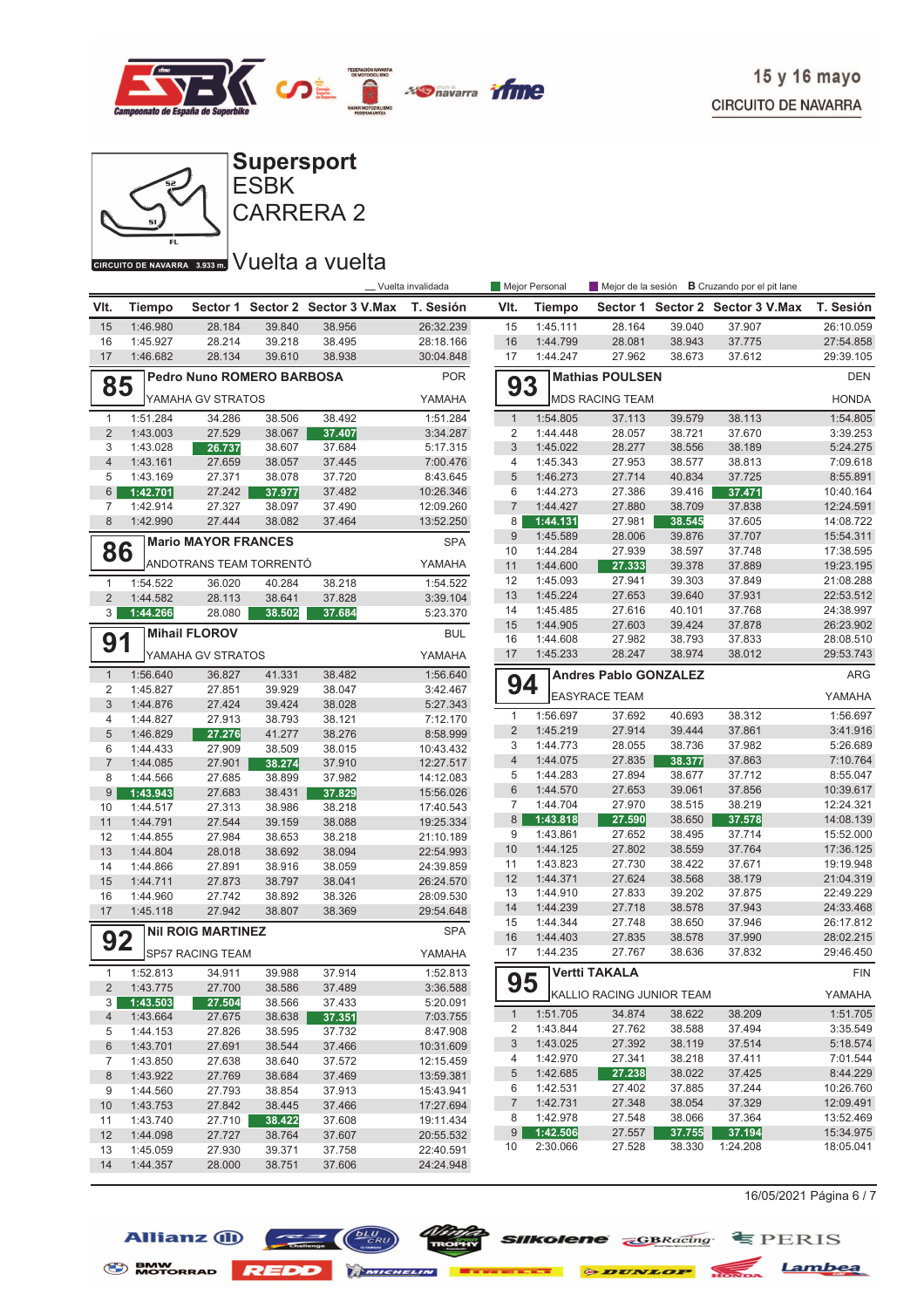



CARRERA 2

## GIRGUITO DE NAVARRA 3.933mm VUelta a vuelta

|                                        |                      |                            |                  |                                  | _ Vuelta invalidada  |                | Mejor Personal       |                              |                  | Mejor de la sesión <b>B</b> Cruzando por el pit lane |                        |
|----------------------------------------|----------------------|----------------------------|------------------|----------------------------------|----------------------|----------------|----------------------|------------------------------|------------------|------------------------------------------------------|------------------------|
| VIt.                                   | <b>Tiempo</b>        |                            |                  | Sector 1 Sector 2 Sector 3 V.Max | T. Sesión            | VIt.           | Tiempo               |                              |                  | Sector 1 Sector 2 Sector 3 V.Max                     | T. Sesión              |
| 15                                     | 1:46.980             | 28.184                     | 39.840           | 38.956                           | 26:32.239            | 15             | 1:45.111             | 28.164                       | 39.040           | 37.907                                               | 26:10.059              |
| 16                                     | 1:45.927             | 28.214                     | 39.218           | 38.495                           | 28:18.166            | 16             | 1:44.799             | 28.081                       | 38.943           | 37.775                                               | 27:54.858              |
| 17                                     | 1:46.682             | 28.134                     | 39.610           | 38.938                           | 30:04.848            | 17             | 1:44.247             | 27.962                       | 38.673           | 37.612                                               | 29:39.105              |
| <b>Pedro Nuno ROMERO BARBOSA</b><br>85 |                      |                            |                  |                                  | <b>POR</b>           | 93             |                      | <b>Mathias POULSEN</b>       |                  |                                                      | <b>DEN</b>             |
|                                        |                      | YAMAHA GV STRATOS          |                  |                                  | YAMAHA               |                |                      | <b>MDS RACING TEAM</b>       |                  |                                                      | <b>HONDA</b>           |
| $\mathbf{1}$                           | 1:51.284             | 34.286                     | 38.506           | 38.492                           | 1:51.284             | $\mathbf{1}$   | 1:54.805             | 37.113                       | 39.579           | 38.113                                               | 1:54.805               |
| $\sqrt{2}$                             | 1:43.003             | 27.529                     | 38.067           | 37.407                           | 3:34.287             | 2              | 1:44.448             | 28.057                       | 38.721           | 37.670                                               | 3:39.253               |
| 3                                      | 1:43.028             | 26.737                     | 38.607           | 37.684                           | 5:17.315             | $\sqrt{3}$     | 1:45.022             | 28.277                       | 38.556           | 38.189                                               | 5:24.275               |
| $\overline{4}$                         | 1:43.161             | 27.659                     | 38.057           | 37.445                           | 7:00.476             | 4              | 1:45.343             | 27.953                       | 38.577           | 38.813                                               | 7:09.618               |
| 5                                      | 1:43.169             | 27.371                     | 38.078           | 37.720                           | 8:43.645             | 5              | 1:46.273             | 27.714                       | 40.834           | 37.725                                               | 8:55.891               |
| 6                                      | 1:42.701             | 27.242                     | 37.977           | 37.482                           | 10:26.346            | 6              | 1:44.273             | 27.386                       | 39.416           | 37.471                                               | 10:40.164              |
| 7                                      | 1:42.914             | 27.327                     | 38.097           | 37.490                           | 12:09.260            | $\overline{7}$ | 1:44.427             | 27.880                       | 38.709           | 37.838                                               | 12:24.591              |
| 8                                      | 1:42.990             | 27.444                     | 38.082           | 37.464                           | 13:52.250            | 8              | 1:44.131             | 27.981                       | 38.545           | 37.605                                               | 14:08.722              |
|                                        |                      | <b>Mario MAYOR FRANCES</b> |                  |                                  | <b>SPA</b>           | 9              | 1:45.589             | 28.006                       | 39.876           | 37.707                                               | 15:54.311              |
| 86                                     |                      |                            |                  |                                  |                      | 10             | 1:44.284             | 27.939                       | 38.597           | 37.748                                               | 17:38.595              |
|                                        |                      | ANDOTRANS TEAM TORRENTÓ    |                  |                                  | YAMAHA               | 11             | 1:44.600             | 27.333                       | 39.378           | 37.889                                               | 19:23.195              |
| $\mathbf{1}$                           | 1:54.522             | 36.020                     | 40.284           | 38.218                           | 1:54.522             | 12             | 1:45.093             | 27.941                       | 39.303           | 37.849                                               | 21:08.288              |
| $\overline{2}$                         | 1:44.582             | 28.113                     | 38.641           | 37.828                           | 3:39.104             | 13             | 1:45.224             | 27.653                       | 39.640           | 37.931                                               | 22:53.512              |
| 3                                      | 1:44.266             | 28.080                     | 38.502           | 37.684                           | 5:23.370             | 14             | 1:45.485             | 27.616                       | 40.101           | 37.768                                               | 24:38.997              |
|                                        |                      | <b>Mihail FLOROV</b>       |                  |                                  | <b>BUL</b>           | 15<br>16       | 1:44.905<br>1:44.608 | 27.603<br>27.982             | 39.424<br>38.793 | 37.878<br>37.833                                     | 26:23.902<br>28:08.510 |
| 91                                     |                      |                            |                  |                                  |                      | 17             | 1:45.233             | 28.247                       | 38.974           | 38.012                                               | 29:53.743              |
|                                        |                      | YAMAHA GV STRATOS          |                  |                                  | YAMAHA               |                |                      |                              |                  |                                                      |                        |
| $\mathbf{1}$                           | 1:56.640             | 36.827                     | 41.331           | 38.482                           | 1:56.640             | 94             |                      | <b>Andres Pablo GONZALEZ</b> |                  |                                                      | ARG                    |
| 2                                      | 1:45.827             | 27.851<br>27.424           | 39.929           | 38.047                           | 3:42.467             |                |                      | <b>EASYRACE TEAM</b>         |                  |                                                      | YAMAHA                 |
| $\sqrt{3}$<br>$\overline{4}$           | 1:44.876<br>1:44.827 | 27.913                     | 39.424<br>38.793 | 38.028<br>38.121                 | 5:27.343<br>7:12.170 | $\mathbf{1}$   | 1:56.697             | 37.692                       | 40.693           | 38.312                                               | 1:56.697               |
| 5                                      | 1:46.829             | 27.276                     | 41.277           | 38.276                           | 8:58.999             | $\overline{2}$ | 1:45.219             | 27.914                       | 39.444           | 37.861                                               | 3:41.916               |
| 6                                      | 1:44.433             | 27.909                     | 38.509           | 38.015                           | 10:43.432            | 3              | 1:44.773             | 28.055                       | 38.736           | 37.982                                               | 5:26.689               |
| $\overline{7}$                         | 1:44.085             | 27.901                     | 38.274           | 37.910                           | 12:27.517            | $\overline{4}$ | 1:44.075             | 27.835                       | 38.377           | 37.863                                               | 7:10.764               |
| 8                                      | 1:44.566             | 27.685                     | 38.899           | 37.982                           | 14:12.083            | 5              | 1:44.283             | 27.894                       | 38.677           | 37.712                                               | 8:55.047               |
| $9\,$                                  | 1:43.943             | 27.683                     | 38.431           | 37.829                           | 15:56.026            | $\,6$          | 1:44.570             | 27.653                       | 39.061           | 37.856                                               | 10:39.617              |
| 10                                     | 1:44.517             | 27.313                     | 38.986           | 38.218                           | 17:40.543            | 7              | 1:44.704             | 27.970                       | 38.515           | 38.219                                               | 12:24.321              |
| 11                                     | 1:44.791             | 27.544                     | 39.159           | 38.088                           | 19:25.334            | 8              | 1:43.818             | 27.590                       | 38.650           | 37.578                                               | 14:08.139              |
| 12                                     | 1:44.855             | 27.984                     | 38.653           | 38.218                           | 21:10.189            | 9              | 1:43.861             | 27.652                       | 38.495           | 37.714                                               | 15:52.000              |
| 13                                     | 1:44.804             | 28.018                     | 38.692           | 38.094                           | 22:54.993            | 10             | 1:44.125             | 27.802                       | 38.559           | 37.764                                               | 17:36.125              |
| 14                                     | 1:44.866             | 27.891                     | 38.916           | 38.059                           | 24:39.859            | 11             | 1:43.823             | 27.730                       | 38.422           | 37.671                                               | 19:19.948              |
| 15                                     | 1:44.711             | 27.873                     | 38.797           | 38.041                           | 26:24.570            | 12             | 1:44.371             | 27.624                       | 38.568           | 38.179                                               | 21:04.319              |
| 16                                     | 1:44.960             | 27.742                     | 38.892           | 38.326                           | 28:09.530            | 13             | 1:44.910             | 27.833                       | 39.202           | 37.875                                               | 22:49.229              |
| 17                                     | 1:45.118             | 27.942                     | 38.807           | 38.369                           | 29:54.648            | 14             | 1:44.239             | 27.718                       | 38.578           | 37.943                                               | 24:33.468              |
|                                        |                      | <b>NII ROIG MARTINEZ</b>   |                  |                                  | <b>SPA</b>           | 15             | 1:44.344             | 27.748                       | 38.650           | 37.946                                               | 26:17.812              |
| 92                                     |                      |                            |                  |                                  |                      | 16<br>17       | 1:44.403<br>1:44.235 | 27.835<br>27.767             | 38.578<br>38.636 | 37.990<br>37.832                                     | 28:02.215<br>29:46.450 |
|                                        |                      | SP57 RACING TEAM           |                  |                                  | YAMAHA               |                |                      |                              |                  |                                                      |                        |
| $\mathbf{1}$                           | 1:52.813             | 34.911                     | 39.988           | 37.914                           | 1:52.813             | 95             |                      | Vertti TAKALA                |                  |                                                      | <b>FIN</b>             |
| $\overline{2}$                         | 1:43.775             | 27.700                     | 38.586           | 37.489<br>37.433                 | 3:36.588             |                |                      | KALLIO RACING JUNIOR TEAM    |                  |                                                      | YAMAHA                 |
| 3 <sup>1</sup><br>4                    | 1:43.503<br>1:43.664 | 27.504<br>27.675           | 38.566<br>38.638 | 37.351                           | 5:20.091<br>7:03.755 | $\mathbf{1}$   | 1:51.705             | 34.874                       | 38.622           | 38.209                                               | 1:51.705               |
| 5                                      | 1:44.153             | 27.826                     | 38.595           | 37.732                           | 8:47.908             | 2              | 1:43.844             | 27.762                       | 38.588           | 37.494                                               | 3:35.549               |
| $\,6$                                  | 1:43.701             | 27.691                     | 38.544           | 37.466                           | 10:31.609            | 3              | 1:43.025             | 27.392                       | 38.119           | 37.514                                               | 5:18.574               |
| 7                                      | 1:43.850             | 27.638                     | 38.640           | 37.572                           | 12:15.459            | 4              | 1:42.970             | 27.341                       | 38.218           | 37.411                                               | 7:01.544               |
| $\bf 8$                                | 1:43.922             | 27.769                     | 38.684           | 37.469                           | 13:59.381            | 5              | 1:42.685             | 27.238                       | 38.022           | 37.425                                               | 8:44.229               |
| 9                                      | 1:44.560             | 27.793                     | 38.854           | 37.913                           | 15:43.941            | 6              | 1:42.531             | 27.402                       | 37.885           | 37.244                                               | 10:26.760              |
| 10                                     | 1:43.753             | 27.842                     | 38.445           | 37.466                           | 17:27.694            | $\overline{7}$ | 1:42.731             | 27.348                       | 38.054           | 37.329                                               | 12:09.491              |
| 11                                     | 1:43.740             | 27.710                     | 38.422           | 37.608                           | 19:11.434            | 8              | 1:42.978             | 27.548                       | 38.066           | 37.364                                               | 13:52.469              |
| 12                                     | 1:44.098             | 27.727                     | 38.764           | 37.607                           | 20:55.532            | 9              | 1:42.506             | 27.557                       | 37.755           | 37.194                                               | 15:34.975              |
| 13                                     | 1:45.059             | 27.930                     | 39.371           | 37.758                           | 22:40.591            | 10             | 2:30.066             | 27.528                       | 38.330           | 1:24.208                                             | 18:05.041              |
| 14                                     | 1:44.357             | 28.000                     | 38.751           | 37.606                           | 24:24.948            |                |                      |                              |                  |                                                      |                        |

16/05/2021 Página 6 / 7



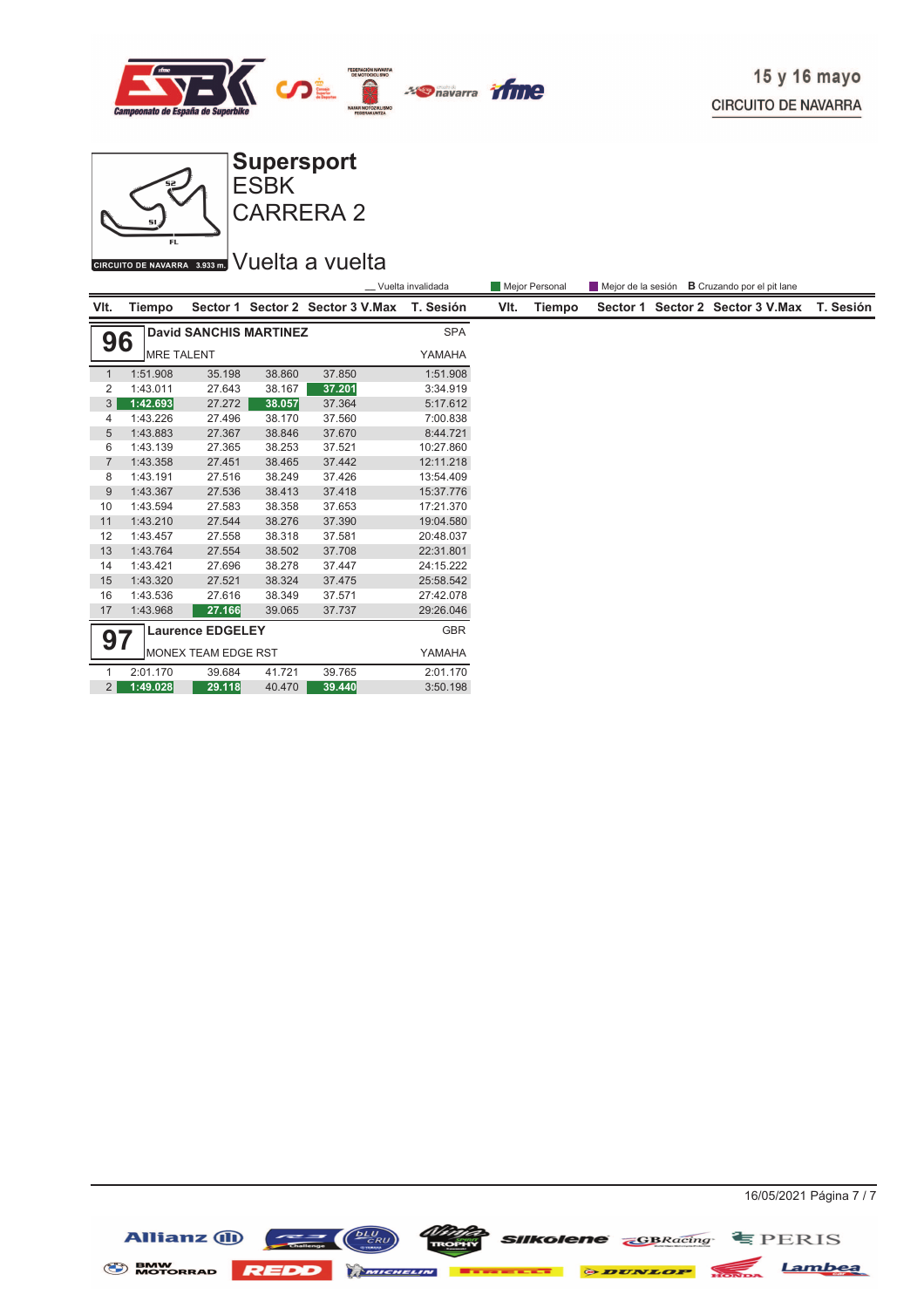



CIRCUITO DE NAVARRA 3.933 m. VUelta a vuelta

|                               | Vuelta invalidada  |                               |        |                                            |            |      | Mejor Personal |  | Mejor de la sesión <b>B</b> Cruzando por el pit lane |           |
|-------------------------------|--------------------|-------------------------------|--------|--------------------------------------------|------------|------|----------------|--|------------------------------------------------------|-----------|
| VIt.                          | Tiempo             |                               |        | Sector 1 Sector 2 Sector 3 V.Max T. Sesión |            | VIt. | Tiempo         |  | Sector 1 Sector 2 Sector 3 V.Max                     | T. Sesión |
| 96                            |                    | <b>David SANCHIS MARTINEZ</b> |        |                                            | <b>SPA</b> |      |                |  |                                                      |           |
|                               | <b>IMRE TALENT</b> |                               |        |                                            | YAMAHA     |      |                |  |                                                      |           |
| $\mathbf{1}$                  | 1:51.908           | 35.198                        | 38.860 | 37.850                                     | 1:51.908   |      |                |  |                                                      |           |
| 2                             | 1:43.011           | 27.643                        | 38.167 | 37.201                                     | 3:34.919   |      |                |  |                                                      |           |
| 3                             | 1:42.693           | 27.272                        | 38.057 | 37.364                                     | 5:17.612   |      |                |  |                                                      |           |
| 4                             | 1:43.226           | 27.496                        | 38.170 | 37.560                                     | 7:00.838   |      |                |  |                                                      |           |
| 5                             | 1:43.883           | 27.367                        | 38.846 | 37.670                                     | 8:44.721   |      |                |  |                                                      |           |
| 6                             | 1:43.139           | 27.365                        | 38.253 | 37.521                                     | 10:27.860  |      |                |  |                                                      |           |
|                               | 1:43.358           | 27.451                        | 38.465 | 37.442                                     | 12:11.218  |      |                |  |                                                      |           |
| 8                             | 1:43.191           | 27.516                        | 38.249 | 37.426                                     | 13:54.409  |      |                |  |                                                      |           |
| 9                             | 1:43.367           | 27.536                        | 38.413 | 37.418                                     | 15:37.776  |      |                |  |                                                      |           |
| 10                            | 1:43.594           | 27.583                        | 38.358 | 37.653                                     | 17:21.370  |      |                |  |                                                      |           |
| 11                            | 1:43.210           | 27.544                        | 38.276 | 37.390                                     | 19:04.580  |      |                |  |                                                      |           |
| 12                            | 1:43.457           | 27.558                        | 38.318 | 37.581                                     | 20:48.037  |      |                |  |                                                      |           |
| 13                            | 1:43.764           | 27.554                        | 38.502 | 37.708                                     | 22:31.801  |      |                |  |                                                      |           |
| 14                            | 1:43.421           | 27.696                        | 38.278 | 37.447                                     | 24:15.222  |      |                |  |                                                      |           |
| 15                            | 1:43.320           | 27.521                        | 38.324 | 37.475                                     | 25:58.542  |      |                |  |                                                      |           |
| 16                            | 1:43.536           | 27.616                        | 38.349 | 37.571                                     | 27:42.078  |      |                |  |                                                      |           |
| 17                            | 1:43.968           | 27.166                        | 39.065 | 37.737                                     | 29:26.046  |      |                |  |                                                      |           |
| <b>Laurence EDGELEY</b><br>97 |                    |                               |        |                                            | <b>GBR</b> |      |                |  |                                                      |           |
| IMONEX TEAM EDGE RST          |                    |                               |        |                                            | YAMAHA     |      |                |  |                                                      |           |
|                               | 2:01.170           | 39.684                        | 41.721 | 39.765                                     | 2:01.170   |      |                |  |                                                      |           |
| $2^{\circ}$                   | 1:49.028           | 29.118                        | 40.470 | 39.440                                     | 3:50.198   |      |                |  |                                                      |           |



**COLOR SIIKOIENE GBRacing** EPERIS